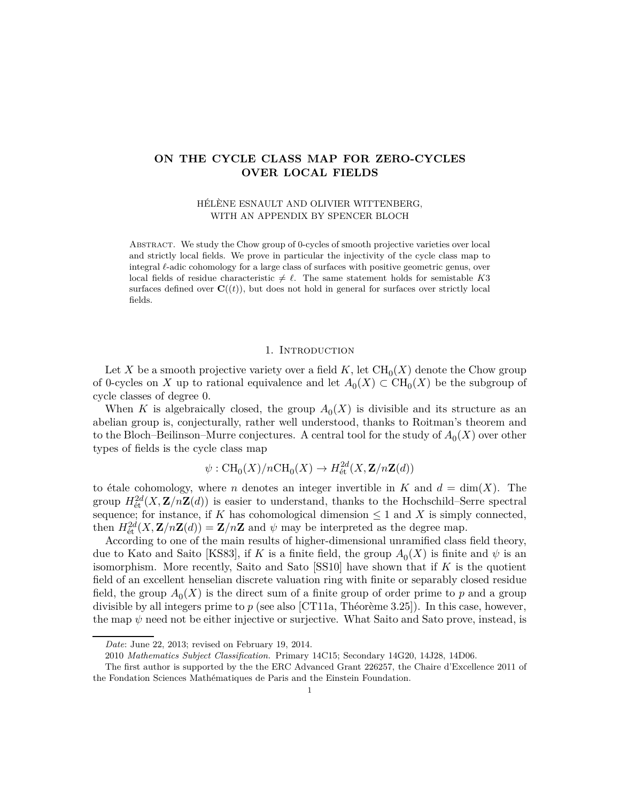## **ON THE CYCLE CLASS MAP FOR ZERO-CYCLES OVER LOCAL FIELDS**

HÉLÈNE ESNAULT AND OLIVIER WITTENBERG, WITH AN APPENDIX BY SPENCER BLOCH

Abstract. We study the Chow group of 0-cycles of smooth projective varieties over local and strictly local fields. We prove in particular the injectivity of the cycle class map to integral *ℓ*-adic cohomology for a large class of surfaces with positive geometric genus, over local fields of residue characteristic  $\neq \ell$ . The same statement holds for semistable *K*3 surfaces defined over  $\mathbf{C}((t))$ , but does not hold in general for surfaces over strictly local fields.

### 1. INTRODUCTION

Let *X* be a smooth projective variety over a field  $K$ , let  $\text{CH}_0(X)$  denote the Chow group of 0-cycles on *X* up to rational equivalence and let  $A_0(X) \subset \text{CH}_0(X)$  be the subgroup of cycle classes of degree 0.

When *K* is algebraically closed, the group  $A_0(X)$  is divisible and its structure as an abelian group is, conjecturally, rather well understood, thanks to Roitman's theorem and to the Bloch–Beilinson–Murre conjectures. A central tool for the study of  $A_0(X)$  over other types of fields is the cycle class map

$$
\psi: \operatorname{CH}_0(X)/n\operatorname{CH}_0(X) \to H^{2d}_{\text{\'et}}(X, \mathbf{Z}/n\mathbf{Z}(d))
$$

to étale cohomology, where *n* denotes an integer invertible in  $K$  and  $d = \dim(X)$ . The group  $H^{2d}_{\text{\'et}}(X, \mathbf{Z}/n\mathbf{Z}(d))$  is easier to understand, thanks to the Hochschild–Serre spectral sequence; for instance, if *K* has cohomological dimension  $\leq 1$  and *X* is simply connected, then  $H_{\text{\'et}}^{2d}(X, \mathbf{Z}/n\mathbf{Z}(d)) = \mathbf{Z}/n\mathbf{Z}$  and  $\psi$  may be interpreted as the degree map.

According to one of the main results of higher-dimensional unramified class field theory, due to Kato and Saito [\[KS83\]](#page-35-0), if *K* is a finite field, the group  $A_0(X)$  is finite and  $\psi$  is an isomorphism. More recently, Saito and Sato [\[SS10\]](#page-36-0) have shown that if *K* is the quotient field of an excellent henselian discrete valuation ring with finite or separably closed residue field, the group  $A_0(X)$  is the direct sum of a finite group of order prime to  $p$  and a group divisible by all integers prime to *p* (see also [\[CT11a,](#page-33-0) Théorème 3.25]). In this case, however, the map  $\psi$  need not be either injective or surjective. What Saito and Sato prove, instead, is

*Date*: June 22, 2013; revised on February 19, 2014.

<sup>2010</sup> *Mathematics Subject Classification.* Primary 14C15; Secondary 14G20, 14J28, 14D06.

The first author is supported by the the ERC Advanced Grant 226257, the Chaire d'Excellence 2011 of the Fondation Sciences Mathématiques de Paris and the Einstein Foundation.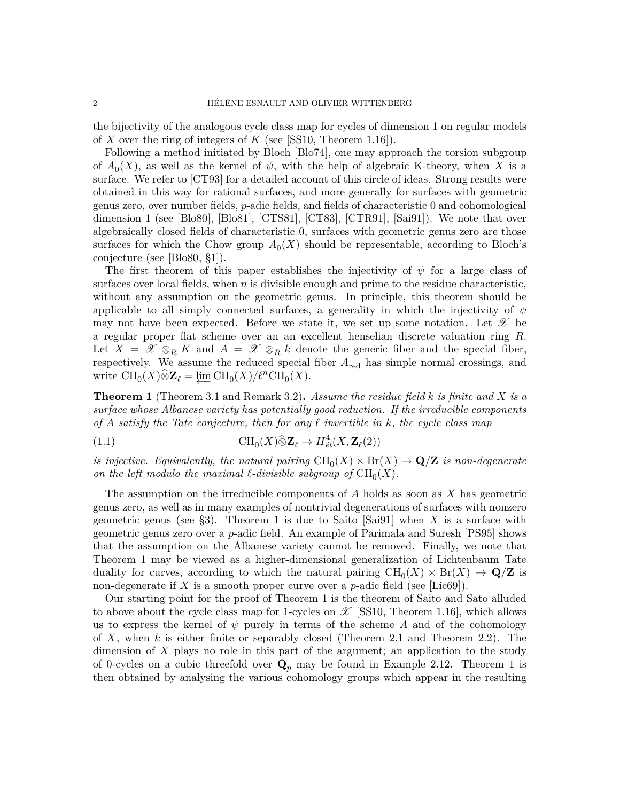the bijectivity of the analogous cycle class map for cycles of dimension 1 on regular models of *X* over the ring of integers of *K* (see [\[SS10,](#page-36-0) Theorem 1.16]).

Following a method initiated by Bloch [\[Blo74\]](#page-33-1), one may approach the torsion subgroup of  $A_0(X)$ , as well as the kernel of  $\psi$ , with the help of algebraic K-theory, when X is a surface. We refer to [\[CT93\]](#page-33-2) for a detailed account of this circle of ideas. Strong results were obtained in this way for rational surfaces, and more generally for surfaces with geometric genus zero, over number fields, *p*-adic fields, and fields of characteristic 0 and cohomological dimension 1 (see [\[Blo80\]](#page-33-3), [\[Blo81\]](#page-33-4), [\[CTS81\]](#page-33-5), [\[CT83\]](#page-33-6), [\[CTR91\]](#page-33-7), [\[Sai91\]](#page-36-1)). We note that over algebraically closed fields of characteristic 0, surfaces with geometric genus zero are those surfaces for which the Chow group  $A_0(X)$  should be representable, according to Bloch's conjecture (see [\[Blo80,](#page-33-3) §1]).

The first theorem of this paper establishes the injectivity of *ψ* for a large class of surfaces over local fields, when  $n$  is divisible enough and prime to the residue characteristic, without any assumption on the geometric genus. In principle, this theorem should be applicable to all simply connected surfaces, a generality in which the injectivity of  $\psi$ may not have been expected. Before we state it, we set up some notation. Let  $\mathscr X$  be a regular proper flat scheme over an an excellent henselian discrete valuation ring *R*. Let  $X = \mathscr{X} \otimes_R K$  and  $A = \mathscr{X} \otimes_R k$  denote the generic fiber and the special fiber, respectively. We assume the reduced special fiber *A*red has simple normal crossings, and write  $\text{CH}_0(X)\widehat{\otimes} \mathbf{Z}_{\ell} = \varprojlim \text{CH}_0(X)/\ell^n \text{CH}_0(X).$ 

<span id="page-1-0"></span>**Theorem 1** (Theorem [3.1](#page-10-0) and Remark [3.2\)](#page-10-1)**.** *Assume the residue field k is finite and X is a surface whose Albanese variety has potentially good reduction. If the irreducible components of A satisfy the Tate conjecture, then for any ℓ invertible in k, the cycle class map*

(1.1) 
$$
\text{CH}_0(X)\widehat{\otimes}\mathbf{Z}_{\ell}\to H^4_{\acute{e}t}(X,\mathbf{Z}_{\ell}(2))
$$

*is injective. Equivalently, the natural pairing*  $\text{CH}_0(X) \times \text{Br}(X) \to \mathbf{Q}/\mathbf{Z}$  *is non-degenerate on the left modulo the maximal*  $\ell$ *-divisible subgroup of*  $CH_0(X)$ *.* 

The assumption on the irreducible components of *A* holds as soon as *X* has geometric genus zero, as well as in many examples of nontrivial degenerations of surfaces with nonzero geometric genus (see [§3\)](#page-9-0). Theorem [1](#page-1-0) is due to Saito [\[Sai91\]](#page-36-1) when *X* is a surface with geometric genus zero over a *p*-adic field. An example of Parimala and Suresh [\[PS95\]](#page-35-1) shows that the assumption on the Albanese variety cannot be removed. Finally, we note that Theorem [1](#page-1-0) may be viewed as a higher-dimensional generalization of Lichtenbaum–Tate duality for curves, according to which the natural pairing  $CH_0(X) \times Br(X) \to \mathbf{Q}/\mathbf{Z}$  is non-degenerate if *X* is a smooth proper curve over a *p*-adic field (see [\[Lic69\]](#page-35-2)).

Our starting point for the proof of Theorem [1](#page-1-0) is the theorem of Saito and Sato alluded to above about the cycle class map for 1-cycles on  $\mathscr{X}$  [\[SS10,](#page-36-0) Theorem 1.16], which allows us to express the kernel of  $\psi$  purely in terms of the scheme *A* and of the cohomology of *X*, when *k* is either finite or separably closed (Theorem [2.1](#page-3-0) and Theorem [2.2\)](#page-4-0). The dimension of *X* plays no role in this part of the argument; an application to the study of 0-cycles on a cubic threefold over  $\mathbf{Q}_p$  may be found in Example [2.12.](#page-9-1) Theorem [1](#page-1-0) is then obtained by analysing the various cohomology groups which appear in the resulting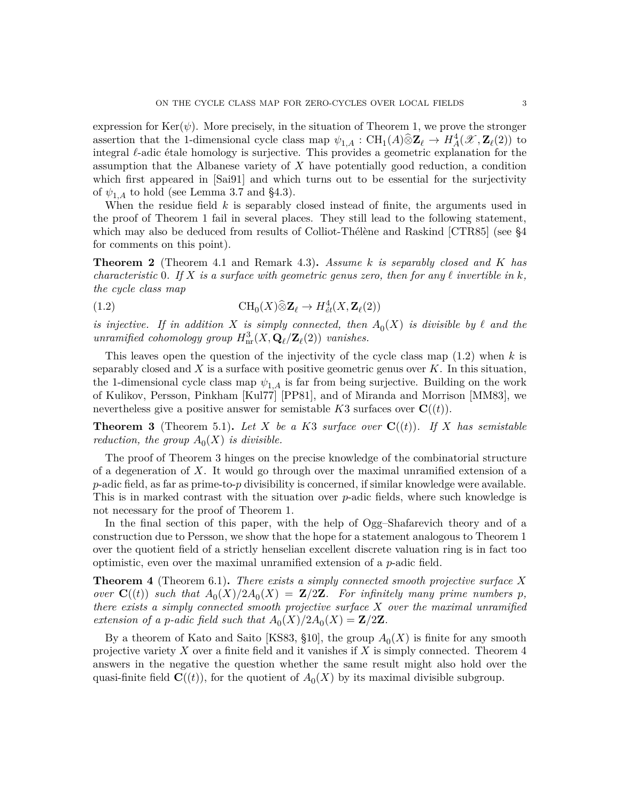expression for  $\text{Ker}(\psi)$ . More precisely, in the situation of Theorem [1,](#page-1-0) we prove the stronger assertion that the 1-dimensional cycle class map  $\psi_{1,A}: \text{CH}_1(A) \widehat{\otimes} \mathbb{Z}_{\ell} \to H^4_A(\mathscr{X}, \mathbb{Z}_{\ell}(2))$  to integral *ℓ*-adic étale homology is surjective. This provides a geometric explanation for the assumption that the Albanese variety of *X* have potentially good reduction, a condition which first appeared in [\[Sai91\]](#page-36-1) and which turns out to be essential for the surjectivity of  $\psi_{1,A}$  to hold (see Lemma [3.7](#page-13-0) and [§4.3\)](#page-18-0).

When the residue field *k* is separably closed instead of finite, the arguments used in the proof of Theorem [1](#page-1-0) fail in several places. They still lead to the following statement, which may also be deduced from results of Colliot-Thélène and Raskind [\[CTR85\]](#page-33-8) (see [§4](#page-14-0) for comments on this point).

<span id="page-2-3"></span>**Theorem 2** (Theorem [4.1](#page-15-0) and Remark [4.3\)](#page-15-1)**.** *Assume k is separably closed and K has characteristic* 0*. If X is a surface with geometric genus zero, then for any ℓ invertible in k, the cycle class map*

<span id="page-2-0"></span>(1.2) 
$$
\text{CH}_0(X)\widehat{\otimes}\mathbf{Z}_{\ell} \to H^4_{\acute{e}t}(X,\mathbf{Z}_{\ell}(2))
$$

*is injective.* If in addition *X* is simply connected, then  $A_0(X)$  is divisible by  $\ell$  and the *unramified cohomology group*  $H^3_{\text{nr}}(X, \mathbf{Q}_\ell/\mathbf{Z}_\ell(2))$  *vanishes.* 

This leaves open the question of the injectivity of the cycle class map [\(1.2\)](#page-2-0) when *k* is separably closed and *X* is a surface with positive geometric genus over *K*. In this situation, the 1-dimensional cycle class map  $\psi_{1,A}$  is far from being surjective. Building on the work of Kulikov, Persson, Pinkham [\[Kul77\]](#page-35-3) [\[PP81\]](#page-35-4), and of Miranda and Morrison [\[MM83\]](#page-35-5), we nevertheless give a positive answer for semistable  $K3$  surfaces over  $\mathbf{C}((t))$ .

<span id="page-2-1"></span>**Theorem 3** (Theorem [5.1\)](#page-19-0). Let X be a K3 surface over  $\mathbf{C}((t))$ . If X has semistable *reduction, the group*  $A_0(X)$  *is divisible.* 

The proof of Theorem [3](#page-2-1) hinges on the precise knowledge of the combinatorial structure of a degeneration of *X*. It would go through over the maximal unramified extension of a *p*-adic field, as far as prime-to-*p* divisibility is concerned, if similar knowledge were available. This is in marked contrast with the situation over *p*-adic fields, where such knowledge is not necessary for the proof of Theorem [1.](#page-1-0)

In the final section of this paper, with the help of Ogg–Shafarevich theory and of a construction due to Persson, we show that the hope for a statement analogous to Theorem [1](#page-1-0) over the quotient field of a strictly henselian excellent discrete valuation ring is in fact too optimistic, even over the maximal unramified extension of a *p*-adic field.

<span id="page-2-2"></span>**Theorem 4** (Theorem [6.1\)](#page-25-0)**.** *There exists a simply connected smooth projective surface X over*  $\mathbf{C}((t))$  *such that*  $A_0(X)/2A_0(X) = \mathbf{Z}/2\mathbf{Z}$ *. For infinitely many prime numbers p, there exists a simply connected smooth projective surface X over the maximal unramified extension of a p-adic field such that*  $A_0(X)/2A_0(X) = \mathbb{Z}/2\mathbb{Z}$ *.* 

By a theorem of Kato and Saito [\[KS83,](#page-35-0) §10], the group  $A_0(X)$  is finite for any smooth projective variety *X* over a finite field and it vanishes if *X* is simply connected. Theorem [4](#page-2-2) answers in the negative the question whether the same result might also hold over the quasi-finite field  $\mathbf{C}((t))$ , for the quotient of  $A_0(X)$  by its maximal divisible subgroup.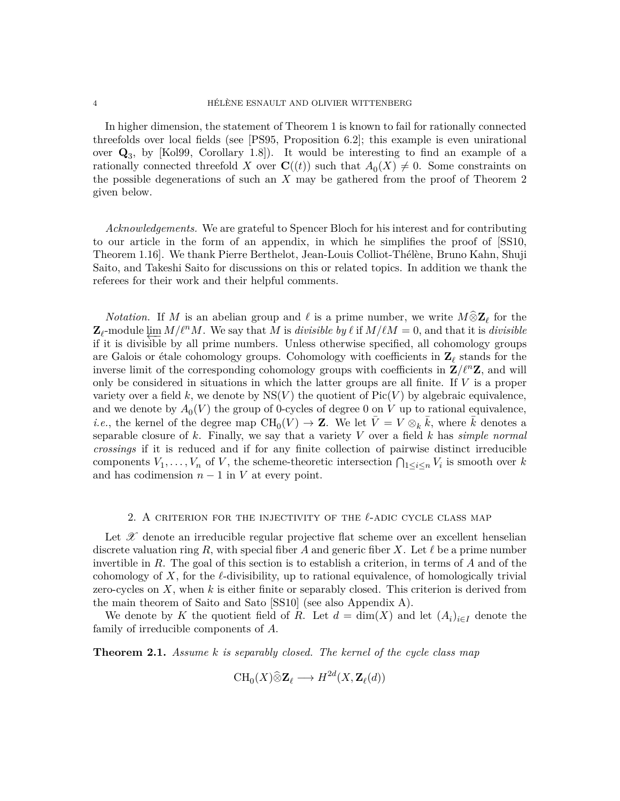In higher dimension, the statement of Theorem [1](#page-1-0) is known to fail for rationally connected threefolds over local fields (see [\[PS95,](#page-35-1) Proposition 6.2]; this example is even unirational over **Q**<sup>3</sup> , by [\[Kol99,](#page-35-6) Corollary 1.8]). It would be interesting to find an example of a rationally connected threefold *X* over  $\mathbf{C}((t))$  such that  $A_0(X) \neq 0$ . Some constraints on the possible degenerations of such an *X* may be gathered from the proof of Theorem [2](#page-2-3) given below.

*Acknowledgements.* We are grateful to Spencer Bloch for his interest and for contributing to our article in the form of an appendix, in which he simplifies the proof of [\[SS10,](#page-36-0) Theorem 1.16]. We thank Pierre Berthelot, Jean-Louis Colliot-Thélène, Bruno Kahn, Shuji Saito, and Takeshi Saito for discussions on this or related topics. In addition we thank the referees for their work and their helpful comments.

*Notation.* If *M* is an abelian group and  $\ell$  is a prime number, we write  $M \hat{\otimes} \mathbb{Z}_{\ell}$  for the  $\mathbf{Z}_{\ell}$ -module  $\varprojlim M/\ell^n M$ . We say that *M* is *divisible by*  $\ell$  if  $M/\ell M = 0$ , and that it is *divisible* if it is *divisible* by all prime numbers. Unless otherwise specified, all cohomology groups if it is divisible by all prime numbers. Unless otherwise specified, all cohomology groups are Galois or étale cohomology groups. Cohomology with coefficients in **Z***<sup>ℓ</sup>* stands for the inverse limit of the corresponding cohomology groups with coefficients in  $\mathbf{Z}/\ell^n\mathbf{Z}$ , and will only be considered in situations in which the latter groups are all finite. If *V* is a proper variety over a field k, we denote by  $NS(V)$  the quotient of  $Pic(V)$  by algebraic equivalence, and we denote by  $A_0(V)$  the group of 0-cycles of degree 0 on *V* up to rational equivalence, *i.e.*, the kernel of the degree map  $\text{CH}_0(V) \to \mathbf{Z}$ . We let  $\overline{V} = V \otimes_k \overline{k}$ , where  $\overline{k}$  denotes a separable closure of *k*. Finally, we say that a variety *V* over a field *k* has *simple normal crossings* if it is reduced and if for any finite collection of pairwise distinct irreducible components  $V_1, \ldots, V_n$  of *V*, the scheme-theoretic intersection  $\bigcap_{1 \leq i \leq n} V_i$  is smooth over *k* and has codimension  $n-1$  in  $V$  at every point.

## 2. A criterion for the injectivity of the *ℓ*-adic cycle class map

<span id="page-3-1"></span>Let  $\mathscr X$  denote an irreducible regular projective flat scheme over an excellent henselian discrete valuation ring  $R$ , with special fiber  $A$  and generic fiber  $X$ . Let  $\ell$  be a prime number invertible in *R*. The goal of this section is to establish a criterion, in terms of *A* and of the cohomology of X, for the  $\ell$ -divisibility, up to rational equivalence, of homologically trivial zero-cycles on *X*, when *k* is either finite or separably closed. This criterion is derived from the main theorem of Saito and Sato [\[SS10\]](#page-36-0) (see also Appendix [A\)](#page-30-0).

We denote by *K* the quotient field of *R*. Let  $d = \dim(X)$  and let  $(A_i)_{i \in I}$  denote the family of irreducible components of *A*.

<span id="page-3-0"></span>**Theorem 2.1.** *Assume k is separably closed. The kernel of the cycle class map*

$$
CH_0(X)\widehat{\otimes}\mathbf{Z}_{\ell}\longrightarrow H^{2d}(X,\mathbf{Z}_{\ell}(d))
$$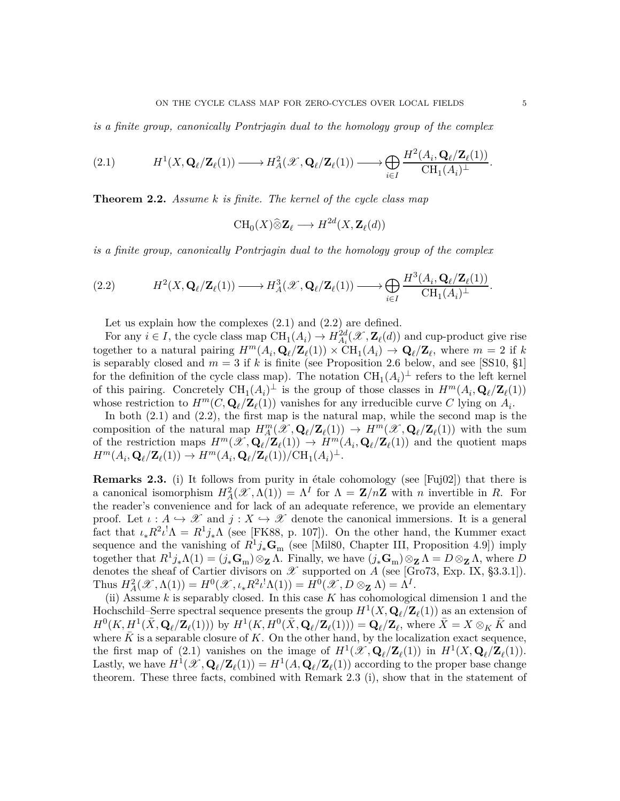*is a finite group, canonically Pontrjagin dual to the homology group of the complex*

<span id="page-4-1"></span>
$$
(2.1) \tH1(X, \mathbf{Q}_{\ell}/\mathbf{Z}_{\ell}(1)) \longrightarrow HA2(\mathscr{X}, \mathbf{Q}_{\ell}/\mathbf{Z}_{\ell}(1)) \longrightarrow \bigoplus_{i \in I} \frac{H2(A_i, \mathbf{Q}_{\ell}/\mathbf{Z}_{\ell}(1))}{\mathrm{CH}_{1}(A_i)^{\perp}}.
$$

<span id="page-4-0"></span>**Theorem 2.2.** *Assume k is finite. The kernel of the cycle class map*

$$
\text{CH}_0(X)\widehat{\otimes}\mathbf{Z}_{\ell}\longrightarrow H^{2d}(X,\mathbf{Z}_{\ell}(d))
$$

*is a finite group, canonically Pontrjagin dual to the homology group of the complex*

<span id="page-4-2"></span>
$$
(2.2) \tH^2(X, \mathbf{Q}_{\ell}/\mathbf{Z}_{\ell}(1)) \longrightarrow H^3_A(\mathscr{X}, \mathbf{Q}_{\ell}/\mathbf{Z}_{\ell}(1)) \longrightarrow \bigoplus_{i \in I} \frac{H^3(A_i, \mathbf{Q}_{\ell}/\mathbf{Z}_{\ell}(1))}{\mathrm{CH}_1(A_i)^{\perp}}.
$$

Let us explain how the complexes  $(2.1)$  and  $(2.2)$  are defined.

For any  $i \in I$ , the cycle class map  $\text{CH}_1(A_i) \to H_{A_i}^{2d}(\mathscr{X}, \mathbf{Z}_{\ell}(d))$  and cup-product give rise together to a natural pairing  $H^m(A_i, \mathbf{Q}_\ell/\mathbf{Z}_\ell(1)) \times \text{CH}_1(A_i) \to \mathbf{Q}_\ell/\mathbf{Z}_\ell$ , where  $m = 2$  if *k* is separably closed and  $m = 3$  if k is finite (see Proposition [2.6](#page-6-0) below, and see [\[SS10,](#page-36-0) §1] for the definition of the cycle class map). The notation  $\mathrm{CH}_1(A_i)^{\perp}$  refers to the left kernel of this pairing. Concretely  $\text{CH}_1(A_i)^{\perp}$  is the group of those classes in  $H^m(A_i, \mathbf{Q}_\ell/\mathbf{Z}_\ell(1))$ whose restriction to  $H^m(C, \mathbf{Q}_\ell/\mathbf{Z}_\ell(1))$  vanishes for any irreducible curve *C* lying on  $A_i$ .

In both  $(2.1)$  and  $(2.2)$ , the first map is the natural map, while the second map is the composition of the natural map  $H_{\mathcal{A}}^{m}(\mathscr{X}, \mathbf{Q}_{\ell}/\mathbf{Z}_{\ell}(1)) \to H^{m}(\mathscr{X}, \mathbf{Q}_{\ell}/\mathbf{Z}_{\ell}(1))$  with the sum of the restriction maps  $H^m(\mathscr{X}, \mathbf{Q}_\ell/\mathbf{Z}_\ell(1)) \to H^m(A_i, \mathbf{Q}_\ell/\mathbf{Z}_\ell(1))$  and the quotient maps  $H^m(A_i, \mathbf{Q}_\ell/\mathbf{Z}_\ell(1)) \to H^m(A_i, \mathbf{Q}_\ell/\mathbf{Z}_\ell(1))/\text{CH}_1(A_i)^\perp.$ 

<span id="page-4-3"></span>**Remarks 2.3.** (i) It follows from purity in étale cohomology (see [\[Fuj02\]](#page-34-0)) that there is a canonical isomorphism  $H_A^2(\mathscr{X}, \Lambda(1)) = \Lambda^I$  for  $\Lambda = \mathbb{Z}/n\mathbb{Z}$  with *n* invertible in *R*. For the reader's convenience and for lack of an adequate reference, we provide an elementary proof. Let  $\iota : A \hookrightarrow \mathcal{X}$  and  $j : X \hookrightarrow \mathcal{X}$  denote the canonical immersions. It is a general fact that  $\iota_* R^2 \iota^! \Lambda = R^1 j_* \Lambda$  (see [\[FK88,](#page-33-9) p. 107]). On the other hand, the Kummer exact sequence and the vanishing of  $R^1 j_* \mathbf{G}_m$  (see [\[Mil80,](#page-35-7) Chapter III, Proposition 4.9]) imply together that  $R^1 j_* \Lambda(1) = (j_* \mathbf{G}_m) \otimes_{\mathbf{Z}} \Lambda$ . Finally, we have  $(j_* \mathbf{G}_m) \otimes_{\mathbf{Z}} \Lambda = D \otimes_{\mathbf{Z}} \Lambda$ , where *D* denotes the sheaf of Cartier divisors on  $\mathscr X$  supported on  $\widetilde A$  (see [\[Gro73,](#page-34-1) Exp. IX, §3.3.1]). Thus  $H_A^2(\mathscr{X}, \Lambda(1)) = H^0(\mathscr{X}, \iota_* R^2 \iota^! \Lambda(1)) = H^0(\mathscr{X}, D \otimes_{\mathbf{Z}} \Lambda) = \Lambda^I.$ 

(ii) Assume *k* is separably closed. In this case *K* has cohomological dimension 1 and the Hochschild–Serre spectral sequence presents the group  $H^1(X, \mathbf{Q}_\ell/\mathbf{Z}_\ell(1))$  as an extension of  $H^0(K, \underline{H}^1(\bar{X}, \mathbf{Q}_{\ell}/\mathbf{Z}_{\ell}(1)))$  by  $H^1(K, H^0(\bar{X}, \mathbf{Q}_{\ell}/\mathbf{Z}_{\ell}(1))) = \mathbf{Q}_{\ell}/\mathbf{Z}_{\ell}$ , where  $\bar{X} = X \otimes_K \bar{K}$  and where  $\bar{K}$  is a separable closure of  $K$ . On the other hand, by the localization exact sequence, the first map of [\(2.1\)](#page-4-1) vanishes on the image of  $H^1(\mathscr{X}, \mathbf{Q}_\ell/\mathbf{Z}_\ell(1))$  in  $H^1(X, \mathbf{Q}_\ell/\mathbf{Z}_\ell(1))$ . Lastly, we have  $H^1(\mathscr{X}, \mathbf{Q}_\ell/\mathbf{Z}_\ell(1)) = H^1(A, \mathbf{Q}_\ell/\mathbf{Z}_\ell(1))$  according to the proper base change theorem. These three facts, combined with Remark [2.3](#page-4-3) (i), show that in the statement of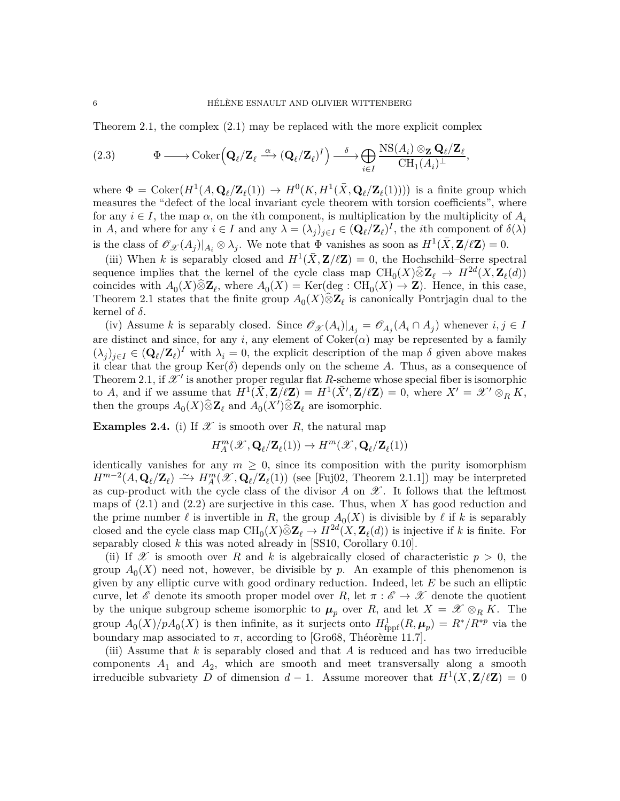Theorem [2.1,](#page-3-0) the complex [\(2.1\)](#page-4-1) may be replaced with the more explicit complex

<span id="page-5-0"></span>(2.3) 
$$
\Phi \longrightarrow \text{Coker}\left(\mathbf{Q}_{\ell}/\mathbf{Z}_{\ell} \stackrel{\alpha}{\longrightarrow} (\mathbf{Q}_{\ell}/\mathbf{Z}_{\ell})^{I}\right) \stackrel{\delta}{\longrightarrow} \bigoplus_{i \in I} \frac{\text{NS}(A_{i}) \otimes_{\mathbf{Z}} \mathbf{Q}_{\ell}/\mathbf{Z}_{\ell}}{\text{CH}_{1}(A_{i})^{\perp}},
$$

where  $\Phi = \text{Coker}(H^1(A, \mathbf{Q}_\ell/\mathbf{Z}_\ell(1)) \to H^0(K, H^1(\bar{X}, \mathbf{Q}_\ell/\mathbf{Z}_\ell(1)))$  is a finite group which measures the "defect of the local invariant cycle theorem with torsion coefficients", where for any  $i \in I$ , the map  $\alpha$ , on the *i*th component, is multiplication by the multiplicity of  $A_i$ in *A*, and where for any  $i \in I$  and any  $\lambda = (\lambda_j)_{j \in I} \in (\mathbf{Q}_\ell/\mathbf{Z}_\ell)^I$ , the *i*th component of  $\delta(\lambda)$ is the class of  $\mathscr{O}_{\mathscr{X}}(A_j)|_{A_i} \otimes \lambda_j$ . We note that  $\Phi$  vanishes as soon as  $H^1(\bar{X}, \mathbf{Z}/\ell\mathbf{Z}) = 0$ .

(iii) When *k* is separably closed and  $H^1(\bar{X}, \mathbf{Z}/\ell \mathbf{Z}) = 0$ , the Hochschild–Serre spectral sequence implies that the kernel of the cycle class map  $\text{CH}_0(X)\widehat{\otimes} \mathbf{Z}_{\ell} \to H^{2d}(X, \mathbf{Z}_{\ell}(d))$ coincides with  $A_0(X)\otimes \mathbf{Z}_\ell$ , where  $A_0(X) = \text{Ker}(\text{deg}: \text{CH}_0(X) \to \mathbf{Z})$ . Hence, in this case, Theorem [2.1](#page-3-0) states that the finite group  $A_0(X)\hat{\otimes} \mathbf{Z}_{\ell}$  is canonically Pontrjagin dual to the kernel of *δ*.

(iv) Assume *k* is separably closed. Since  $\mathcal{O}_{\mathcal{X}}(A_i)|_{A_j} = \mathcal{O}_{A_j}(A_i \cap A_j)$  whenever  $i, j \in I$ are distinct and since, for any *i*, any element of  $Coker(\alpha)$  may be represented by a family  $(\lambda_j)_{j\in I} \in (\mathbf{Q}_\ell/\mathbf{Z}_\ell)^I$  with  $\lambda_i = 0$ , the explicit description of the map  $\delta$  given above makes it clear that the group  $\text{Ker}(\delta)$  depends only on the scheme A. Thus, as a consequence of Theorem [2.1,](#page-3-0) if  $\mathscr{X}'$  is another proper regular flat R-scheme whose special fiber is isomorphic to *A*, and if we assume that  $H^1(\bar{X}, \mathbf{Z}/\ell \mathbf{Z}) = H^1(\bar{X}', \mathbf{Z}/\ell \mathbf{Z}) = 0$ , where  $X' = \mathscr{X}' \otimes_R R$ , then the groups  $A_0(X)\hat{\otimes} \mathbf{Z}_{\ell}$  and  $A_0(X')\hat{\otimes} \mathbf{Z}_{\ell}$  are isomorphic.

<span id="page-5-1"></span>**Examples 2.4.** (i) If  $\mathscr X$  is smooth over R, the natural map

$$
H_A^m(\mathscr{X},\mathbf{Q}_{\ell}/\mathbf{Z}_{\ell}(1)) \to H^m(\mathscr{X},\mathbf{Q}_{\ell}/\mathbf{Z}_{\ell}(1))
$$

identically vanishes for any  $m \geq 0$ , since its composition with the purity isomorphism *H*<sup>m−2</sup>(*A*, **Q**<sub>ℓ</sub>/**Z**<sub>ℓ</sub>)  $\cong$  *→ H*<sub>*A*</sub><sup>*(X*</sup>, **Q**<sub>ℓ</sub>/**Z**<sub>ℓ</sub>(1)) (see [\[Fuj02,](#page-34-0) Theorem 2.1.1]) may be interpreted as cup-product with the cycle class of the divisor  $A$  on  $\mathscr{X}$ . It follows that the leftmost maps of [\(2.1\)](#page-4-1) and [\(2.2\)](#page-4-2) are surjective in this case. Thus, when *X* has good reduction and the prime number  $\ell$  is invertible in *R*, the group  $A_0(X)$  is divisible by  $\ell$  if  $k$  is separably closed and the cycle class map  $\text{CH}_0(X)\widehat{\otimes}\mathbf{Z}_{\ell} \to H^{2d}(X,\mathbf{Z}_{\ell}(d))$  is injective if *k* is finite. For separably closed *k* this was noted already in [\[SS10,](#page-36-0) Corollary 0.10].

(ii) If  $\mathscr X$  is smooth over R and k is algebraically closed of characteristic  $p > 0$ , the group  $A_0(X)$  need not, however, be divisible by  $p$ . An example of this phenomenon is given by any elliptic curve with good ordinary reduction. Indeed, let *E* be such an elliptic curve, let  $\mathscr E$  denote its smooth proper model over *R*, let  $\pi : \mathscr E \to \mathscr X$  denote the quotient by the unique subgroup scheme isomorphic to  $\mu_p$  over *R*, and let  $X = \mathscr{X} \otimes_R K$ . The group  $A_0(X)/pA_0(X)$  is then infinite, as it surjects onto  $H^1_{\text{fppf}}(R, \mu_p) = R^*/R^{*p}$  via the boundary map associated to  $\pi$ , according to [\[Gro68,](#page-34-2) Théorème 11.7].

(iii) Assume that *k* is separably closed and that *A* is reduced and has two irreducible  $\alpha$  components  $A_1$  and  $A_2$ , which are smooth and meet transversally along a smooth irreducible subvariety  $\overline{D}$  of dimension  $d-1$ . Assume moreover that  $H^1(\overline{X}, \mathbf{Z}/\ell\mathbf{Z}) = 0$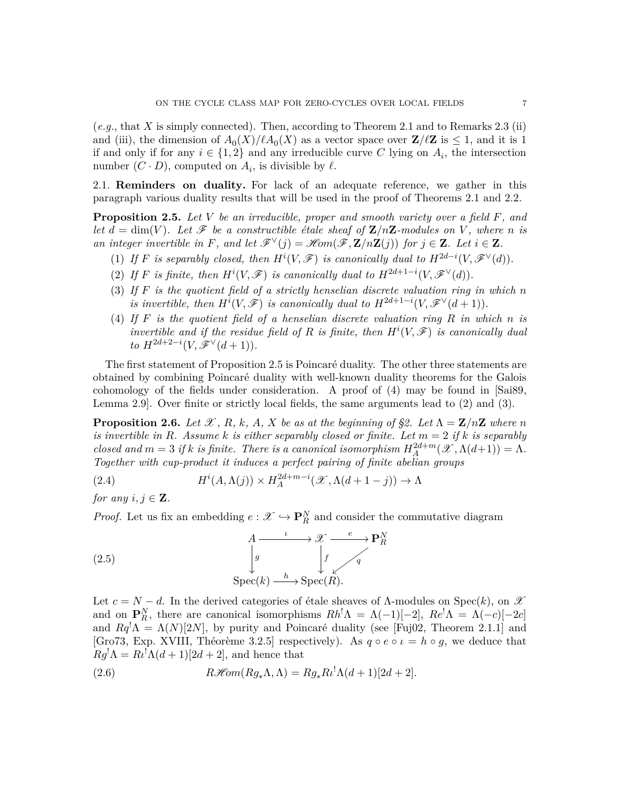(*e.g.*, that *X* is simply connected). Then, according to Theorem [2.1](#page-3-0) and to Remarks [2.3](#page-4-3) (ii) and (iii), the dimension of  $A_0(X)/\ell A_0(X)$  as a vector space over  $\mathbf{Z}/\ell\mathbf{Z}$  is  $\leq 1$ , and it is 1 if and only if for any  $i \in \{1, 2\}$  and any irreducible curve C lying on  $A_i$ , the intersection number  $(C \cdot D)$ , computed on  $A_i$ , is divisible by  $\ell$ .

<span id="page-6-2"></span>2.1. **Reminders on duality.** For lack of an adequate reference, we gather in this paragraph various duality results that will be used in the proof of Theorems [2.1](#page-3-0) and [2.2.](#page-4-0)

<span id="page-6-1"></span>**Proposition 2.5.** *Let V be an irreducible, proper and smooth variety over a field F, and let*  $d = \dim(V)$ *. Let*  $\mathcal{F}$  *be a constructible étale sheaf of*  $\mathbb{Z}/n\mathbb{Z}$ *-modules on V, where n is an integer invertible in F, and let*  $\mathscr{F}^{\vee}(j) = \mathscr{H}om(\mathscr{F}, \mathbf{Z}/n\mathbf{Z}(j))$  *for*  $j \in \mathbf{Z}$ *. Let*  $i \in \mathbf{Z}$ *.* 

- (1) If *F* is separably closed, then  $H^{i}(V, \mathscr{F})$  is canonically dual to  $H^{2d-i}(V, \mathscr{F}^{\vee}(d))$ .
- (2) If *F* is finite, then  $H^{i}(V, \mathscr{F})$  is canonically dual to  $H^{2d+1-i}(V, \mathscr{F}^{\vee}(d))$ .
- (3) *If F is the quotient field of a strictly henselian discrete valuation ring in which n is invertible, then*  $H^{i}(V, \mathscr{F})$  *is canonically dual to*  $H^{2d+1-i}(V, \mathscr{F}^{\vee}(d+1))$ *.*
- (4) *If F is the quotient field of a henselian discrete valuation ring R in which n is invertible and if the residue field of*  $R$  *is finite, then*  $H^i(V, \mathcal{F})$  *is canonically dual to*  $H^{2d+2-i}(V, \mathscr{F}^{\vee}(d+1)).$

The first statement of Proposition [2.5](#page-6-1) is Poincaré duality. The other three statements are obtained by combining Poincaré duality with well-known duality theorems for the Galois cohomology of the fields under consideration. A proof of (4) may be found in [\[Sai89,](#page-35-8) Lemma 2.9]. Over finite or strictly local fields, the same arguments lead to (2) and (3).

<span id="page-6-0"></span>**Proposition 2.6.** *Let*  $\mathcal{X}, R, k, A, X$  *be as at the beginning of [§2.](#page-3-1) Let*  $\Lambda = \mathbb{Z}/n\mathbb{Z}$  *where n is invertible in R.* Assume *k is either separably closed or finite. Let*  $m = 2$  *if k is separably closed and*  $m = 3$  *if*  $k$  *is finite. There is a canonical isomorphism*  $H_A^{2d+m}(\mathcal{X}, \Lambda(d+1)) = \Lambda$ . *Together with cup-product it induces a perfect pairing of finite abelian groups*

(2.4) 
$$
H^{i}(A, \Lambda(j)) \times H^{2d+m-i}_{A}(\mathscr{X}, \Lambda(d+1-j)) \to \Lambda
$$

*for any*  $i, j \in \mathbf{Z}$ *.* 

*Proof.* Let us fix an embedding  $e : \mathcal{X} \hookrightarrow \mathbf{P}_R^N$  and consider the commutative diagram



Let  $c = N - d$ . In the derived categories of étale sheaves of  $\Lambda$ -modules on Spec $(k)$ , on X and on  $\mathbf{P}_R^N$ , there are canonical isomorphisms  $Rh^{\dagger}\Lambda = \Lambda(-1)[-2]$ ,  $Re^{\dagger}\Lambda = \Lambda(-c)[-2c]$ and  $Rq^{\dagger}\Lambda = \Lambda(N)[2N]$ , by purity and Poincaré duality (see [\[Fuj02,](#page-34-0) Theorem 2.1.1] and [\[Gro73,](#page-34-1) Exp. XVIII, Théorème 3.2.5] respectively). As  $q \circ e \circ \iota = h \circ g$ , we deduce that  $Rg^{\dagger}\Lambda = R\iota^{\dagger}\Lambda(d+1)[2d+2]$ , and hence that

(2.6) 
$$
R\mathscr{H}\!\mathit{om}(Rg_*\Lambda,\Lambda) = Rg_*R\iota^!\Lambda(d+1)[2d+2].
$$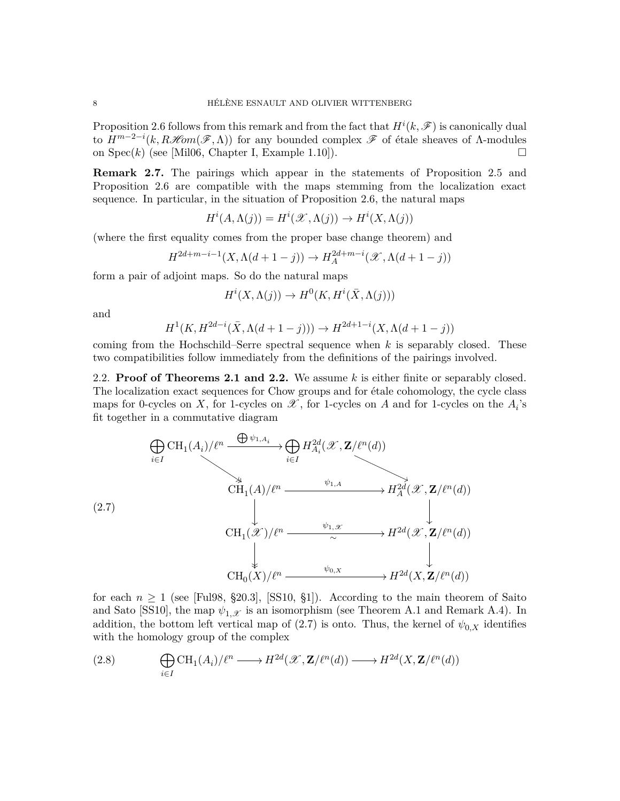Proposition [2.6](#page-6-0) follows from this remark and from the fact that  $H^i(k, \mathscr{F})$  is canonically dual to  $H^{m-2-i}(k, R\mathcal{H}om(\mathcal{F}, \Lambda))$  for any bounded complex  $\mathcal F$  of étale sheaves of  $\Lambda$ -modules on  $Spec(k)$  (see [\[Mil06,](#page-35-9) Chapter I, Example 1.10]).

<span id="page-7-2"></span>**Remark 2.7.** The pairings which appear in the statements of Proposition [2.5](#page-6-1) and Proposition [2.6](#page-6-0) are compatible with the maps stemming from the localization exact sequence. In particular, in the situation of Proposition [2.6,](#page-6-0) the natural maps

$$
H^i(A, \Lambda(j)) = H^i(\mathcal{X}, \Lambda(j)) \to H^i(X, \Lambda(j))
$$

(where the first equality comes from the proper base change theorem) and

$$
H^{2d+m-i-1}(X, \Lambda(d+1-j)) \to H^{2d+m-i}_A(\mathcal{X}, \Lambda(d+1-j))
$$

form a pair of adjoint maps. So do the natural maps

$$
H^i(X, \Lambda(j)) \to H^0(K, H^i(\bar{X}, \Lambda(j)))
$$

and

$$
H^1(K, H^{2d-i}(\bar{X}, \Lambda(d+1-j))) \to H^{2d+1-i}(X, \Lambda(d+1-j))
$$

coming from the Hochschild–Serre spectral sequence when *k* is separably closed. These two compatibilities follow immediately from the definitions of the pairings involved.

<span id="page-7-3"></span>2.2. **Proof of Theorems [2.1](#page-3-0) and [2.2.](#page-4-0)** We assume *k* is either finite or separably closed. The localization exact sequences for Chow groups and for étale cohomology, the cycle class maps for 0-cycles on *X*, for 1-cycles on  $\mathscr X$ , for 1-cycles on *A* and for 1-cycles on the  $A_i$ 's fit together in a commutative diagram

<span id="page-7-0"></span>

for each  $n \geq 1$  (see [\[Ful98,](#page-34-3) §20.3], [\[SS10,](#page-36-0) §1]). According to the main theorem of Saito and Sato [\[SS10\]](#page-36-0), the map  $\psi_{1,\mathcal{X}}$  is an isomorphism (see Theorem [A.1](#page-30-1) and Remark [A.4\)](#page-32-0). In addition, the bottom left vertical map of [\(2.7\)](#page-7-0) is onto. Thus, the kernel of  $\psi_{0,X}$  identifies with the homology group of the complex

<span id="page-7-1"></span>(2.8) 
$$
\bigoplus_{i \in I} \mathrm{CH}_1(A_i)/\ell^n \longrightarrow H^{2d}(\mathscr{X}, \mathbf{Z}/\ell^n(d)) \longrightarrow H^{2d}(X, \mathbf{Z}/\ell^n(d))
$$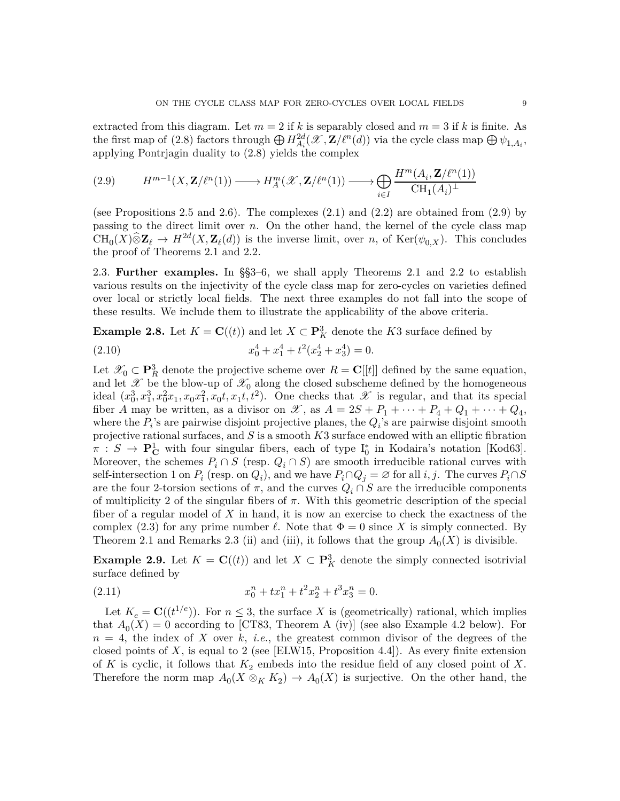extracted from this diagram. Let  $m = 2$  if k is separably closed and  $m = 3$  if k is finite. As the first map of [\(2.8\)](#page-7-1) factors through  $\bigoplus H^{2d}_{A_i}(\mathscr{X}, \mathbf{Z}/\ell^n(d))$  via the cycle class map  $\bigoplus \psi_{1, A_i}$ , applying Pontrjagin duality to [\(2.8\)](#page-7-1) yields the complex

<span id="page-8-0"></span>
$$
(2.9) \qquad H^{m-1}(X, \mathbf{Z}/\ell^n(1)) \longrightarrow H_A^m(\mathcal{X}, \mathbf{Z}/\ell^n(1)) \longrightarrow \bigoplus_{i \in I} \frac{H^m(A_i, \mathbf{Z}/\ell^n(1))}{\mathrm{CH}_1(A_i)^\perp}
$$

(see Propositions [2.5](#page-6-1) and [2.6\)](#page-6-0). The complexes  $(2.1)$  and  $(2.2)$  are obtained from  $(2.9)$  by passing to the direct limit over *n*. On the other hand, the kernel of the cycle class map  $CH_0(X)\hat{\otimes} \mathbf{Z}_{\ell} \to H^{2d}(X, \mathbf{Z}_{\ell}(d))$  is the inverse limit, over *n*, of Ker( $\psi_{0,X}$ ). This concludes the proof of Theorems [2.1](#page-3-0) and [2.2.](#page-4-0)

2.3. **Further examples.** In §[§3–](#page-9-0)[6,](#page-25-1) we shall apply Theorems [2.1](#page-3-0) and [2.2](#page-4-0) to establish various results on the injectivity of the cycle class map for zero-cycles on varieties defined over local or strictly local fields. The next three examples do not fall into the scope of these results. We include them to illustrate the applicability of the above criteria.

<span id="page-8-1"></span>**Example 2.8.** Let  $K = \mathbf{C}((t))$  and let  $X \subset \mathbf{P}_K^3$  denote the *K*3 surface defined by

(2.10) 
$$
x_0^4 + x_1^4 + t^2(x_2^4 + x_3^4) = 0.
$$

Let  $\mathcal{X}_0 \subset \mathbf{P}_R^3$  denote the projective scheme over  $R = \mathbf{C}[[t]]$  defined by the same equation, and let  $\mathscr X$  be the blow-up of  $\mathscr X_0$  along the closed subscheme defined by the homogeneous ideal  $(x_0^3, x_1^3, x_0^2, x_1, x_0, x_1^2, x_0, t, x_1, t^2)$ . One checks that X is regular, and that its special fiber *A* may be written, as a divisor on *X*, as  $A = 2S + P_1 + \cdots + P_4 + Q_1 + \cdots + Q_4$ , where the  $P_i$ 's are pairwise disjoint projective planes, the  $Q_i$ 's are pairwise disjoint smooth projective rational surfaces, and *S* is a smooth *K*3 surface endowed with an elliptic fibration  $\pi : S \to \mathbf{P}^1_{\mathbf{C}}$  with four singular fibers, each of type  $I_0^*$  in Kodaira's notation [\[Kod63\]](#page-34-4). Moreover, the schemes  $P_i \cap S$  (resp.  $Q_i \cap S$ ) are smooth irreducible rational curves with self-intersection 1 on  $P_i$  (resp. on  $Q_i$ ), and we have  $P_i \cap Q_j = \emptyset$  for all *i, j*. The curves  $P_i \cap S$ are the four 2-torsion sections of  $\pi$ , and the curves  $Q_i \cap S$  are the irreducible components of multiplicity 2 of the singular fibers of *π*. With this geometric description of the special fiber of a regular model of *X* in hand, it is now an exercise to check the exactness of the complex [\(2.3\)](#page-5-0) for any prime number  $\ell$ . Note that  $\Phi = 0$  since X is simply connected. By Theorem [2.1](#page-3-0) and Remarks [2.3](#page-4-3) (ii) and (iii), it follows that the group  $A_0(X)$  is divisible.

<span id="page-8-2"></span>**Example 2.9.** Let  $K = \mathbf{C}((t))$  and let  $X \subset \mathbf{P}_K^3$  denote the simply connected isotrivial surface defined by

(2.11) 
$$
x_0^n + tx_1^n + t^2x_2^n + t^3x_3^n = 0.
$$

Let  $K_e = \mathbf{C}((t^{1/e}))$ . For  $n \leq 3$ , the surface *X* is (geometrically) rational, which implies that  $A_0(X) = 0$  according to [\[CT83,](#page-33-6) Theorem A (iv)] (see also Example [4.2](#page-15-2) below). For *n* = 4, the index of *X* over *k*, *i.e.*, the greatest common divisor of the degrees of the closed points of  $X$ , is equal to 2 (see [\[ELW15,](#page-33-10) Proposition 4.4]). As every finite extension of  $K$  is cyclic, it follows that  $K_2$  embeds into the residue field of any closed point of  $X$ . Therefore the norm map  $A_0(X \otimes_K K_2) \to A_0(X)$  is surjective. On the other hand, the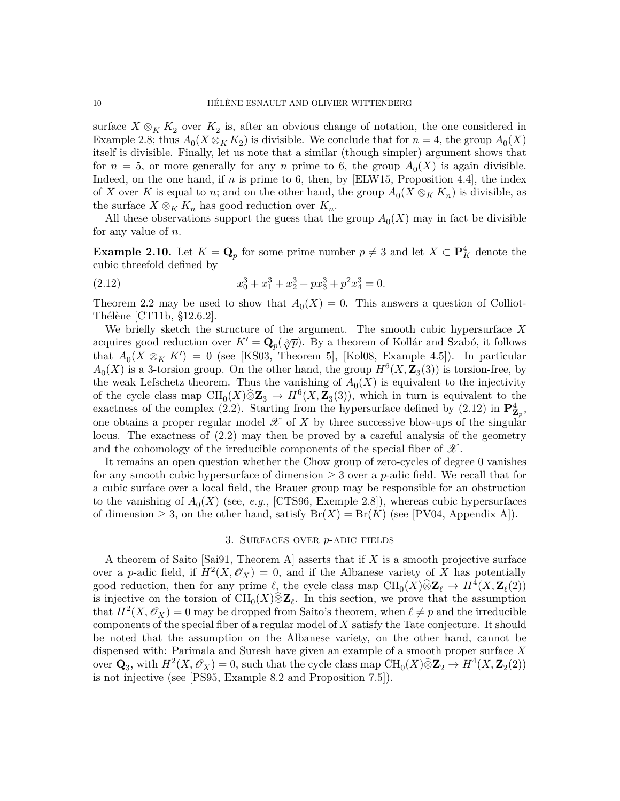surface  $X \otimes_K K_2$  over  $K_2$  is, after an obvious change of notation, the one considered in Example [2.8;](#page-8-1) thus  $A_0(X \otimes_K K_2)$  is divisible. We conclude that for  $n = 4$ , the group  $A_0(X)$ itself is divisible. Finally, let us note that a similar (though simpler) argument shows that for  $n = 5$ , or more generally for any *n* prime to 6, the group  $A_0(X)$  is again divisible. Indeed, on the one hand, if *n* is prime to 6, then, by [\[ELW15,](#page-33-10) Proposition 4.4], the index of *X* over *K* is equal to *n*; and on the other hand, the group  $A_0(X \otimes_K K_n)$  is divisible, as the surface  $X \otimes_K K_n$  has good reduction over  $K_n$ .

All these observations support the guess that the group  $A_0(X)$  may in fact be divisible for any value of *n*.

**Example 2.10.** Let  $K = \mathbf{Q}_p$  for some prime number  $p \neq 3$  and let  $X \subset \mathbf{P}_K^4$  denote the cubic threefold defined by

<span id="page-9-1"></span>(2.12) 
$$
x_0^3 + x_1^3 + x_2^3 + px_3^3 + p^2x_4^3 = 0.
$$

Theorem [2.2](#page-4-0) may be used to show that  $A_0(X) = 0$ . This answers a question of Colliot-Thélène [\[CT11b,](#page-33-11) §12.6.2].

We briefly sketch the structure of the argument. The smooth cubic hypersurface *X* acquires good reduction over  $K' = \mathbf{Q}_p(\sqrt[3]{p})$ . By a theorem of Kollár and Szabó, it follows that  $A_0(X \otimes_K K') = 0$  (see [\[KS03,](#page-35-10) Theorem 5], [\[Kol08,](#page-35-11) Example 4.5]). In particular  $A_0(X)$  is a 3-torsion group. On the other hand, the group  $H^6(X, \mathbb{Z}_3(3))$  is torsion-free, by the weak Lefschetz theorem. Thus the vanishing of  $A_0(X)$  is equivalent to the injectivity of the cycle class map  $CH_0(X)\hat{\otimes} \mathbb{Z}_3 \to H^6(X,\mathbb{Z}_3(3))$ , which in turn is equivalent to the exactness of the complex [\(2.2\)](#page-4-2). Starting from the hypersurface defined by [\(2.12\)](#page-9-1) in  $\mathbf{P}_{\mathbf{Z}_p}^4$ , one obtains a proper regular model  $\mathscr X$  of  $X$  by three successive blow-ups of the singular locus. The exactness of [\(2.2\)](#page-4-2) may then be proved by a careful analysis of the geometry and the cohomology of the irreducible components of the special fiber of  $\mathscr{X}$ .

It remains an open question whether the Chow group of zero-cycles of degree 0 vanishes for any smooth cubic hypersurface of dimension  $\geq 3$  over a *p*-adic field. We recall that for a cubic surface over a local field, the Brauer group may be responsible for an obstruction to the vanishing of  $A_0(X)$  (see, *e.g.*, [\[CTS96,](#page-33-12) Exemple 2.8]), whereas cubic hypersurfaces of dimension  $\geq 3$ , on the other hand, satisfy  $Br(X) = Br(K)$  (see [\[PV04,](#page-35-12) Appendix A]).

## 3. Surfaces over *p*-adic fields

<span id="page-9-0"></span>A theorem of Saito [\[Sai91,](#page-36-1) Theorem A] asserts that if *X* is a smooth projective surface over a *p*-adic field, if  $H^2(X, \mathcal{O}_X) = 0$ , and if the Albanese variety of X has potentially good reduction, then for any prime  $\ell$ , the cycle class map  $\text{CH}_0(X)\hat{\otimes}\mathbf{Z}_{\ell} \to H^4(X,\mathbf{Z}_{\ell}(2))$ is injective on the torsion of  $CH_0(X)\hat{\otimes} \mathbb{Z}_{\ell}$ . In this section, we prove that the assumption that  $H^2(X, \mathcal{O}_X) = 0$  may be dropped from Saito's theorem, when  $\ell \neq p$  and the irreducible components of the special fiber of a regular model of *X* satisfy the Tate conjecture. It should be noted that the assumption on the Albanese variety, on the other hand, cannot be dispensed with: Parimala and Suresh have given an example of a smooth proper surface *X* over  $\mathbf{Q}_3$ , with  $H^2(X, \mathcal{O}_X) = 0$ , such that the cycle class map  $\text{CH}_0(X) \widehat{\otimes} \mathbf{Z}_2 \to H^4(X, \mathbf{Z}_2(2))$ is not injective (see [\[PS95,](#page-35-1) Example 8.2 and Proposition 7.5]).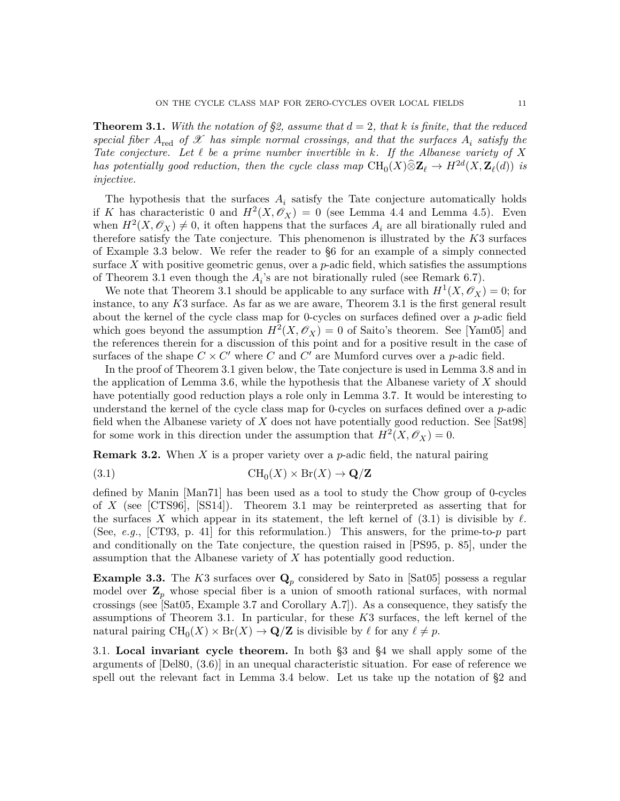<span id="page-10-0"></span>**Theorem 3.1.** With the notation of [§2,](#page-3-1) assume that  $d = 2$ , that k is finite, that the reduced *special fiber*  $A_{\text{red}}$  *of*  $X$  *has simple normal crossings, and that the surfaces*  $A_i$  *satisfy the Tate conjecture. Let ℓ be a prime number invertible in k. If the Albanese variety of X has potentially good reduction, then the cycle class map*  $\text{CH}_0(X) \hat{\otimes} \mathbf{Z}_{\ell} \to H^{2d}(X, \mathbf{Z}_{\ell}(d))$  is *injective.*

The hypothesis that the surfaces  $A_i$  satisfy the Tate conjecture automatically holds if *K* has characteristic 0 and  $H^2(X, \mathcal{O}_X) = 0$  (see Lemma [4.4](#page-16-0) and Lemma [4.5\)](#page-16-1). Even when  $H^2(X, \mathcal{O}_X) \neq 0$ , it often happens that the surfaces  $A_i$  are all birationally ruled and therefore satisfy the Tate conjecture. This phenomenon is illustrated by the *K*3 surfaces of Example [3.3](#page-10-2) below. We refer the reader to [§6](#page-25-1) for an example of a simply connected surface *X* with positive geometric genus, over a *p*-adic field, which satisfies the assumptions of Theorem [3.1](#page-10-0) even though the  $A_i$ 's are not birationally ruled (see Remark [6.7\)](#page-29-0).

We note that Theorem [3.1](#page-10-0) should be applicable to any surface with  $H^1(X, \mathscr{O}_X) = 0$ ; for instance, to any *K*3 surface. As far as we are aware, Theorem [3.1](#page-10-0) is the first general result about the kernel of the cycle class map for 0-cycles on surfaces defined over a *p*-adic field which goes beyond the assumption  $H^2(X, \mathcal{O}_X) = 0$  of Saito's theorem. See [\[Yam05\]](#page-36-2) and the references therein for a discussion of this point and for a positive result in the case of surfaces of the shape  $C \times C'$  where *C* and  $C'$  are Mumford curves over a *p*-adic field.

In the proof of Theorem [3.1](#page-10-0) given below, the Tate conjecture is used in Lemma [3.8](#page-14-1) and in the application of Lemma [3.6,](#page-13-1) while the hypothesis that the Albanese variety of *X* should have potentially good reduction plays a role only in Lemma [3.7.](#page-13-0) It would be interesting to understand the kernel of the cycle class map for 0-cycles on surfaces defined over a *p*-adic field when the Albanese variety of *X* does not have potentially good reduction. See [\[Sat98\]](#page-36-3) for some work in this direction under the assumption that  $H^2(X, \mathcal{O}_X) = 0$ .

<span id="page-10-1"></span>**Remark 3.2.** When *X* is a proper variety over a *p*-adic field, the natural pairing

<span id="page-10-3"></span>(3.1) 
$$
\text{CH}_0(X) \times \text{Br}(X) \to \mathbf{Q}/\mathbf{Z}
$$

defined by Manin [\[Man71\]](#page-35-13) has been used as a tool to study the Chow group of 0-cycles of *X* (see [\[CTS96\]](#page-33-12), [\[SS14\]](#page-36-4)). Theorem [3.1](#page-10-0) may be reinterpreted as asserting that for the surfaces X which appear in its statement, the left kernel of  $(3.1)$  is divisible by  $\ell$ . (See, *e.g.*, [\[CT93,](#page-33-2) p. 41] for this reformulation.) This answers, for the prime-to-*p* part and conditionally on the Tate conjecture, the question raised in [\[PS95,](#page-35-1) p. 85], under the assumption that the Albanese variety of *X* has potentially good reduction.

<span id="page-10-2"></span>**Example 3.3.** The *K*3 surfaces over **Q***<sup>p</sup>* considered by Sato in [\[Sat05\]](#page-36-5) possess a regular model over  $\mathbf{Z}_p$  whose special fiber is a union of smooth rational surfaces, with normal crossings (see [\[Sat05,](#page-36-5) Example 3.7 and Corollary A.7]). As a consequence, they satisfy the assumptions of Theorem [3.1.](#page-10-0) In particular, for these *K*3 surfaces, the left kernel of the natural pairing  $\text{CH}_0(X) \times \text{Br}(X) \to \mathbf{Q}/\mathbf{Z}$  is divisible by  $\ell$  for any  $\ell \neq p$ .

3.1. **Local invariant cycle theorem.** In both [§3](#page-9-0) and [§4](#page-14-0) we shall apply some of the arguments of [\[Del80,](#page-33-13) (3.6)] in an unequal characteristic situation. For ease of reference we spell out the relevant fact in Lemma [3.4](#page-11-0) below. Let us take up the notation of [§2](#page-3-1) and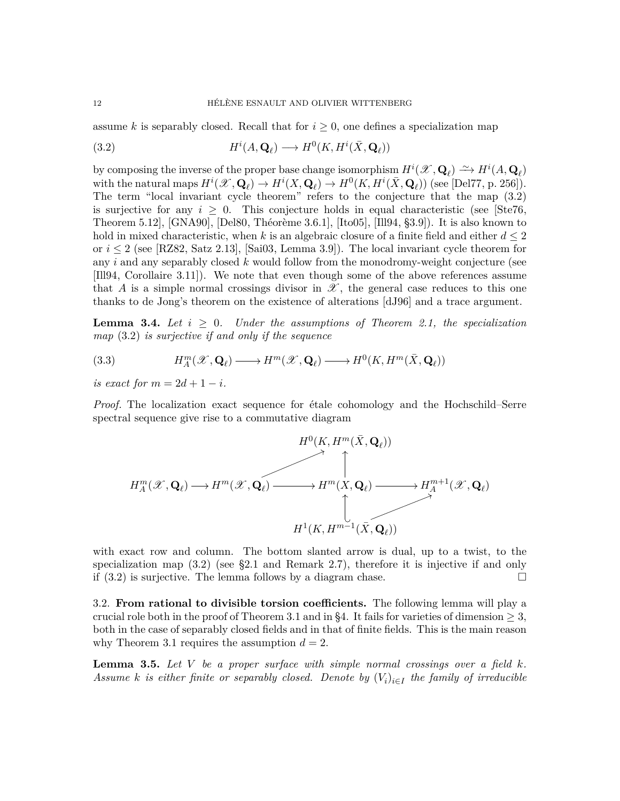assume *k* is separably closed. Recall that for  $i \geq 0$ , one defines a specialization map

<span id="page-11-1"></span>(3.2) 
$$
H^{i}(A, \mathbf{Q}_{\ell}) \longrightarrow H^{0}(K, H^{i}(\bar{X}, \mathbf{Q}_{\ell}))
$$

by composing the inverse of the proper base change isomorphism  $H^i(\mathcal{X}, \mathbf{Q}_\ell) \longrightarrow H^i(A, \mathbf{Q}_\ell)$ with the natural maps  $H^i(\mathcal{X}, \mathbf{Q}_\ell) \to H^i(X, \mathbf{Q}_\ell) \to H^0(K, H^i(\bar{X}, \mathbf{Q}_\ell))$  (see [\[Del77,](#page-33-14) p. 256]). The term "local invariant cycle theorem" refers to the conjecture that the map [\(3.2\)](#page-11-1) is surjective for any  $i \geq 0$ . This conjecture holds in equal characteristic (see [\[Ste76,](#page-36-6) Theorem 5.12], [\[GNA90\]](#page-34-5), [\[Del80,](#page-33-13) Théorème 3.6.1], [\[Ito05\]](#page-34-6), [\[Ill94,](#page-34-7) §3.9]). It is also known to hold in mixed characteristic, when k is an algebraic closure of a finite field and either  $d \leq 2$ or  $i \leq 2$  (see [\[RZ82,](#page-35-14) Satz 2.13], [\[Sai03,](#page-36-7) Lemma 3.9]). The local invariant cycle theorem for any *i* and any separably closed *k* would follow from the monodromy-weight conjecture (see [\[Ill94,](#page-34-7) Corollaire 3.11]). We note that even though some of the above references assume that *A* is a simple normal crossings divisor in  $\mathscr{X}$ , the general case reduces to this one thanks to de Jong's theorem on the existence of alterations [\[dJ96\]](#page-33-15) and a trace argument.

<span id="page-11-0"></span>**Lemma 3.4.** Let  $i \geq 0$ . Under the assumptions of Theorem [2.1,](#page-3-0) the specialization *map* [\(3.2\)](#page-11-1) *is surjective if and only if the sequence*

<span id="page-11-3"></span>(3.3) 
$$
H_A^m(\mathscr{X}, \mathbf{Q}_\ell) \longrightarrow H^m(\mathscr{X}, \mathbf{Q}_\ell) \longrightarrow H^0(K, H^m(\bar{X}, \mathbf{Q}_\ell))
$$

*is exact for*  $m = 2d + 1 - i$ .

*Proof.* The localization exact sequence for étale cohomology and the Hochschild–Serre spectral sequence give rise to a commutative diagram



with exact row and column. The bottom slanted arrow is dual, up to a twist, to the specialization map  $(3.2)$  (see [§2.1](#page-6-2) and Remark [2.7\)](#page-7-2), therefore it is injective if and only if  $(3.2)$  is surjective. The lemma follows by a diagram chase.

3.2. **From rational to divisible torsion coefficients.** The following lemma will play a crucial role both in the proof of Theorem [3.1](#page-10-0) and in [§4.](#page-14-0) It fails for varieties of dimension  $\geq$  3, both in the case of separably closed fields and in that of finite fields. This is the main reason why Theorem [3.1](#page-10-0) requires the assumption  $d = 2$ .

<span id="page-11-2"></span>**Lemma 3.5.** Let  $V$  be a proper surface with simple normal crossings over a field  $k$ . *Assume k is either finite or separably closed. Denote by*  $(V_i)_{i \in I}$  *the family of irreducible*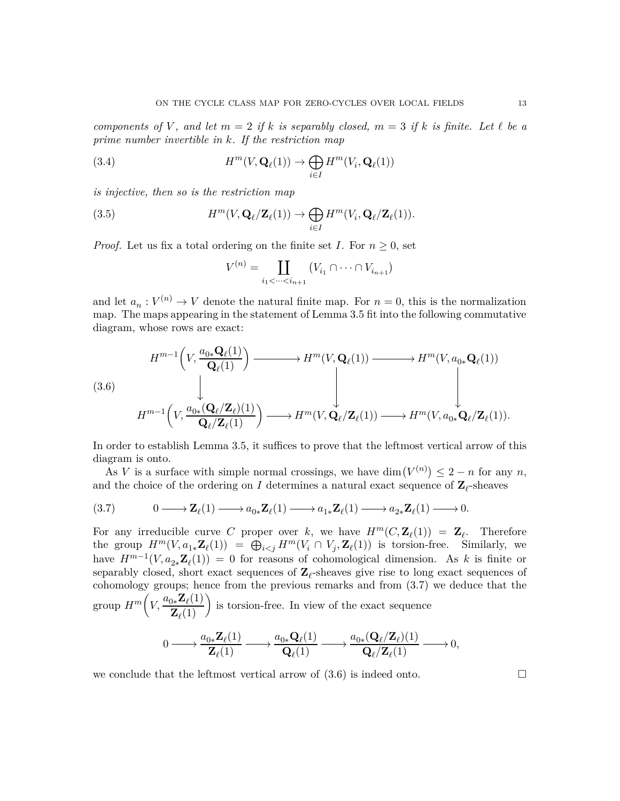*components of*  $V$ *, and let*  $m = 2$  *if*  $k$  *is separably closed,*  $m = 3$  *if*  $k$  *is finite. Let*  $\ell$  *be a prime number invertible in k. If the restriction map*

<span id="page-12-2"></span>(3.4) 
$$
H^m(V, \mathbf{Q}_{\ell}(1)) \to \bigoplus_{i \in I} H^m(V_i, \mathbf{Q}_{\ell}(1))
$$

*is injective, then so is the restriction map*

(3.5) 
$$
H^m(V, \mathbf{Q}_{\ell}/\mathbf{Z}_{\ell}(1)) \to \bigoplus_{i \in I} H^m(V_i, \mathbf{Q}_{\ell}/\mathbf{Z}_{\ell}(1)).
$$

*Proof.* Let us fix a total ordering on the finite set *I*. For  $n \geq 0$ , set

$$
V^{(n)} = \coprod_{i_1 < \dots < i_{n+1}} \left( V_{i_1} \cap \dots \cap V_{i_{n+1}} \right)
$$

and let  $a_n: V^{(n)} \to V$  denote the natural finite map. For  $n = 0$ , this is the normalization map. The maps appearing in the statement of Lemma [3.5](#page-11-2) fit into the following commutative diagram, whose rows are exact:

<span id="page-12-1"></span>
$$
(3.6) \qquad H^{m-1}\left(V, \frac{a_{0*}\mathbf{Q}_{\ell}(1)}{\mathbf{Q}_{\ell}(1)}\right) \longrightarrow H^{m}(V, \mathbf{Q}_{\ell}(1)) \longrightarrow H^{m}(V, a_{0*}\mathbf{Q}_{\ell}(1))
$$
\n
$$
H^{m-1}\left(V, \frac{a_{0*}(\mathbf{Q}_{\ell}/\mathbf{Z}_{\ell})(1)}{\mathbf{Q}_{\ell}/\mathbf{Z}_{\ell}(1)}\right) \longrightarrow H^{m}(V, \mathbf{Q}_{\ell}/\mathbf{Z}_{\ell}(1)) \longrightarrow H^{m}(V, a_{0*}\mathbf{Q}_{\ell}/\mathbf{Z}_{\ell}(1)).
$$

In order to establish Lemma [3.5,](#page-11-2) it suffices to prove that the leftmost vertical arrow of this diagram is onto.

As *V* is a surface with simple normal crossings, we have dim $(V^{(n)}) \leq 2 - n$  for any *n*, and the choice of the ordering on *I* determines a natural exact sequence of  $\mathbf{Z}_{\ell}$ -sheaves

<span id="page-12-0"></span>
$$
(3.7) \t 0 \longrightarrow \mathbf{Z}_{\ell}(1) \longrightarrow a_{0*} \mathbf{Z}_{\ell}(1) \longrightarrow a_{1*} \mathbf{Z}_{\ell}(1) \longrightarrow a_{2*} \mathbf{Z}_{\ell}(1) \longrightarrow 0.
$$

For any irreducible curve *C* proper over *k*, we have  $H^m(C, \mathbb{Z}_\ell(1)) = \mathbb{Z}_\ell$ . Therefore the group  $H^m(V, a_{1*}\mathbf{Z}_{\ell}(1)) = \bigoplus_{i < j} H^m(V_i \cap V_j, \mathbf{Z}_{\ell}(1))$  is torsion-free. Similarly, we have  $H^{m-1}(V, a_{2*}\mathbf{Z}_{\ell}(1)) = 0$  for reasons of cohomological dimension. As *k* is finite or separably closed, short exact sequences of  $\mathbf{Z}_{\ell}$ -sheaves give rise to long exact sequences of cohomology groups; hence from the previous remarks and from [\(3.7\)](#page-12-0) we deduce that the group  $H^m\left(V, \frac{a_{0*}\mathbf{Z}_{\ell}(1)}{Z_{\ell}(1)}\right)$  $\left(\frac{\mathbf{Z}_{\ell}(1)}{\mathbf{Z}_{\ell}(1)}\right)$  is torsion-free. In view of the exact sequence

$$
0 \longrightarrow \frac{a_{0*} \mathbf{Z}_{\ell}(1)}{\mathbf{Z}_{\ell}(1)} \longrightarrow \frac{a_{0*} \mathbf{Q}_{\ell}(1)}{\mathbf{Q}_{\ell}(1)} \longrightarrow \frac{a_{0*}(\mathbf{Q}_{\ell}/\mathbf{Z}_{\ell})(1)}{\mathbf{Q}_{\ell}/\mathbf{Z}_{\ell}(1)} \longrightarrow 0,
$$

we conclude that the leftmost vertical arrow of  $(3.6)$  is indeed onto.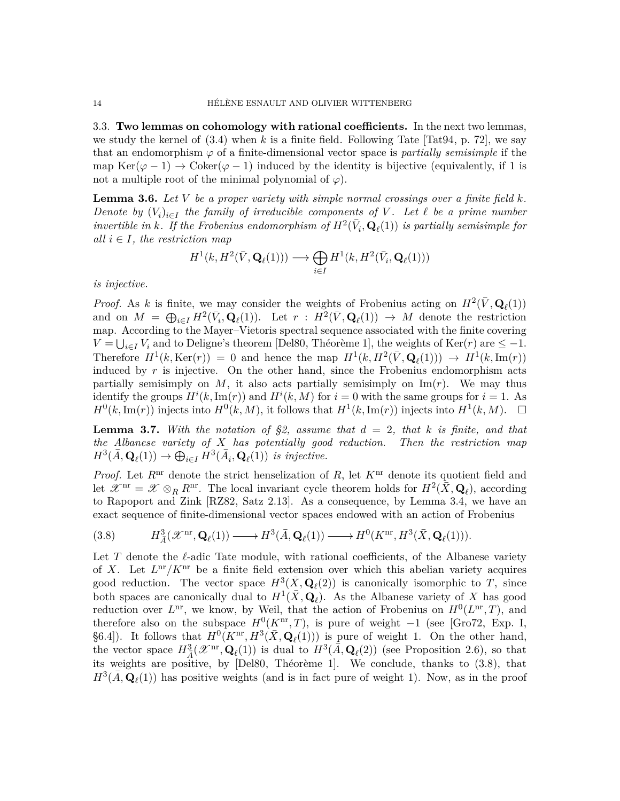3.3. **Two lemmas on cohomology with rational coefficients.** In the next two lemmas, we study the kernel of  $(3.4)$  when k is a finite field. Following Tate [\[Tat94,](#page-36-8) p. 72], we say that an endomorphism  $\varphi$  of a finite-dimensional vector space is *partially semisimple* if the map Ker( $\varphi$  - 1)  $\rightarrow$  Coker( $\varphi$  - 1) induced by the identity is bijective (equivalently, if 1 is not a multiple root of the minimal polynomial of  $\varphi$ ).

<span id="page-13-1"></span>**Lemma 3.6.** *Let V be a proper variety with simple normal crossings over a finite field k. Denote by*  $(V_i)_{i \in I}$  the family of irreducible components of V. Let  $\ell$  be a prime number *invertible in k*. If the Frobenius endomorphism of  $H^2(\bar{V}_i, \mathbf{Q}_\ell(1))$  is partially semisimple for *all*  $i \in I$ *, the restriction map* 

$$
H^1(k, H^2(\bar V, \mathbf{Q}_{\ell}(1))) \longrightarrow \bigoplus_{i \in I} H^1(k, H^2(\bar V_i, \mathbf{Q}_{\ell}(1)))
$$

*is injective.*

*Proof.* As *k* is finite, we may consider the weights of Frobenius acting on  $H^2(\bar{V}, \mathbf{Q}_\ell(1))$ and on  $M = \bigoplus_{i \in I} H^2(\bar{V}_i, \mathbf{Q}_\ell(1))$ . Let  $r : H^2(\bar{V}, \mathbf{Q}_\ell(1)) \to M$  denote the restriction map. According to the Mayer–Vietoris spectral sequence associated with the finite covering  $V = \bigcup_{i \in I} V_i$  and to Deligne's theorem [\[Del80,](#page-33-13) Théorème 1], the weights of Ker(*r*) are  $\leq -1$ . Therefore  $H^1(k, \text{Ker}(r)) = 0$  and hence the map  $H^1(k, H^2(\bar{V}, \mathbf{Q}_\ell(1))) \to H^1(k, \text{Im}(r))$ induced by  $r$  is injective. On the other hand, since the Frobenius endomorphism acts partially semisimply on  $M$ , it also acts partially semisimply on  $\text{Im}(r)$ . We may thus identify the groups  $H^i(k, \text{Im}(r))$  and  $H^i(k, M)$  for  $i = 0$  with the same groups for  $i = 1$ . As  $H^0(k, \text{Im}(r))$  injects into  $H^0(k, M)$ , it follows that  $H^1(k, \text{Im}(r))$  injects into  $H^1(k, M)$ .  $\Box$ 

<span id="page-13-0"></span>**Lemma 3.7.** With the notation of [§2,](#page-3-1) assume that  $d = 2$ , that k is finite, and that *the Albanese variety of X has potentially good reduction. Then the restriction map*  $H^3(\bar{A}, \mathbf{Q}_{\ell}(1)) \to \bigoplus_{i \in I} H^3(\bar{A}_i, \mathbf{Q}_{\ell}(1))$  *is injective.* 

*Proof.* Let  $R<sup>nr</sup>$  denote the strict henselization of  $R$ , let  $K<sup>nr</sup>$  denote its quotient field and let  $\mathscr{X}^{\text{nr}} = \mathscr{X} \otimes_R R^{\text{nr}}$ . The local invariant cycle theorem holds for  $H^2(\bar{X}, \mathbf{Q}_\ell)$ , according to Rapoport and Zink [\[RZ82,](#page-35-14) Satz 2.13]. As a consequence, by Lemma [3.4,](#page-11-0) we have an exact sequence of finite-dimensional vector spaces endowed with an action of Frobenius

<span id="page-13-2"></span>
$$
(3.8) \tH^3_{\tilde{A}}(\mathscr{X}^{\mathrm{nr}}, \mathbf{Q}_{\ell}(1)) \longrightarrow H^3(\bar{A}, \mathbf{Q}_{\ell}(1)) \longrightarrow H^0(K^{\mathrm{nr}}, H^3(\bar{X}, \mathbf{Q}_{\ell}(1))).
$$

Let  $T$  denote the  $\ell$ -adic Tate module, with rational coefficients, of the Albanese variety of *X*. Let  $L^{\text{nr}}/K^{\text{nr}}$  be a finite field extension over which this abelian variety acquires good reduction. The vector space  $H^3(\bar{X}, \mathbf{Q}_\ell(2))$  is canonically isomorphic to T, since both spaces are canonically dual to  $H^1(\bar{X}, \mathbf{Q}_\ell)$ . As the Albanese variety of X has good reduction over  $L^{\text{nr}}$ , we know, by Weil, that the action of Frobenius on  $H^0(L^{\text{nr}}, T)$ , and therefore also on the subspace  $H^0(K^{\text{nr}}, T)$ , is pure of weight −1 (see [\[Gro72,](#page-34-8) Exp. I, §6.4]). It follows that  $H^0(K^{\text{nr}}, H^3(\bar{X}, \mathbf{Q}_\ell(1)))$  is pure of weight 1. On the other hand, the vector space  $H^3_{\bar{A}}(\mathscr{X}^{\text{nr}}, \mathbf{Q}_{\ell}(1))$  is dual to  $H^3(\bar{A}, \mathbf{Q}_{\ell}(2))$  (see Proposition [2.6\)](#page-6-0), so that its weights are positive, by [\[Del80,](#page-33-13) Théorème 1]. We conclude, thanks to [\(3.8\)](#page-13-2), that  $H^3(\bar{A}, \mathbf{Q}_\ell(1))$  has positive weights (and is in fact pure of weight 1). Now, as in the proof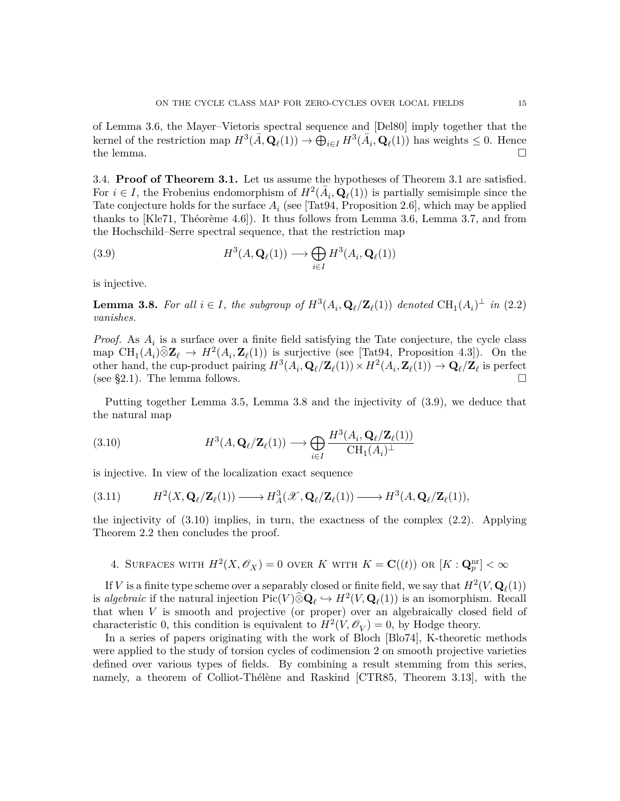of Lemma [3.6,](#page-13-1) the Mayer–Vietoris spectral sequence and [\[Del80\]](#page-33-13) imply together that the kernel of the restriction map  $H^3(\bar{A}, \mathbf{Q}_\ell(1)) \to \bigoplus_{i \in I} H^3(\bar{A}_i, \mathbf{Q}_\ell(1))$  has weights  $\leq 0$ . Hence the lemma.  $\square$ 

3.4. **Proof of Theorem [3.1.](#page-10-0)** Let us assume the hypotheses of Theorem [3.1](#page-10-0) are satisfied. For  $i \in I$ , the Frobenius endomorphism of  $H^2(\bar{A}_i, \mathbf{Q}_\ell(1))$  is partially semisimple since the Tate conjecture holds for the surface  $A_i$  (see [\[Tat94,](#page-36-8) Proposition 2.6], which may be applied thanks to [\[Kle71,](#page-34-9) Théorème 4.6]). It thus follows from Lemma [3.6,](#page-13-1) Lemma [3.7,](#page-13-0) and from the Hochschild–Serre spectral sequence, that the restriction map

<span id="page-14-2"></span>(3.9) 
$$
H^3(A, \mathbf{Q}_{\ell}(1)) \longrightarrow \bigoplus_{i \in I} H^3(A_i, \mathbf{Q}_{\ell}(1))
$$

is injective.

<span id="page-14-1"></span>**Lemma 3.8.** For all  $i \in I$ , the subgroup of  $H^3(A_i, \mathbf{Q}_\ell/\mathbf{Z}_\ell(1))$  denoted  $\text{CH}_1(A_i)^\perp$  in [\(2.2\)](#page-4-2) *vanishes.*

*Proof.* As  $A_i$  is a surface over a finite field satisfying the Tate conjecture, the cycle class map  $\text{CH}_1(A_i) \widehat{\otimes} \mathbf{Z}_{\ell} \rightarrow H^2(A_i, \mathbf{Z}_{\ell}(1))$  is surjective (see [\[Tat94,](#page-36-8) Proposition 4.3]). On the other hand, the cup-product pairing  $H^3(A_i, \mathbf{Q}_\ell/\mathbf{Z}_\ell(1)) \times H^2(A_i, \mathbf{Z}_\ell(1)) \to \mathbf{Q}_\ell/\mathbf{Z}_\ell$  is perfect (see [§2.1\)](#page-6-2). The lemma follows.  $\square$ 

Putting together Lemma [3.5,](#page-11-2) Lemma [3.8](#page-14-1) and the injectivity of [\(3.9\)](#page-14-2), we deduce that the natural map

<span id="page-14-3"></span>(3.10) 
$$
H^3(A, \mathbf{Q}_{\ell}/\mathbf{Z}_{\ell}(1)) \longrightarrow \bigoplus_{i \in I} \frac{H^3(A_i, \mathbf{Q}_{\ell}/\mathbf{Z}_{\ell}(1))}{\mathrm{CH}_1(A_i)^{\perp}}
$$

is injective. In view of the localization exact sequence

$$
(3.11) \tH2(X, \mathbf{Q}_{\ell}/\mathbf{Z}_{\ell}(1)) \longrightarrow HA3(\mathscr{X}, \mathbf{Q}_{\ell}/\mathbf{Z}_{\ell}(1)) \longrightarrow H3(A, \mathbf{Q}_{\ell}/\mathbf{Z}_{\ell}(1)),
$$

the injectivity of  $(3.10)$  implies, in turn, the exactness of the complex  $(2.2)$ . Applying Theorem [2.2](#page-4-0) then concludes the proof.

<span id="page-14-0"></span>4. SURFACES WITH  $H^2(X, \mathscr{O}_X) = 0$  over *K* with  $K = \mathbf{C}((t))$  or  $[K: \mathbf{Q}_p^{\text{nr}}] < \infty$ 

If *V* is a finite type scheme over a separably closed or finite field, we say that  $H^2(V, \mathbf{Q}_\ell(1))$ is *algebraic* if the natural injection  $Pic(V) \widehat{\otimes} \mathbf{Q}_{\ell} \hookrightarrow H^2(V, \mathbf{Q}_{\ell}(1))$  is an isomorphism. Recall that when *V* is smooth and projective (or proper) over an algebraically closed field of characteristic 0, this condition is equivalent to  $H^2(V, \mathcal{O}_V) = 0$ , by Hodge theory.

In a series of papers originating with the work of Bloch [\[Blo74\]](#page-33-1), K-theoretic methods were applied to the study of torsion cycles of codimension 2 on smooth projective varieties defined over various types of fields. By combining a result stemming from this series, namely, a theorem of Colliot-Thélène and Raskind [\[CTR85,](#page-33-8) Theorem 3.13], with the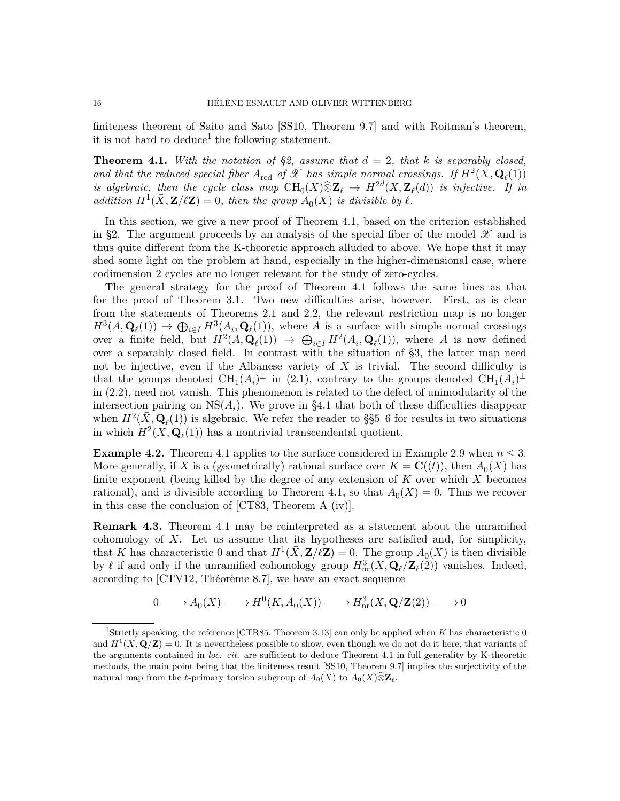finiteness theorem of Saito and Sato [\[SS10,](#page-36-0) Theorem 9.7] and with Roitman's theorem, it is not hard to deduce<sup>[1](#page-15-3)</sup> the following statement.

<span id="page-15-0"></span>**Theorem 4.1.** With the notation of  $\S$ 2, assume that  $d = 2$ , that  $k$  is separably closed, and that the reduced special fiber  $A_{\text{red}}$  of  $\mathscr X$  has simple normal crossings. If  $H^2(\bar X, \mathbf{Q}_\ell(1))$ *is algebraic, then the cycle class map*  $\text{CH}_0(X) \hat{\otimes} \mathbb{Z}_\ell \to H^{2d}(X, \mathbb{Z}_\ell(d))$  *is injective. If in addition*  $H^1(\bar{X}, \mathbf{Z}/\ell\mathbf{Z}) = 0$ , then the group  $A_0(X)$  *is divisible by*  $\ell$ *.* 

In this section, we give a new proof of Theorem [4.1,](#page-15-0) based on the criterion established in [§2.](#page-3-1) The argument proceeds by an analysis of the special fiber of the model  $\mathscr X$  and is thus quite different from the K-theoretic approach alluded to above. We hope that it may shed some light on the problem at hand, especially in the higher-dimensional case, where codimension 2 cycles are no longer relevant for the study of zero-cycles.

The general strategy for the proof of Theorem [4.1](#page-15-0) follows the same lines as that for the proof of Theorem [3.1.](#page-10-0) Two new difficulties arise, however. First, as is clear from the statements of Theorems [2.1](#page-3-0) and [2.2,](#page-4-0) the relevant restriction map is no longer  $H^3(A, \mathbf{Q}_\ell(1)) \to \bigoplus_{i \in I} H^3(A_i, \mathbf{Q}_\ell(1)),$  where *A* is a surface with simple normal crossings over a finite field, but  $H^2(A, \mathbf{Q}_\ell(1)) \to \bigoplus_{i \in I} H^2(A_i, \mathbf{Q}_\ell(1)),$  where *A* is now defined over a separably closed field. In contrast with the situation of [§3,](#page-9-0) the latter map need not be injective, even if the Albanese variety of *X* is trivial. The second difficulty is that the groups denoted  $\text{CH}_1(A_i)^{\perp}$  in [\(2.1\)](#page-4-1), contrary to the groups denoted  $\text{CH}_1(A_i)^{\perp}$ in [\(2.2\)](#page-4-2), need not vanish. This phenomenon is related to the defect of unimodularity of the intersection pairing on  $NS(A_i)$ . We prove in [§4.1](#page-16-2) that both of these difficulties disappear when  $H^2(\bar{X}, \mathbf{Q}_\ell(1))$  is algebraic. We refer the reader to §[§5–](#page-19-1)[6](#page-25-1) for results in two situations in which  $H^2(\bar{X}, \mathbf{Q}_\ell(1))$  has a nontrivial transcendental quotient.

<span id="page-15-2"></span>**Example 4.2.** Theorem [4.1](#page-15-0) applies to the surface considered in Example [2.9](#page-8-2) when  $n \leq 3$ . More generally, if *X* is a (geometrically) rational surface over  $K = \mathbf{C}((t))$ , then  $A_0(X)$  has finite exponent (being killed by the degree of any extension of *K* over which *X* becomes rational), and is divisible according to Theorem [4.1,](#page-15-0) so that  $A_0(X) = 0$ . Thus we recover in this case the conclusion of [\[CT83,](#page-33-6) Theorem A (iv)].

<span id="page-15-1"></span>**Remark 4.3.** Theorem [4.1](#page-15-0) may be reinterpreted as a statement about the unramified cohomology of *X*. Let us assume that its hypotheses are satisfied and, for simplicity, that *K* has characteristic 0 and that  $H^1(\bar{X}, \mathbf{Z}/\ell \mathbf{Z}) = 0$ . The group  $A_0(X)$  is then divisible by  $\ell$  if and only if the unramified cohomology group  $H^3_{\text{nr}}(X, \mathbf{Q}_\ell/\mathbf{Z}_\ell(2))$  vanishes. Indeed, according to [\[CTV12,](#page-33-16) Théorème 8.7], we have an exact sequence

$$
0 \longrightarrow A_0(X) \longrightarrow H^0(K, A_0(\bar{X})) \longrightarrow H^3_{{\mathrm{nr}}}(X, \mathbf{Q}/\mathbf{Z}(2)) \longrightarrow 0
$$

<span id="page-15-3"></span><sup>1</sup>Strictly speaking, the reference [\[CTR85,](#page-33-8) Theorem 3.13] can only be applied when *K* has characteristic 0 and  $H^1(\bar{X}, \mathbf{Q}/\mathbf{Z}) = 0$ . It is nevertheless possible to show, even though we do not do it here, that variants of the arguments contained in *loc. cit.* are sufficient to deduce Theorem [4.1](#page-15-0) in full generality by K-theoretic methods, the main point being that the finiteness result [\[SS10,](#page-36-0) Theorem 9.7] implies the surjectivity of the natural map from the  $\ell$ -primary torsion subgroup of  $A_0(X)$  to  $A_0(X)\widehat{\otimes} \mathbf{Z}_{\ell}$ .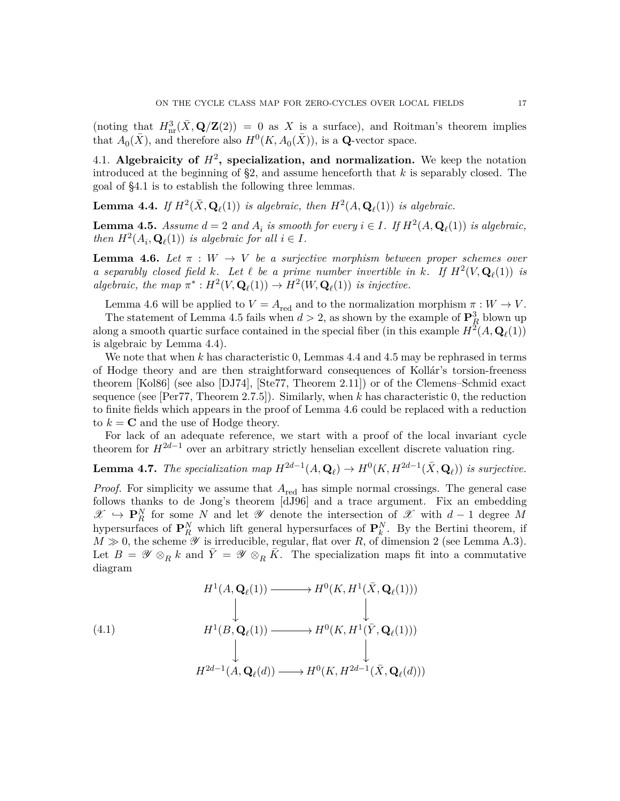(noting that  $H^3_{\text{nr}}(\bar{X}, \mathbf{Q}/\mathbf{Z}(2)) = 0$  as X is a surface), and Roitman's theorem implies that  $A_0(\bar{X})$ , and therefore also  $H^0(K, A_0(\bar{X}))$ , is a **Q**-vector space.

<span id="page-16-2"></span>4.1. Algebraicity of  $H^2$ , specialization, and normalization. We keep the notation introduced at the beginning of [§2,](#page-3-1) and assume henceforth that *k* is separably closed. The goal of [§4.1](#page-16-2) is to establish the following three lemmas.

<span id="page-16-0"></span>**Lemma 4.4.** *If*  $H^2(\bar{X}, \mathbf{Q}_\ell(1))$  *is algebraic, then*  $H^2(A, \mathbf{Q}_\ell(1))$  *is algebraic.* 

<span id="page-16-1"></span>**Lemma 4.5.** *Assume*  $d = 2$  *and*  $A_i$  *is smooth for every*  $i \in I$ *. If*  $H^2(A, \mathbf{Q}_\ell(1))$  *is algebraic, then*  $H^2(A_i, \mathbf{Q}_\ell(1))$  *is algebraic for all*  $i \in I$ *.* 

<span id="page-16-3"></span>**Lemma 4.6.** *Let*  $\pi : W \to V$  *be a surjective morphism between proper schemes over a* separably closed field  $k$ . Let  $\ell$  be a prime number invertible in  $k$ *.* If  $H^2(V, \mathbf{Q}_{\ell}(1))$  is  $algebraic, the map \pi^*: H^2(V, \mathbf{Q}_\ell(1)) \to H^2(W, \mathbf{Q}_\ell(1))$  *is injective.* 

Lemma [4.6](#page-16-3) will be applied to  $V = A_{\text{red}}$  and to the normalization morphism  $\pi : W \to V$ .

The statement of Lemma [4.5](#page-16-1) fails when  $d > 2$ , as shown by the example of  $\mathbf{P}_R^3$  blown up along a smooth quartic surface contained in the special fiber (in this example  $H^2(A, \mathbf{Q}_\ell(1))$ is algebraic by Lemma [4.4\)](#page-16-0).

We note that when *k* has characteristic 0, Lemmas [4.4](#page-16-0) and [4.5](#page-16-1) may be rephrased in terms of Hodge theory and are then straightforward consequences of Kollár's torsion-freeness theorem [\[Kol86\]](#page-35-15) (see also [\[DJ74\]](#page-33-17), [\[Ste77,](#page-36-9) Theorem 2.11]) or of the Clemens–Schmid exact sequence (see [\[Per77,](#page-35-16) Theorem 2.7.5]). Similarly, when *k* has characteristic 0, the reduction to finite fields which appears in the proof of Lemma [4.6](#page-16-3) could be replaced with a reduction to  $k = \mathbf{C}$  and the use of Hodge theory.

For lack of an adequate reference, we start with a proof of the local invariant cycle theorem for  $H^{2d-1}$  over an arbitrary strictly henselian excellent discrete valuation ring.

<span id="page-16-4"></span>**Lemma 4.7.** *The specialization map*  $H^{2d-1}(A, \mathbf{Q}_\ell) \to H^0(K, H^{2d-1}(\bar{X}, \mathbf{Q}_\ell))$  *is surjective.* 

*Proof.* For simplicity we assume that  $A_{\text{red}}$  has simple normal crossings. The general case follows thanks to de Jong's theorem [\[dJ96\]](#page-33-15) and a trace argument. Fix an embedding  $\mathscr{X}$   $\hookrightarrow$  **P**<sup>*N*</sup><sub>*R*</sub> for some *N* and let  $\mathscr{Y}$  denote the intersection of  $\mathscr{X}$  with *d* − 1 degree *M* hypersurfaces of  $\mathbf{P}_R^N$  which lift general hypersurfaces of  $\mathbf{P}_k^N$ . By the Bertini theorem, if  $M \gg 0$ , the scheme  $\mathscr Y$  is irreducible, regular, flat over  $R$ , of dimension 2 (see Lemma [A.3\)](#page-31-0). Let  $B = \mathscr{Y} \otimes_R k$  and  $\overline{Y} = \mathscr{Y} \otimes_R \overline{K}$ . The specialization maps fit into a commutative diagram

(4.1)  
\n
$$
H^1(A, \mathbf{Q}_{\ell}(1)) \longrightarrow H^0(K, H^1(\bar{X}, \mathbf{Q}_{\ell}(1)))
$$
\n
$$
H^1(B, \mathbf{Q}_{\ell}(1)) \longrightarrow H^0(K, H^1(\bar{Y}, \mathbf{Q}_{\ell}(1)))
$$
\n
$$
\downarrow
$$
\n
$$
H^{2d-1}(A, \mathbf{Q}_{\ell}(d)) \longrightarrow H^0(K, H^{2d-1}(\bar{X}, \mathbf{Q}_{\ell}(d)))
$$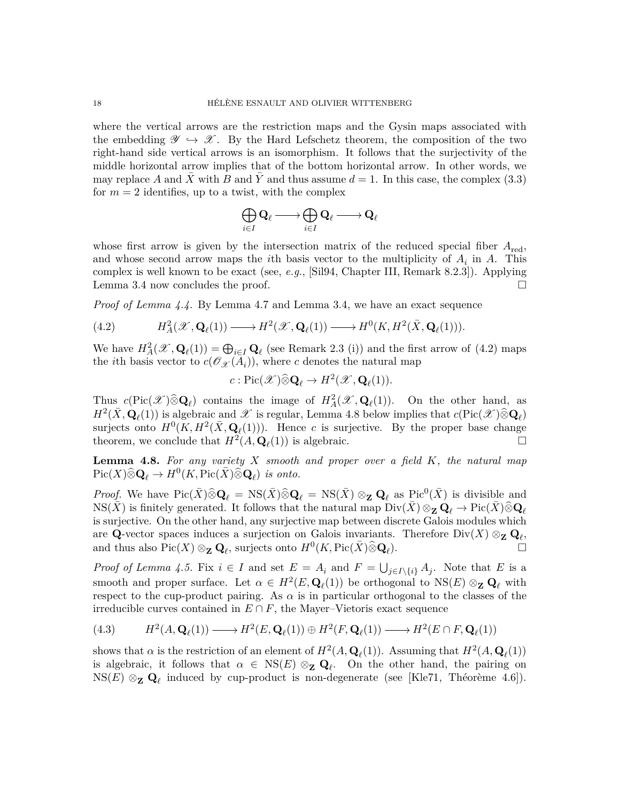where the vertical arrows are the restriction maps and the Gysin maps associated with the embedding  $\mathscr{Y} \hookrightarrow \mathscr{X}$ . By the Hard Lefschetz theorem, the composition of the two right-hand side vertical arrows is an isomorphism. It follows that the surjectivity of the middle horizontal arrow implies that of the bottom horizontal arrow. In other words, we may replace A and X with B and Y and thus assume  $d = 1$ . In this case, the complex [\(3.3\)](#page-11-3) for  $m = 2$  identifies, up to a twist, with the complex

$$
\bigoplus_{i\in I}{\bf Q}_{\ell}\longrightarrow \bigoplus_{i\in I}{\bf Q}_{\ell}\longrightarrow {\bf Q}_{\ell}
$$

whose first arrow is given by the intersection matrix of the reduced special fiber  $A_{\text{red}}$ , and whose second arrow maps the *i*th basis vector to the multiplicity of *A<sup>i</sup>* in *A*. This complex is well known to be exact (see, *e.g.*, [\[Sil94,](#page-36-10) Chapter III, Remark 8.2.3]). Applying Lemma [3.4](#page-11-0) now concludes the proof.

*Proof of Lemma [4.4.](#page-16-0)* By Lemma [4.7](#page-16-4) and Lemma [3.4,](#page-11-0) we have an exact sequence

<span id="page-17-0"></span>(4.2) 
$$
H_A^2(\mathscr{X}, \mathbf{Q}_{\ell}(1)) \longrightarrow H^2(\mathscr{X}, \mathbf{Q}_{\ell}(1)) \longrightarrow H^0(K, H^2(\bar{X}, \mathbf{Q}_{\ell}(1))).
$$

We have  $H_A^2(\mathscr{X}, \mathbf{Q}_\ell(1)) = \bigoplus_{i \in I} \mathbf{Q}_\ell$  (see Remark [2.3](#page-4-3) (i)) and the first arrow of [\(4.2\)](#page-17-0) maps the *i*th basis vector to  $c(\mathcal{O}_{\mathcal{X}}(A_i))$ , where *c* denotes the natural map

$$
c: \mathrm{Pic}(\mathscr{X}) \widehat{\otimes} \mathbf{Q}_{\ell} \to H^2(\mathscr{X}, \mathbf{Q}_{\ell}(1)).
$$

Thus  $c(\text{Pic}(\mathcal{X})\widehat{\otimes} \mathbf{Q}_\ell)$  contains the image of  $H^2_A(\mathcal{X}, \mathbf{Q}_\ell(1))$ . On the other hand, as  $H^2(\bar{X}, \mathbf{Q}_\ell(1))$  is algebraic and X is regular, Lemma [4.8](#page-17-1) below implies that  $c(\text{Pic}(\mathscr{X})\widehat{\otimes} \mathbf{Q}_\ell)$ surjects onto  $H^0(K, H^2(\bar{X}, \mathbf{Q}_\ell(1)))$ . Hence *c* is surjective. By the proper base change theorem, we conclude that  $H^2(A, \mathbf{Q}_\ell(1))$  is algebraic.

<span id="page-17-1"></span>**Lemma 4.8.** *For any variety X smooth and proper over a field K, the natural map*  $Pic(X)\widehat{\otimes} \mathbf{Q}_{\ell} \to H^0(K,Pic(\bar{X})\widetilde{\otimes} \mathbf{Q}_{\ell})$  *is onto.* 

*Proof.* We have  $Pic(\bar{X})\hat{\otimes}\mathbf{Q}_{\ell} = NS(\bar{X})\hat{\otimes}\mathbf{Q}_{\ell} = NS(\bar{X})\otimes_{\mathbf{Z}}\mathbf{Q}_{\ell}$  as  $Pic^{0}(\bar{X})$  is divisible and  $NS(X)$  is finitely generated. It follows that the natural map  $Div(X) \otimes_{\mathbf{Z}} \mathbf{Q}_{\ell} \to Pic(X) \widehat{\otimes} \mathbf{Q}_{\ell}$ is surjective. On the other hand, any surjective map between discrete Galois modules which are **Q**-vector spaces induces a surjection on Galois invariants. Therefore  $Div(X) \otimes_{\mathbf{Z}} \mathbf{Q}_{\ell}$ , and thus also  $Pic(X) \otimes_{\mathbf{Z}} \mathbf{Q}_{\ell}$ , surjects onto  $H^0(K, Pic(\bar{X})\hat{\otimes}\mathbf{Q}_{\ell}$ ).  $\qquad \qquad \Box$ 

*Proof of Lemma* [4.5.](#page-16-1) Fix  $i \in I$  and set  $E = A_i$  and  $F = \bigcup_{j \in I \setminus \{i\}} A_j$ . Note that *E* is a smooth and proper surface. Let  $\alpha \in H^2(E, \mathbf{Q}_\ell(1))$  be orthogonal to  $NS(E) \otimes_{\mathbf{Z}} \mathbf{Q}_\ell$  with respect to the cup-product pairing. As  $\alpha$  is in particular orthogonal to the classes of the irreducible curves contained in  $E \cap F$ , the Mayer–Vietoris exact sequence

(4.3) 
$$
H^2(A, \mathbf{Q}_{\ell}(1)) \longrightarrow H^2(E, \mathbf{Q}_{\ell}(1)) \oplus H^2(F, \mathbf{Q}_{\ell}(1)) \longrightarrow H^2(E \cap F, \mathbf{Q}_{\ell}(1))
$$

shows that  $\alpha$  is the restriction of an element of  $H^2(A, \mathbf{Q}_\ell(1))$ . Assuming that  $H^2(A, \mathbf{Q}_\ell(1))$ is algebraic, it follows that  $\alpha \in \text{NS}(E) \otimes_{\mathbf{Z}} \mathbf{Q}_{\ell}$ . On the other hand, the pairing on NS(*E*) ⊗**<sup>Z</sup> Q***<sup>ℓ</sup>* induced by cup-product is non-degenerate (see [\[Kle71,](#page-34-9) Théorème 4.6]).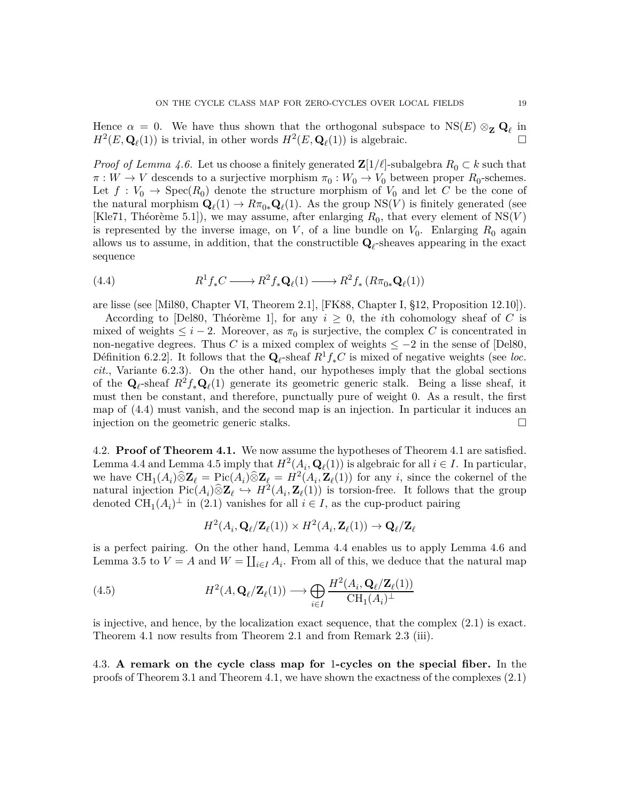Hence  $\alpha = 0$ . We have thus shown that the orthogonal subspace to  $NS(E) \otimes_{\mathbf{Z}} \mathbf{Q}_{\ell}$  in  $H^2(E, \mathbf{Q}_\ell(1))$  is trivial, in other words  $H^2(E, \mathbf{Q}_\ell(1))$  is algebraic.

*Proof of Lemma [4.6.](#page-16-3)* Let us choose a finitely generated  $\mathbf{Z}[1/\ell]$ -subalgebra  $R_0 \subset k$  such that  $\pi: W \to V$  descends to a surjective morphism  $\pi_0: W_0 \to V_0$  between proper  $R_0$ -schemes. Let  $f: V_0 \to \text{Spec}(R_0)$  denote the structure morphism of  $V_0$  and let *C* be the cone of the natural morphism  $\mathbf{Q}_{\ell}(1) \to R\pi_{0*}\mathbf{Q}_{\ell}(1)$ . As the group  $NS(V)$  is finitely generated (see [\[Kle71,](#page-34-9) Théorème 5.1]), we may assume, after enlarging  $R_0$ , that every element of  $NS(V)$ is represented by the inverse image, on  $V$ , of a line bundle on  $V_0$ . Enlarging  $R_0$  again allows us to assume, in addition, that the constructible  $\mathbf{Q}_{\ell}$ -sheaves appearing in the exact sequence

<span id="page-18-1"></span>(4.4) 
$$
R^1f_*C \longrightarrow R^2f_*\mathbf{Q}_\ell(1) \longrightarrow R^2f_*\left(R\pi_{0*}\mathbf{Q}_\ell(1)\right)
$$

are lisse (see [\[Mil80,](#page-35-7) Chapter VI, Theorem 2.1], [\[FK88,](#page-33-9) Chapter I, §12, Proposition 12.10]).

According to [\[Del80,](#page-33-13) Théorème 1], for any  $i \geq 0$ , the *i*th cohomology sheaf of C is mixed of weights  $\leq i-2$ . Moreover, as  $\pi_0$  is surjective, the complex *C* is concentrated in non-negative degrees. Thus *C* is a mixed complex of weights  $\leq -2$  in the sense of [\[Del80,](#page-33-13) Définition 6.2.2]. It follows that the  $\mathbf{Q}_{\ell}$ -sheaf  $R^1 f_* C$  is mixed of negative weights (see *loc. cit.*, Variante 6.2.3). On the other hand, our hypotheses imply that the global sections of the  $\mathbf{Q}_{\ell}$ -sheaf  $R^2 f_* \mathbf{Q}_{\ell}(1)$  generate its geometric generic stalk. Being a lisse sheaf, it must then be constant, and therefore, punctually pure of weight 0. As a result, the first map of [\(4.4\)](#page-18-1) must vanish, and the second map is an injection. In particular it induces an injection on the geometric generic stalks.

4.2. **Proof of Theorem [4.1.](#page-15-0)** We now assume the hypotheses of Theorem [4.1](#page-15-0) are satisfied. Lemma [4.4](#page-16-0) and Lemma [4.5](#page-16-1) imply that  $H^2(A_i, \mathbf{Q}_\ell(1))$  is algebraic for all  $i \in I$ . In particular, we have  $\text{CH}_1(A_i) \widehat{\otimes} \mathbf{Z}_{\ell} = \text{Pic}(A_i) \widehat{\otimes} \mathbf{Z}_{\ell} = H^2(A_i, \mathbf{Z}_{\ell}(1))$  for any *i*, since the cokernel of the natural injection  $Pic(A_i) \widehat{\otimes} \mathbf{Z}_{\ell} \hookrightarrow H^2(A_i, \mathbf{Z}_{\ell}(1))$  is torsion-free. It follows that the group denoted  $\text{CH}_1(A_i)^{\perp}$  in [\(2.1\)](#page-4-1) vanishes for all  $i \in I$ , as the cup-product pairing

$$
H^2(A_i, \mathbf{Q}_{\ell}/\mathbf{Z}_{\ell}(1)) \times H^2(A_i, \mathbf{Z}_{\ell}(1)) \to \mathbf{Q}_{\ell}/\mathbf{Z}_{\ell}
$$

is a perfect pairing. On the other hand, Lemma [4.4](#page-16-0) enables us to apply Lemma [4.6](#page-16-3) and Lemma [3.5](#page-11-2) to  $V = A$  and  $W = \coprod_{i \in I} A_i$ . From all of this, we deduce that the natural map

(4.5) 
$$
H^2(A, \mathbf{Q}_{\ell}/\mathbf{Z}_{\ell}(1)) \longrightarrow \bigoplus_{i \in I} \frac{H^2(A_i, \mathbf{Q}_{\ell}/\mathbf{Z}_{\ell}(1))}{\mathrm{CH}_1(A_i)^{\perp}}
$$

is injective, and hence, by the localization exact sequence, that the complex [\(2.1\)](#page-4-1) is exact. Theorem [4.1](#page-15-0) now results from Theorem [2.1](#page-3-0) and from Remark [2.3](#page-4-3) (iii).

<span id="page-18-0"></span>4.3. **A remark on the cycle class map for** 1**-cycles on the special fiber.** In the proofs of Theorem [3.1](#page-10-0) and Theorem [4.1,](#page-15-0) we have shown the exactness of the complexes [\(2.1\)](#page-4-1)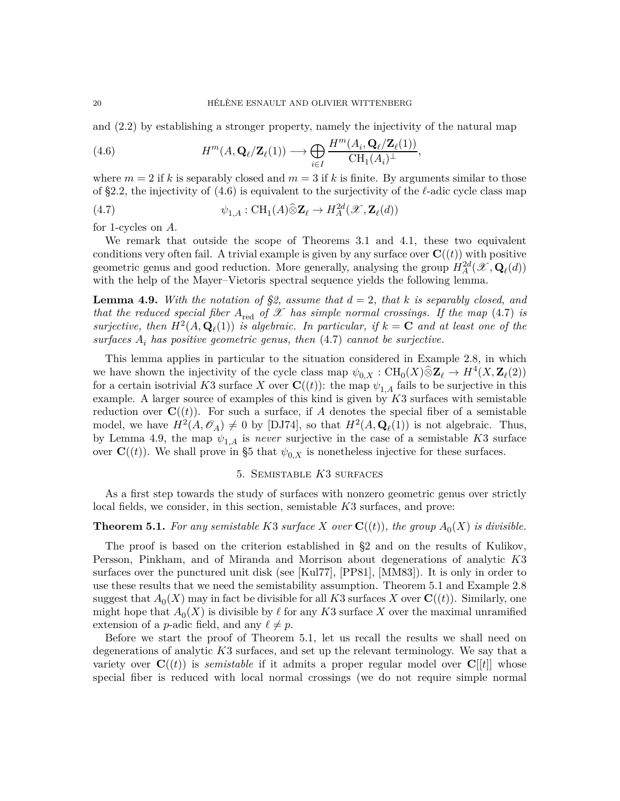and [\(2.2\)](#page-4-2) by establishing a stronger property, namely the injectivity of the natural map

<span id="page-19-2"></span>(4.6) 
$$
H^{m}(A, \mathbf{Q}_{\ell}/\mathbf{Z}_{\ell}(1)) \longrightarrow \bigoplus_{i \in I} \frac{H^{m}(A_i, \mathbf{Q}_{\ell}/\mathbf{Z}_{\ell}(1))}{\mathrm{CH}_1(A_i)^{\perp}},
$$

where  $m = 2$  if k is separably closed and  $m = 3$  if k is finite. By arguments similar to those of [§2.2,](#page-7-3) the injectivity of [\(4.6\)](#page-19-2) is equivalent to the surjectivity of the *ℓ*-adic cycle class map

<span id="page-19-3"></span>(4.7) 
$$
\psi_{1,A}: \text{CH}_1(A)\widehat{\otimes} \mathbf{Z}_{\ell} \to H^{2d}_A(\mathscr{X}, \mathbf{Z}_{\ell}(d))
$$

for 1-cycles on *A*.

We remark that outside the scope of Theorems [3.1](#page-10-0) and [4.1,](#page-15-0) these two equivalent conditions very often fail. A trivial example is given by any surface over  $\mathbf{C}((t))$  with positive geometric genus and good reduction. More generally, analysing the group  $H_A^{2d}(\mathcal{X}, \mathbf{Q}_\ell(d))$ with the help of the Mayer–Vietoris spectral sequence yields the following lemma.

<span id="page-19-4"></span>**Lemma 4.9.** With the notation of [§2,](#page-3-1) assume that  $d = 2$ , that k is separably closed, and *that the reduced special fiber*  $A_{\text{red}}$  *of*  $\mathscr X$  *has simple normal crossings. If the map* [\(4.7\)](#page-19-3) *is surjective, then*  $H^2(A, \mathbf{Q}_\ell(1))$  *is algebraic. In particular, if*  $k = \mathbf{C}$  *and at least one of the surfaces A<sup>i</sup> has positive geometric genus, then* [\(4.7\)](#page-19-3) *cannot be surjective.*

This lemma applies in particular to the situation considered in Example [2.8,](#page-8-1) in which we have shown the injectivity of the cycle class map  $\psi_{0,X} : \text{CH}_0(X) \hat{\otimes} \mathbb{Z}_\ell \to H^4(X, \mathbb{Z}_\ell(2))$ for a certain isotrivial *K*3 surface *X* over **C**((*t*)): the map  $\psi_{1,A}$  fails to be surjective in this example. A larger source of examples of this kind is given by *K*3 surfaces with semistable reduction over  $\mathbf{C}((t))$ . For such a surface, if A denotes the special fiber of a semistable model, we have  $H^2(A, \mathcal{O}_A) \neq 0$  by [\[DJ74\]](#page-33-17), so that  $H^2(A, \mathbf{Q}_\ell(1))$  is not algebraic. Thus, by Lemma [4.9,](#page-19-4) the map  $\psi_{1,A}$  is *never* surjective in the case of a semistable *K*3 surface over  $\mathbf{C}((t))$ . We shall prove in [§5](#page-19-1) that  $\psi_{0,X}$  is nonetheless injective for these surfaces.

### 5. Semistable *K*3 surfaces

<span id="page-19-1"></span>As a first step towards the study of surfaces with nonzero geometric genus over strictly local fields, we consider, in this section, semistable *K*3 surfaces, and prove:

# <span id="page-19-0"></span>**Theorem 5.1.** *For any semistable K*3 *surface X over* **C**((*t*))*, the group*  $A_0(X)$  *is divisible.*

The proof is based on the criterion established in [§2](#page-3-1) and on the results of Kulikov, Persson, Pinkham, and of Miranda and Morrison about degenerations of analytic *K*3 surfaces over the punctured unit disk (see [\[Kul77\]](#page-35-3), [\[PP81\]](#page-35-4), [\[MM83\]](#page-35-5)). It is only in order to use these results that we need the semistability assumption. Theorem [5.1](#page-19-0) and Example [2.8](#page-8-1) suggest that  $A_0(X)$  may in fact be divisible for all  $K3$  surfaces  $X$  over  $\mathbf{C}((t))$ . Similarly, one might hope that  $A_0(X)$  is divisible by  $\ell$  for any  $K3$  surface X over the maximal unramified extension of a *p*-adic field, and any  $\ell \neq p$ .

Before we start the proof of Theorem [5.1,](#page-19-0) let us recall the results we shall need on degenerations of analytic *K*3 surfaces, and set up the relevant terminology. We say that a variety over  $\mathbf{C}((t))$  is *semistable* if it admits a proper regular model over  $\mathbf{C}[[t]]$  whose special fiber is reduced with local normal crossings (we do not require simple normal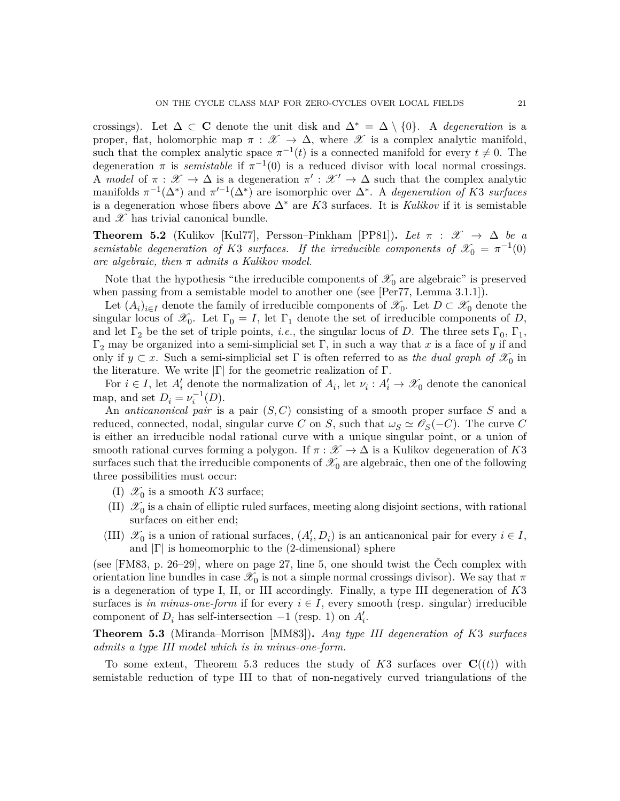crossings). Let  $\Delta \subset \mathbf{C}$  denote the unit disk and  $\Delta^* = \Delta \setminus \{0\}$ . A *degeneration* is a proper, flat, holomorphic map  $\pi : \mathscr{X} \to \Delta$ , where  $\mathscr{X}$  is a complex analytic manifold, such that the complex analytic space  $\pi^{-1}(t)$  is a connected manifold for every  $t \neq 0$ . The degeneration  $\pi$  is *semistable* if  $\pi^{-1}(0)$  is a reduced divisor with local normal crossings. A *model* of  $\pi : \mathscr{X} \to \Delta$  is a degeneration  $\pi' : \mathscr{X}' \to \Delta$  such that the complex analytic manifolds  $\pi^{-1}(\Delta^*)$  and  $\pi'^{-1}(\Delta^*)$  are isomorphic over  $\Delta^*$ . A *degeneration of K3 surfaces* is a degeneration whose fibers above ∆<sup>∗</sup> are *K*3 surfaces. It is *Kulikov* if it is semistable and  $\mathscr X$  has trivial canonical bundle.

<span id="page-20-1"></span>**Theorem 5.2** (Kulikov [\[Kul77\]](#page-35-3), Persson–Pinkham [\[PP81\]](#page-35-4)). Let  $\pi : \mathcal{X} \to \Delta$  be a *semistable degeneration of K*3 *surfaces.* If the irreducible components of  $\mathcal{X}_0 = \pi^{-1}(0)$ *are algebraic, then π admits a Kulikov model.*

Note that the hypothesis "the irreducible components of  $\mathscr{X}_0$  are algebraic" is preserved when passing from a semistable model to another one (see [\[Per77,](#page-35-16) Lemma 3.1.1]).

Let  $(A_i)_{i \in I}$  denote the family of irreducible components of  $\mathscr{X}_0$ . Let  $D \subset \mathscr{X}_0$  denote the singular locus of  $\mathscr{X}_0$ . Let  $\Gamma_0 = I$ , let  $\Gamma_1$  denote the set of irreducible components of *D*, and let  $\Gamma_2$  be the set of triple points, *i.e.*, the singular locus of *D*. The three sets  $\Gamma_0$ ,  $\Gamma_1$ , Γ<sup>2</sup> may be organized into a semi-simplicial set Γ, in such a way that *x* is a face of *y* if and only if  $y \text{ }\subset x$ . Such a semi-simplicial set  $\Gamma$  is often referred to as *the dual graph of*  $\mathscr{X}_0$  in the literature. We write  $|Γ|$  for the geometric realization of Γ.

For  $i \in I$ , let  $A'_i$  denote the normalization of  $A_i$ , let  $\nu_i : A'_i \to \mathcal{X}_0$  denote the canonical map, and set  $D_i = \nu_i^{-1}(D)$ .

An *anticanonical pair* is a pair (*S, C*) consisting of a smooth proper surface *S* and a reduced, connected, nodal, singular curve *C* on *S*, such that  $\omega_S \simeq \mathscr{O}_S(-C)$ . The curve *C* is either an irreducible nodal rational curve with a unique singular point, or a union of smooth rational curves forming a polygon. If  $\pi : \mathscr{X} \to \Delta$  is a Kulikov degeneration of *K*3 surfaces such that the irreducible components of  $\mathscr{X}_0$  are algebraic, then one of the following three possibilities must occur:

- (I)  $\mathscr{X}_0$  is a smooth *K*3 surface;
- (II)  $\mathscr{X}_0$  is a chain of elliptic ruled surfaces, meeting along disjoint sections, with rational surfaces on either end;
- (III)  $\mathscr{X}_0$  is a union of rational surfaces,  $(A'_i, D_i)$  is an anticanonical pair for every  $i \in I$ , and  $|\Gamma|$  is homeomorphic to the (2-dimensional) sphere

(see [\[FM83,](#page-34-10) p. 26–29], where on page 27, line 5, one should twist the Čech complex with orientation line bundles in case  $\mathscr{X}_0$  is not a simple normal crossings divisor). We say that  $\pi$ is a degeneration of type I, II, or III accordingly. Finally, a type III degeneration of *K*3 surfaces is *in minus-one-form* if for every  $i \in I$ , every smooth (resp. singular) irreducible component of  $D_i$  has self-intersection  $-1$  (resp. 1) on  $A'_i$ .

<span id="page-20-0"></span>**Theorem 5.3** (Miranda–Morrison [\[MM83\]](#page-35-5))**.** *Any type III degeneration of K*3 *surfaces admits a type III model which is in minus-one-form.*

To some extent, Theorem [5.3](#page-20-0) reduces the study of  $K3$  surfaces over  $\mathbf{C}((t))$  with semistable reduction of type III to that of non-negatively curved triangulations of the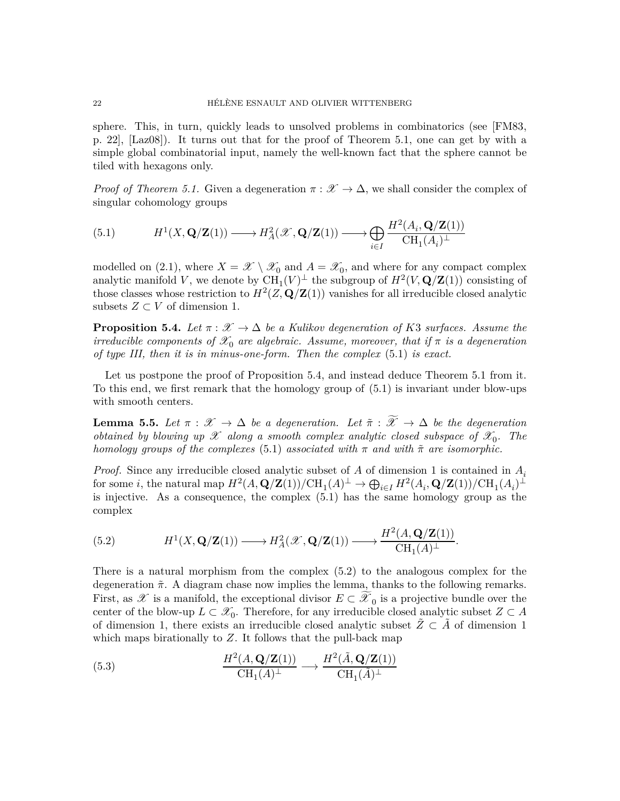sphere. This, in turn, quickly leads to unsolved problems in combinatorics (see [\[FM83,](#page-34-10) p. 22], [\[Laz08\]](#page-35-17)). It turns out that for the proof of Theorem [5.1,](#page-19-0) one can get by with a simple global combinatorial input, namely the well-known fact that the sphere cannot be tiled with hexagons only.

*Proof of Theorem [5.1.](#page-19-0)* Given a degeneration  $\pi : \mathscr{X} \to \Delta$ , we shall consider the complex of singular cohomology groups

<span id="page-21-0"></span>(5.1) 
$$
H^1(X, \mathbf{Q}/\mathbf{Z}(1)) \longrightarrow H^2_A(\mathscr{X}, \mathbf{Q}/\mathbf{Z}(1)) \longrightarrow \bigoplus_{i \in I} \frac{H^2(A_i, \mathbf{Q}/\mathbf{Z}(1))}{\mathrm{CH}_1(A_i)^{\perp}}
$$

modelled on [\(2.1\)](#page-4-1), where  $X = \mathscr{X} \setminus \mathscr{X}_0$  and  $A = \mathscr{X}_0$ , and where for any compact complex analytic manifold V, we denote by  $\text{CH}_1(V)^{\perp}$  the subgroup of  $H^2(V, \mathbf{Q}/\mathbf{Z}(1))$  consisting of those classes whose restriction to  $H^2(Z, \mathbf{Q}/\mathbf{Z}(1))$  vanishes for all irreducible closed analytic subsets  $Z \subset V$  of dimension 1.

<span id="page-21-1"></span>**Proposition 5.4.** *Let*  $\pi : \mathcal{X} \to \Delta$  *be a Kulikov degeneration of K3 surfaces. Assume the irreducible components of*  $\mathcal{X}_0$  *are algebraic. Assume, moreover, that if*  $\pi$  *is a degeneration of type III, then it is in minus-one-form. Then the complex* [\(5.1\)](#page-21-0) *is exact.*

Let us postpone the proof of Proposition [5.4,](#page-21-1) and instead deduce Theorem [5.1](#page-19-0) from it. To this end, we first remark that the homology group of [\(5.1\)](#page-21-0) is invariant under blow-ups with smooth centers.

<span id="page-21-3"></span>**Lemma 5.5.** *Let*  $\pi : \mathscr{X} \to \Delta$  *be a degeneration. Let*  $\tilde{\pi} : \widetilde{\mathscr{X}} \to \Delta$  *be the degeneration obtained by blowing up*  $\mathscr X$  *along a smooth complex analytic closed subspace of*  $\mathscr X_0$ *. The homology groups of the complexes* [\(5.1\)](#page-21-0) *associated with*  $\pi$  *and with*  $\tilde{\pi}$  *are isomorphic.* 

*Proof.* Since any irreducible closed analytic subset of *A* of dimension 1 is contained in *A<sup>i</sup>* for some *i*, the natural map  $H^2(A, \mathbf{Q}/\mathbf{Z}(1))/\mathrm{CH}_1(A)^{\perp} \to \bigoplus_{i \in I} H^2(A_i, \mathbf{Q}/\mathbf{Z}(1))/\mathrm{CH}_1(A_i)^{\perp}$ is injective. As a consequence, the complex [\(5.1\)](#page-21-0) has the same homology group as the complex

<span id="page-21-2"></span>(5.2) 
$$
H^1(X, \mathbf{Q}/\mathbf{Z}(1)) \longrightarrow H^2_A(\mathcal{X}, \mathbf{Q}/\mathbf{Z}(1)) \longrightarrow \frac{H^2(A, \mathbf{Q}/\mathbf{Z}(1))}{\mathrm{CH}_1(A)^{\perp}}.
$$

There is a natural morphism from the complex [\(5.2\)](#page-21-2) to the analogous complex for the degeneration ˜*π*. A diagram chase now implies the lemma, thanks to the following remarks. First, as  $\mathscr X$  is a manifold, the exceptional divisor  $E \subset \widetilde{\mathscr X}_0$  is a projective bundle over the center of the blow-up  $L \subset \mathcal{X}_0$ . Therefore, for any irreducible closed analytic subset  $Z \subset A$ of dimension 1, there exists an irreducible closed analytic subset  $\tilde{Z} \subset \tilde{A}$  of dimension 1 which maps birationally to *Z*. It follows that the pull-back map

(5.3) 
$$
\frac{H^2(A, \mathbf{Q}/\mathbf{Z}(1))}{\mathrm{CH}_1(A)^{\perp}} \longrightarrow \frac{H^2(\tilde{A}, \mathbf{Q}/\mathbf{Z}(1))}{\mathrm{CH}_1(\tilde{A})^{\perp}}
$$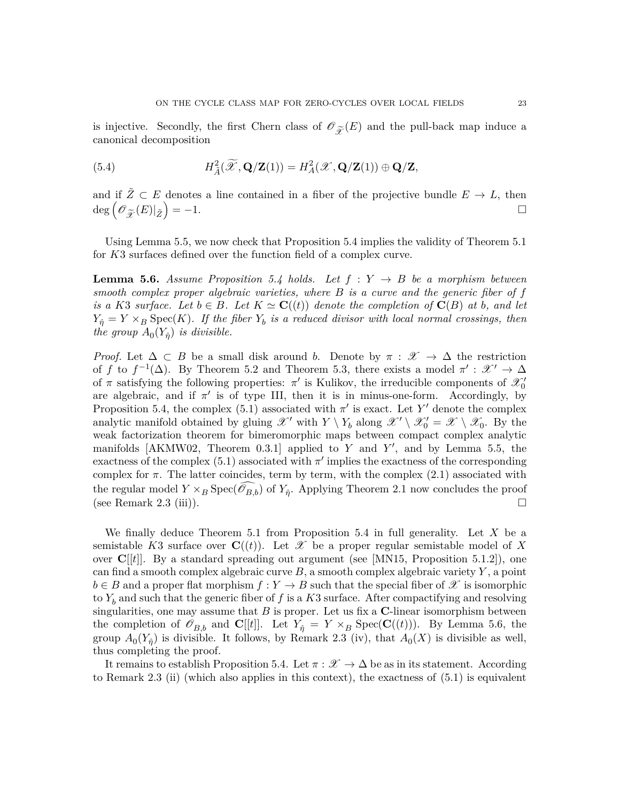is injective. Secondly, the first Chern class of  $\mathscr{O}_{\widetilde{\mathscr{X}}}(E)$  and the pull-back map induce a canonical decomposition canonical decomposition

(5.4) 
$$
H_{\tilde{A}}^2(\widetilde{\mathscr{X}}, \mathbf{Q}/\mathbf{Z}(1)) = H_A^2(\mathscr{X}, \mathbf{Q}/\mathbf{Z}(1)) \oplus \mathbf{Q}/\mathbf{Z},
$$

and if  $\tilde{Z} \subset E$  denotes a line contained in a fiber of the projective bundle  $E \to L$ , then  $\deg\left(\mathscr{O}_{\widetilde{\mathscr{X}}}(E)|_{\widetilde{Z}}\right)$  $=-1.$ 

Using Lemma [5.5,](#page-21-3) we now check that Proposition [5.4](#page-21-1) implies the validity of Theorem [5.1](#page-19-0) for *K*3 surfaces defined over the function field of a complex curve.

<span id="page-22-0"></span>**Lemma 5.6.** *Assume Proposition* [5.4](#page-21-1) *holds.* Let  $f: Y \rightarrow B$  be a morphism between *smooth complex proper algebraic varieties, where B is a curve and the generic fiber of f is a K*3 *surface.* Let  $b \in B$ *.* Let  $K \simeq \mathbf{C}((t))$  *denote the completion of*  $\mathbf{C}(B)$  *at b, and let*  $Y_{\hat{\eta}} = Y \times_B \text{Spec}(K)$ *. If the fiber*  $Y_b$  *is a reduced divisor with local normal crossings, then the group*  $A_0(Y_{\hat{\eta}})$  *is divisible.* 

*Proof.* Let  $\Delta \subset B$  be a small disk around *b*. Denote by  $\pi : \mathscr{X} \to \Delta$  the restriction of *f* to  $f^{-1}(\Delta)$ . By Theorem [5.2](#page-20-1) and Theorem [5.3,](#page-20-0) there exists a model  $\pi': \mathscr{X}' \to \Delta$ of  $\pi$  satisfying the following properties:  $\pi'$  is Kulikov, the irreducible components of  $\mathscr{X}'_0$ are algebraic, and if  $\pi'$  is of type III, then it is in minus-one-form. Accordingly, by Proposition [5.4,](#page-21-1) the complex [\(5.1\)](#page-21-0) associated with  $\pi'$  is exact. Let Y' denote the complex analytic manifold obtained by gluing  $\mathscr{X}'$  with  $Y \setminus Y_b$  along  $\mathscr{X}' \setminus \mathscr{X}'_0 = \mathscr{X} \setminus \mathscr{X}_0$ . By the weak factorization theorem for bimeromorphic maps between compact complex analytic manifolds [\[AKMW02,](#page-33-18) Theorem  $0.3.1$ ] applied to *Y* and *Y'*, and by Lemma [5.5,](#page-21-3) the exactness of the complex  $(5.1)$  associated with  $\pi'$  implies the exactness of the corresponding complex for  $\pi$ . The latter coincides, term by term, with the complex  $(2.1)$  associated with the regular model  $Y \times_B \text{Spec}(\widehat{\mathscr{O}_{B,b}})$  of  $Y_{\hat{\eta}}$ . Applying Theorem [2.1](#page-3-0) now concludes the proof (see Remark [2.3](#page-4-3) (iii)).

We finally deduce Theorem [5.1](#page-19-0) from Proposition [5.4](#page-21-1) in full generality. Let *X* be a semistable *K*3 surface over  $\mathbf{C}((t))$ . Let X be a proper regular semistable model of X over **C**[[*t*]]. By a standard spreading out argument (see [\[MN15,](#page-35-18) Proposition 5.1.2]), one can find a smooth complex algebraic curve *B*, a smooth complex algebraic variety *Y* , a point  $b \in B$  and a proper flat morphism  $f: Y \to B$  such that the special fiber of X is isomorphic to  $Y_b$  and such that the generic fiber of  $f$  is a  $K3$  surface. After compactifying and resolving singularities, one may assume that  $B$  is proper. Let us fix a  $C$ -linear isomorphism between the completion of  $\mathcal{O}_{B,b}$  and  $\mathbf{C}[[t]]$ . Let  $Y_{\hat{\eta}} = Y \times_B \text{Spec}(\mathbf{C}((t)))$ . By Lemma [5.6,](#page-22-0) the group  $A_0(Y_{\hat{\eta}})$  is divisible. It follows, by Remark [2.3](#page-4-3) (iv), that  $A_0(X)$  is divisible as well, thus completing the proof.

It remains to establish Proposition [5.4.](#page-21-1) Let  $\pi : \mathcal{X} \to \Delta$  be as in its statement. According to Remark [2.3](#page-4-3) (ii) (which also applies in this context), the exactness of  $(5.1)$  is equivalent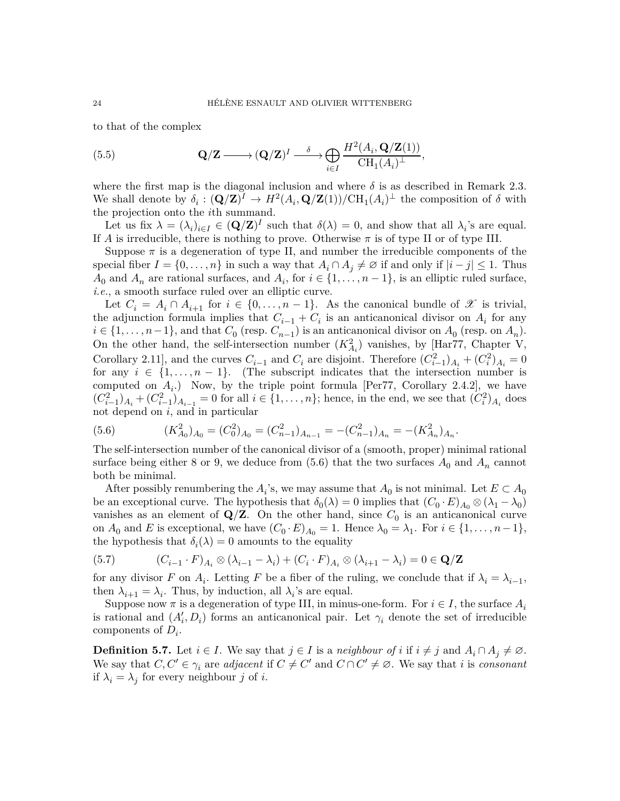to that of the complex

(5.5) 
$$
\mathbf{Q}/\mathbf{Z} \longrightarrow (\mathbf{Q}/\mathbf{Z})^I \longrightarrow \bigoplus_{i \in I} \frac{H^2(A_i, \mathbf{Q}/\mathbf{Z}(1))}{\mathrm{CH}_1(A_i)^\perp},
$$

where the first map is the diagonal inclusion and where  $\delta$  is as described in Remark [2.3.](#page-4-3) We shall denote by  $\delta_i : (\mathbf{Q}/\mathbf{Z})^I \to H^2(A_i, \mathbf{Q}/\mathbf{Z}(1))/\text{CH}_1(A_i)^\perp$  the composition of  $\delta$  with the projection onto the *i*th summand.

Let us fix  $\lambda = (\lambda_i)_{i \in I} \in (\mathbf{Q}/\mathbf{Z})^I$  such that  $\delta(\lambda) = 0$ , and show that all  $\lambda_i$ 's are equal. If *A* is irreducible, there is nothing to prove. Otherwise  $\pi$  is of type II or of type III.

Suppose  $\pi$  is a degeneration of type II, and number the irreducible components of the special fiber  $I = \{0, \ldots, n\}$  in such a way that  $A_i \cap A_j \neq \emptyset$  if and only if  $|i - j| \leq 1$ . Thus  $A_0$  and  $A_n$  are rational surfaces, and  $A_i$ , for  $i \in \{1, ..., n-1\}$ , is an elliptic ruled surface, *i.e.*, a smooth surface ruled over an elliptic curve.

Let  $C_i = A_i \cap A_{i+1}$  for  $i \in \{0, \ldots, n-1\}$ . As the canonical bundle of X is trivial, the adjunction formula implies that  $C_{i-1} + C_i$  is an anticanonical divisor on  $A_i$  for any  $i \in \{1, \ldots, n-1\}$ , and that  $C_0$  (resp.  $C_{n-1}$ ) is an anticanonical divisor on  $A_0$  (resp. on  $A_n$ ). On the other hand, the self-intersection number  $(K_{A_i}^2)$  vanishes, by [\[Har77,](#page-34-11) Chapter V, Corollary 2.11], and the curves  $C_{i-1}$  and  $C_i$  are disjoint. Therefore  $(C_{i-1}^2)_{A_i} + (C_i^2)_{A_i} = 0$ for any  $i \in \{1, \ldots, n-1\}$ . (The subscript indicates that the intersection number is computed on  $A_i$ .) Now, by the triple point formula [\[Per77,](#page-35-16) Corollary 2.4.2], we have  $(C_{i-1}^2)_{A_i} + (C_{i-1}^2)_{A_{i-1}} = 0$  for all  $i \in \{1, ..., n\}$ ; hence, in the end, we see that  $(C_i^2)_{A_i}$  does not depend on *i*, and in particular

<span id="page-23-0"></span>(5.6) 
$$
(K_{A_0}^2)_{A_0} = (C_0^2)_{A_0} = (C_{n-1}^2)_{A_{n-1}} = -(C_{n-1}^2)_{A_n} = -(K_{A_n}^2)_{A_n}.
$$

The self-intersection number of the canonical divisor of a (smooth, proper) minimal rational surface being either 8 or 9, we deduce from  $(5.6)$  that the two surfaces  $A_0$  and  $A_n$  cannot both be minimal.

After possibly renumbering the  $A_i$ 's, we may assume that  $A_0$  is not minimal. Let  $E \subset A_0$ be an exceptional curve. The hypothesis that  $\delta_0(\lambda) = 0$  implies that  $(C_0 \cdot E)_{A_0} \otimes (\lambda_1 - \lambda_0)$ vanishes as an element of  $Q/Z$ . On the other hand, since  $C_0$  is an anticanonical curve on  $A_0$  and *E* is exceptional, we have  $(C_0 \cdot E)_{A_0} = 1$ . Hence  $\lambda_0 = \lambda_1$ . For  $i \in \{1, \ldots, n-1\}$ , the hypothesis that  $\delta_i(\lambda) = 0$  amounts to the equality

(5.7) 
$$
(C_{i-1} \cdot F)_{A_i} \otimes (\lambda_{i-1} - \lambda_i) + (C_i \cdot F)_{A_i} \otimes (\lambda_{i+1} - \lambda_i) = 0 \in \mathbf{Q}/\mathbf{Z}
$$

for any divisor *F* on  $A_i$ . Letting *F* be a fiber of the ruling, we conclude that if  $\lambda_i = \lambda_{i-1}$ , then  $\lambda_{i+1} = \lambda_i$ . Thus, by induction, all  $\lambda_i$ 's are equal.

Suppose now  $\pi$  is a degeneration of type III, in minus-one-form. For  $i \in I$ , the surface  $A_i$ is rational and  $(A'_i, D_i)$  forms an anticanonical pair. Let  $\gamma_i$  denote the set of irreducible components of *D<sup>i</sup>* .

**Definition 5.7.** Let  $i \in I$ . We say that  $j \in I$  is a *neighbour of*  $i$  if  $i \neq j$  and  $A_i \cap A_j \neq \emptyset$ . We say that  $C, C' \in \gamma_i$  are *adjacent* if  $C \neq C'$  and  $C \cap C' \neq \emptyset$ . We say that *i* is *consonant* if  $\lambda_i = \lambda_j$  for every neighbour *j* of *i*.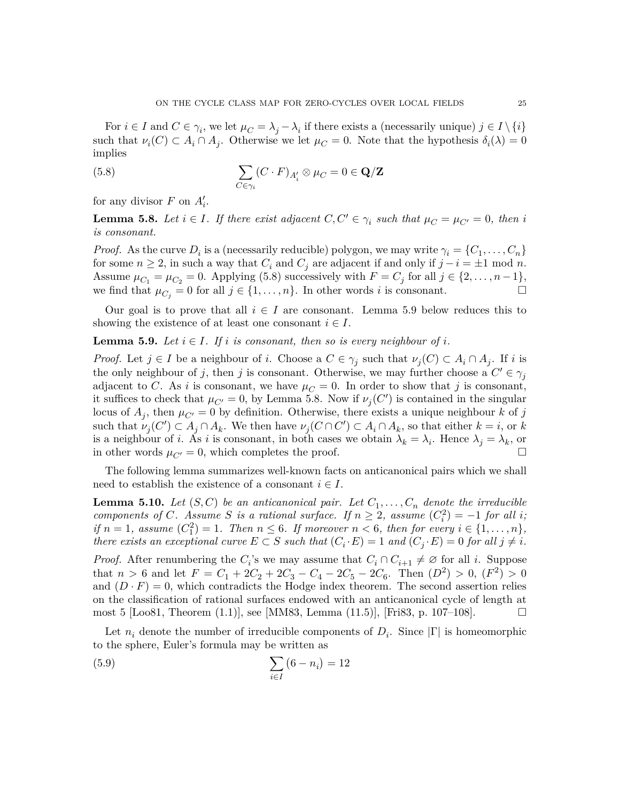For  $i \in I$  and  $C \in \gamma_i$ , we let  $\mu_C = \lambda_j - \lambda_i$  if there exists a (necessarily unique)  $j \in I \setminus \{i\}$ such that  $\nu_i(C) \subset A_i \cap A_j$ . Otherwise we let  $\mu_C = 0$ . Note that the hypothesis  $\delta_i(\lambda) = 0$ implies

<span id="page-24-0"></span>(5.8) 
$$
\sum_{C \in \gamma_i} (C \cdot F)_{A'_i} \otimes \mu_C = 0 \in \mathbf{Q}/\mathbf{Z}
$$

for any divisor  $F$  on  $A'_i$ .

<span id="page-24-2"></span>**Lemma 5.8.** *Let*  $i \in I$ *. If there exist adjacent*  $C, C' \in \gamma_i$  *such that*  $\mu_C = \mu_{C'} = 0$ *, then i is consonant.*

*Proof.* As the curve  $D_i$  is a (necessarily reducible) polygon, we may write  $\gamma_i = \{C_1, \ldots, C_n\}$ for some  $n \geq 2$ , in such a way that  $C_i$  and  $C_j$  are adjacent if and only if  $j - i = \pm 1 \mod n$ . Assume  $\mu_{C_1} = \mu_{C_2} = 0$ . Applying [\(5.8\)](#page-24-0) successively with  $F = C_j$  for all  $j \in \{2, \ldots, n-1\}$ , we find that  $\mu_{C_i} = 0$  for all  $j \in \{1, \ldots, n\}$ . In other words *i* is consonant.

Our goal is to prove that all  $i \in I$  are consonant. Lemma [5.9](#page-24-1) below reduces this to showing the existence of at least one consonant  $i \in I$ .

<span id="page-24-1"></span>**Lemma 5.9.** Let  $i \in I$ . If i is consonant, then so is every neighbour of i.

*Proof.* Let  $j \in I$  be a neighbour of *i*. Choose a  $C \in \gamma_j$  such that  $\nu_j(C) \subset A_i \cap A_j$ . If *i* is the only neighbour of *j*, then *j* is consonant. Otherwise, we may further choose a  $C' \in \gamma_j$ adjacent to *C*. As *i* is consonant, we have  $\mu_C = 0$ . In order to show that *j* is consonant, it suffices to check that  $\mu_{C'} = 0$ , by Lemma [5.8.](#page-24-2) Now if  $\nu_j(C')$  is contained in the singular locus of  $A_j$ , then  $\mu_{C'} = 0$  by definition. Otherwise, there exists a unique neighbour *k* of *j* such that  $\nu_j(C') \subset A_j \cap A_k$ . We then have  $\nu_j(C \cap C') \subset A_i \cap A_k$ , so that either  $k = i$ , or  $k$ is a neighbour of *i*. As *i* is consonant, in both cases we obtain  $\lambda_k = \lambda_i$ . Hence  $\lambda_j = \lambda_k$ , or in other words  $\mu_{C'} = 0$ , which completes the proof.

The following lemma summarizes well-known facts on anticanonical pairs which we shall need to establish the existence of a consonant  $i \in I$ .

<span id="page-24-3"></span>**Lemma 5.10.** *Let*  $(S, C)$  *be an anticanonical pair. Let*  $C_1, \ldots, C_n$  *denote the irreducible components of C. Assume S is a rational surface. If*  $n \geq 2$ *, assume*  $(C_i^2) = -1$  *for all i*; *if*  $n = 1$ *, assume*  $(C_1^2) = 1$ *. Then*  $n \leq 6$ *. If moreover*  $n < 6$ *, then for every*  $i \in \{1, \ldots, n\}$ *, there exists an exceptional curve*  $E \subset S$  *such that*  $(C_i \cdot E) = 1$  *and*  $(C_j \cdot E) = 0$  *for all*  $j \neq i$ *.* 

*Proof.* After renumbering the *C*<sub>*i*</sub>'s we may assume that  $C_i \cap C_{i+1} \neq \emptyset$  for all *i*. Suppose that  $n > 6$  and let  $F = C_1 + 2C_2 + 2C_3 - C_4 - 2C_5 - 2C_6$ . Then  $(D^2) > 0$ ,  $(F^2) > 0$ and  $(D \cdot F) = 0$ , which contradicts the Hodge index theorem. The second assertion relies on the classification of rational surfaces endowed with an anticanonical cycle of length at most 5 [\[Loo81,](#page-35-19) Theorem  $(1.1)$ ], see [\[MM83,](#page-35-5) Lemma  $(11.5)$ ], [\[Fri83,](#page-34-12) p. 107–108].

Let  $n_i$  denote the number of irreducible components of  $D_i$ . Since  $|\Gamma|$  is homeomorphic to the sphere, Euler's formula may be written as

(5.9) 
$$
\sum_{i \in I} (6 - n_i) = 12
$$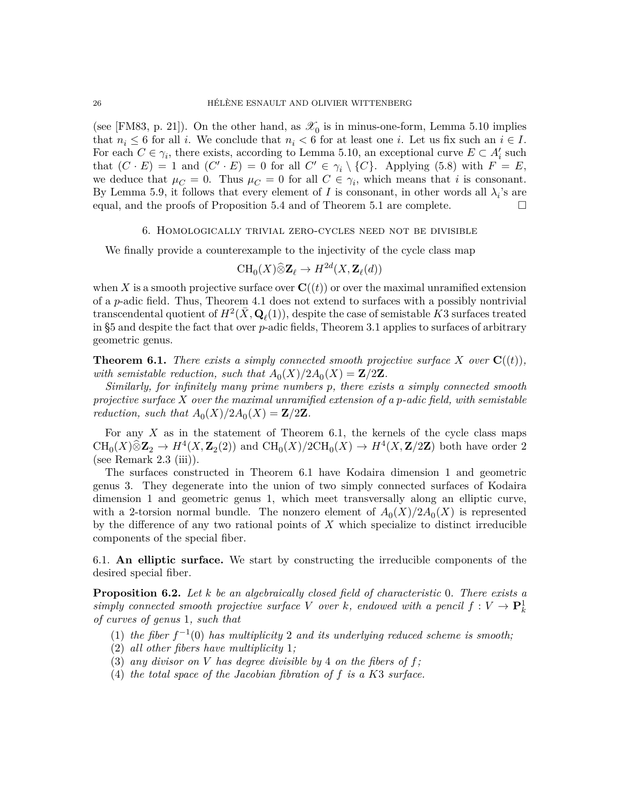(see [\[FM83,](#page-34-10) p. 21]). On the other hand, as  $\mathcal{X}_0$  is in minus-one-form, Lemma [5.10](#page-24-3) implies that  $n_i \leq 6$  for all *i*. We conclude that  $n_i < 6$  for at least one *i*. Let us fix such an  $i \in I$ . For each  $C \in \gamma_i$ , there exists, according to Lemma [5.10,](#page-24-3) an exceptional curve  $E \subset A'_i$  such that  $(C \cdot E) = 1$  and  $(C' \cdot E) = 0$  for all  $C' \in \gamma_i \setminus \{C\}$ . Applying [\(5.8\)](#page-24-0) with  $F = E$ , we deduce that  $\mu_C = 0$ . Thus  $\mu_C = 0$  for all  $C \in \gamma_i$ , which means that *i* is consonant. By Lemma [5.9,](#page-24-1) it follows that every element of *I* is consonant, in other words all  $\lambda_i$ 's are equal, and the proofs of Proposition [5.4](#page-21-1) and of Theorem [5.1](#page-19-0) are complete.  $\Box$ 

### 6. Homologically trivial zero-cycles need not be divisible

<span id="page-25-1"></span>We finally provide a counterexample to the injectivity of the cycle class map

$$
\operatorname{CH}_0(X)\widehat{\otimes}\mathbf{Z}_{\ell}\to H^{2d}(X,\mathbf{Z}_{\ell}(d))
$$

when X is a smooth projective surface over  $\mathbf{C}((t))$  or over the maximal unramified extension of a *p*-adic field. Thus, Theorem [4.1](#page-15-0) does not extend to surfaces with a possibly nontrivial transcendental quotient of  $H^2(\bar{X}, \mathbf{Q}_\ell(1))$ , despite the case of semistable  $\bar{K}3$  surfaces treated in [§5](#page-19-1) and despite the fact that over *p*-adic fields, Theorem [3.1](#page-10-0) applies to surfaces of arbitrary geometric genus.

<span id="page-25-0"></span>**Theorem 6.1.** *There exists a simply connected smooth projective surface*  $X$  *over*  $C((t))$ *,* with semistable reduction, such that  $A_0(X)/2A_0(X) = \mathbb{Z}/2\mathbb{Z}$ .

*Similarly, for infinitely many prime numbers p, there exists a simply connected smooth projective surface X over the maximal unramified extension of a p-adic field, with semistable reduction, such that*  $A_0(X)/2A_0(X) = \mathbb{Z}/2\mathbb{Z}$ *.* 

For any *X* as in the statement of Theorem [6.1,](#page-25-0) the kernels of the cycle class maps  $\text{CH}_0(X) \hat{\otimes} \mathbf{Z}_2 \to H^4(X, \mathbf{Z}_2(2))$  and  $\text{CH}_0(X)/2\text{CH}_0(X) \to H^4(X, \mathbf{Z}/2\mathbf{Z})$  both have order 2 (see Remark  $2.3$  (iii)).

The surfaces constructed in Theorem [6.1](#page-25-0) have Kodaira dimension 1 and geometric genus 3. They degenerate into the union of two simply connected surfaces of Kodaira dimension 1 and geometric genus 1, which meet transversally along an elliptic curve, with a 2-torsion normal bundle. The nonzero element of  $A_0(X)/2A_0(X)$  is represented by the difference of any two rational points of *X* which specialize to distinct irreducible components of the special fiber.

6.1. **An elliptic surface.** We start by constructing the irreducible components of the desired special fiber.

<span id="page-25-2"></span>**Proposition 6.2.** *Let k be an algebraically closed field of characteristic* 0*. There exists a simply connected smooth projective surface V over k, endowed with a pencil*  $f: V \to \mathbf{P}_k^1$ *of curves of genus* 1*, such that*

- (1) *the fiber*  $f^{-1}(0)$  *has multiplicity* 2 *and its underlying reduced scheme is smooth*;
- (2) *all other fibers have multiplicity* 1*;*
- (3) any divisor on *V* has degree divisible by 4 on the fibers of  $f$ ;
- (4) *the total space of the Jacobian fibration of f is a K*3 *surface.*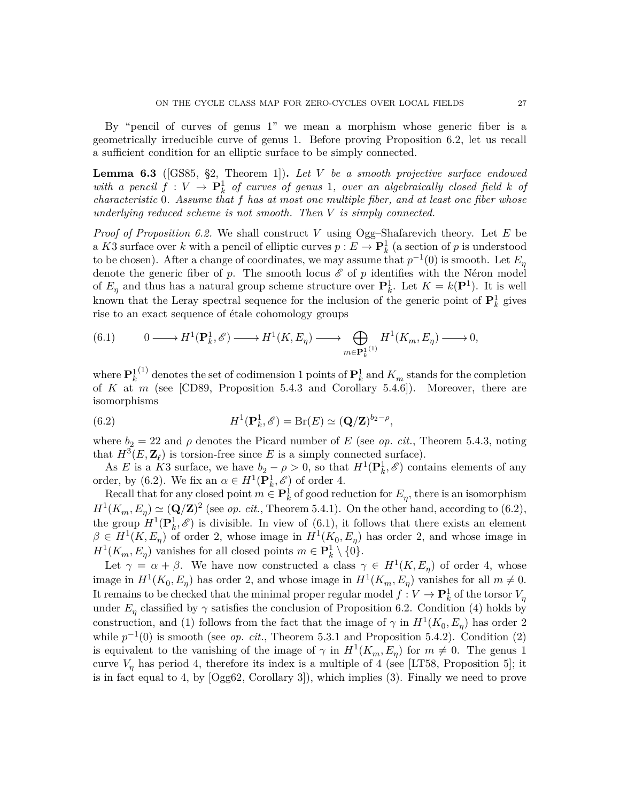By "pencil of curves of genus 1" we mean a morphism whose generic fiber is a geometrically irreducible curve of genus 1. Before proving Proposition [6.2,](#page-25-2) let us recall a sufficient condition for an elliptic surface to be simply connected.

<span id="page-26-2"></span>**Lemma 6.3** ([\[GS85,](#page-34-13) §2, Theorem 1])**.** *Let V be a smooth projective surface endowed with a pencil*  $f: V \to \mathbf{P}^1_k$  *of curves of genus* 1*, over an algebraically closed field*  $k$  *of characteristic* 0*. Assume that f has at most one multiple fiber, and at least one fiber whose underlying reduced scheme is not smooth. Then V is simply connected.*

*Proof of Proposition [6.2.](#page-25-2)* We shall construct *V* using Ogg–Shafarevich theory. Let *E* be a *K*3 surface over *k* with a pencil of elliptic curves  $p: E \to \mathbf{P}_k^1$  (a section of *p* is understood to be chosen). After a change of coordinates, we may assume that  $p^{-1}(0)$  is smooth. Let  $E_{\eta}$ denote the generic fiber of  $p$ . The smooth locus  $\mathscr E$  of  $p$  identifies with the Néron model of  $E_{\eta}$  and thus has a natural group scheme structure over  $P_k^1$ . Let  $K = k(P^1)$ . It is well known that the Leray spectral sequence for the inclusion of the generic point of  $\mathbf{P}_k^1$  gives rise to an exact sequence of étale cohomology groups

<span id="page-26-1"></span>(6.1) 
$$
0 \longrightarrow H^{1}(\mathbf{P}_{k}^{1}, \mathscr{E}) \longrightarrow H^{1}(K, E_{\eta}) \longrightarrow \bigoplus_{m \in \mathbf{P}_{k}^{1}} H^{1}(K_{m}, E_{\eta}) \longrightarrow 0,
$$

where  $\mathbf{P}_k^{1(1)}$  denotes the set of codimension 1 points of  $\mathbf{P}_k^1$  and  $K_m$  stands for the completion of *K* at *m* (see [\[CD89,](#page-33-19) Proposition 5.4.3 and Corollary 5.4.6]). Moreover, there are isomorphisms

<span id="page-26-0"></span>(6.2) 
$$
H^1(\mathbf{P}_k^1, \mathscr{E}) = \text{Br}(E) \simeq (\mathbf{Q}/\mathbf{Z})^{b_2 - \rho},
$$

where  $b_2 = 22$  and  $\rho$  denotes the Picard number of *E* (see *op. cit.*, Theorem 5.4.3, noting that  $H^3(E, \mathbf{Z}_\ell)$  is torsion-free since *E* is a simply connected surface).

As *E* is a *K*3 surface, we have  $b_2 - \rho > 0$ , so that  $H^1(\mathbf{P}_k^1, \mathscr{E})$  contains elements of any order, by [\(6.2\)](#page-26-0). We fix an  $\alpha \in H^1(\mathbf{P}_k^1, \mathscr{E})$  of order 4.

Recall that for any closed point  $m \in \mathbf{P}_k^1$  of good reduction for  $E_\eta$ , there is an isomorphism  $H^1(K_m, E_\eta) \simeq (\mathbf{Q}/\mathbf{Z})^2$  (see *op. cit.*, Theorem 5.4.1). On the other hand, according to [\(6.2\)](#page-26-0), the group  $H^1(\mathbf{P}_k^1, \mathscr{E})$  is divisible. In view of [\(6.1\)](#page-26-1), it follows that there exists an element  $\beta \in H^1(K, E_\eta)$  of order 2, whose image in  $H^1(K_0, E_\eta)$  has order 2, and whose image in  $H^1(K_m, E_\eta)$  vanishes for all closed points  $m \in \mathbf{P}_k^1 \setminus \{0\}$ .

Let  $\gamma = \alpha + \beta$ . We have now constructed a class  $\gamma \in H^1(K, E_\eta)$  of order 4, whose image in  $H^1(K_0, E_\eta)$  has order 2, and whose image in  $H^1(K_m, E_\eta)$  vanishes for all  $m \neq 0$ . It remains to be checked that the minimal proper regular model  $f: V \to \mathbf{P}_k^1$  of the torsor  $V_\eta$ under  $E_{\eta}$  classified by  $\gamma$  satisfies the conclusion of Proposition [6.2.](#page-25-2) Condition (4) holds by construction, and (1) follows from the fact that the image of  $\gamma$  in  $H^1(K_0, E_\eta)$  has order 2 while  $p^{-1}(0)$  is smooth (see *op. cit.*, Theorem 5.3.1 and Proposition 5.4.2). Condition (2) is equivalent to the vanishing of the image of  $\gamma$  in  $H^1(K_m, E_\eta)$  for  $m \neq 0$ . The genus 1 curve  $V_n$  has period 4, therefore its index is a multiple of 4 (see [\[LT58,](#page-35-20) Proposition 5]; it is in fact equal to 4, by [\[Ogg62,](#page-35-21) Corollary 3]), which implies (3). Finally we need to prove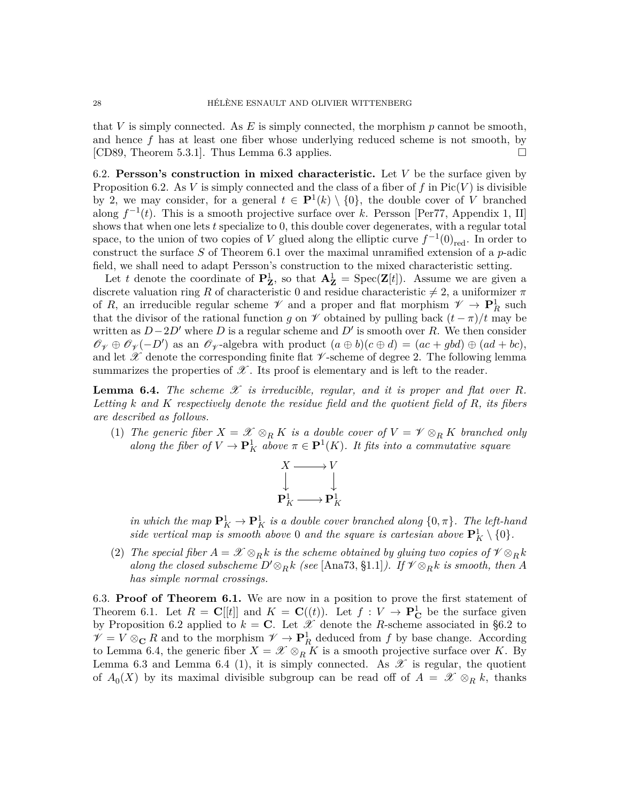that *V* is simply connected. As *E* is simply connected, the morphism *p* cannot be smooth, and hence *f* has at least one fiber whose underlying reduced scheme is not smooth, by [\[CD89,](#page-33-19) Theorem 5.3.1]. Thus Lemma [6.3](#page-26-2) applies.  $\square$ 

<span id="page-27-0"></span>6.2. **Persson's construction in mixed characteristic.** Let *V* be the surface given by Proposition [6.2.](#page-25-2) As *V* is simply connected and the class of a fiber of f in  $Pic(V)$  is divisible by 2, we may consider, for a general  $t \in \mathbf{P}^1(k) \setminus \{0\}$ , the double cover of *V* branched along  $f^{-1}(t)$ . This is a smooth projective surface over *k*. Persson [\[Per77,](#page-35-16) Appendix 1, II] shows that when one lets *t* specialize to 0, this double cover degenerates, with a regular total space, to the union of two copies of *V* glued along the elliptic curve  $f^{-1}(0)_{\text{red}}$ . In order to construct the surface *S* of Theorem [6.1](#page-25-0) over the maximal unramified extension of a *p*-adic field, we shall need to adapt Persson's construction to the mixed characteristic setting.

Let *t* denote the coordinate of  $P^1_Z$ , so that  $A^1_Z = \text{Spec}(\mathbf{Z}[t])$ . Assume we are given a discrete valuation ring *R* of characteristic 0 and residue characteristic  $\neq$  2, a uniformizer  $\pi$ of *R*, an irreducible regular scheme  $\mathscr V$  and a proper and flat morphism  $\mathscr V \to \mathbf{P}_R^1$  such that the divisor of the rational function *g* on  $\mathscr V$  obtained by pulling back  $(t - \pi)/t$  may be written as  $D-2D'$  where *D* is a regular scheme and *D'* is smooth over *R*. We then consider  $\mathscr{O}_{\mathscr{V}} \oplus \mathscr{O}_{\mathscr{V}}(-D')$  as an  $\mathscr{O}_{\mathscr{V}}$ -algebra with product  $(a \oplus b)(c \oplus d) = (ac + gbd) \oplus (ad + bc)$ , and let  $\mathscr X$  denote the corresponding finite flat  $\mathscr V$ -scheme of degree 2. The following lemma summarizes the properties of  $\mathscr X$ . Its proof is elementary and is left to the reader.

<span id="page-27-1"></span>**Lemma 6.4.** *The scheme*  $\mathscr X$  *is irreducible, regular, and it is proper and flat over*  $R$ *. Letting k and K respectively denote the residue field and the quotient field of R, its fibers are described as follows.*

(1) *The generic fiber*  $X = \mathscr{X} \otimes_R K$  *is a double cover of*  $V = \mathscr{V} \otimes_R K$  *branched only along the fiber of*  $V \to \mathbf{P}^1_K$  *above*  $\pi \in \mathbf{P}^1(K)$ *. It fits into a commutative square* 



*in which the map*  $\mathbf{P}^1_K \to \mathbf{P}^1_K$  *is a double cover branched along*  $\{0, \pi\}$ *. The left-hand side vertical map is smooth above* 0 *and the square is cartesian above*  $\mathbf{P}^1_K \setminus \{0\}$ .

(2) *The special fiber*  $A = \mathcal{X} \otimes_R k$  *is the scheme obtained by gluing two copies of*  $\mathcal{Y} \otimes_R k$ *along the closed subscheme*  $D' \otimes_R k$  *(see* [\[Ana73,](#page-33-20) §1.1]*). If*  $\mathscr{V} \otimes_R k$  *is smooth, then A has simple normal crossings.*

6.3. **Proof of Theorem [6.1.](#page-25-0)** We are now in a position to prove the first statement of Theorem [6.1.](#page-25-0) Let  $R = \mathbf{C}[[t]]$  and  $K = \mathbf{C}((t))$ . Let  $f: V \to \mathbf{P}_{\mathbf{C}}^1$  be the surface given by Proposition [6.2](#page-25-2) applied to  $k = \mathbf{C}$ . Let  $\mathcal{X}$  denote the *R*-scheme associated in [§6.2](#page-27-0) to  $V = V \otimes_{\mathbf{C}} R$  and to the morphism  $V \to \mathbf{P}_{R}^{1}$  deduced from *f* by base change. According to Lemma [6.4,](#page-27-1) the generic fiber  $X = \mathscr{X} \otimes_R K$  is a smooth projective surface over *K*. By Lemma [6.3](#page-26-2) and Lemma [6.4](#page-27-1) (1), it is simply connected. As  $\mathscr X$  is regular, the quotient of  $A_0(X)$  by its maximal divisible subgroup can be read off of  $A = \mathscr{X} \otimes_R k$ , thanks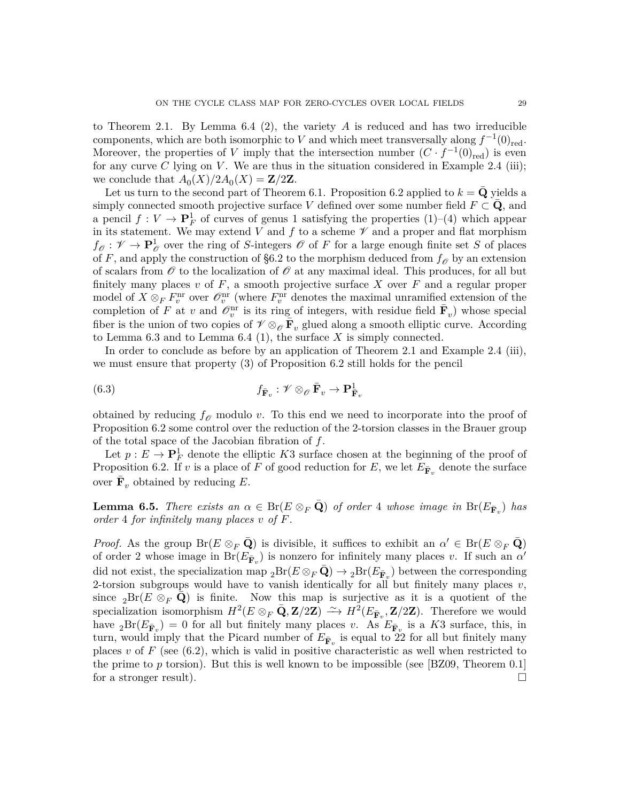to Theorem [2.1.](#page-3-0) By Lemma [6.4](#page-27-1) (2), the variety *A* is reduced and has two irreducible components, which are both isomorphic to *V* and which meet transversally along  $f^{-1}(0)_{red}$ . Moreover, the properties of *V* imply that the intersection number  $(C \cdot f^{-1}(0)_{red})$  is even for any curve  $C$  lying on  $V$ . We are thus in the situation considered in Example [2.4](#page-5-1) (iii); we conclude that  $A_0(X)/2A_0(X) = \mathbb{Z}/2\mathbb{Z}$ .

Let us turn to the second part of Theorem [6.1.](#page-25-0) Proposition [6.2](#page-25-2) applied to  $k = \mathbf{Q}$  yields a simply connected smooth projective surface *V* defined over some number field  $F \subset \mathbf{Q}$ , and a pencil  $f: V \to \mathbf{P}_F^1$  of curves of genus 1 satisfying the properties (1)–(4) which appear in its statement. We may extend  $V$  and  $f$  to a scheme  $\mathscr V$  and a proper and flat morphism  $f_{\mathscr{O}}: \mathscr{V} \to \mathbf{P}_{\mathscr{O}}^1$  over the ring of *S*-integers  $\mathscr{O}$  of *F* for a large enough finite set *S* of places of *F*, and apply the construction of [§6.2](#page-27-0) to the morphism deduced from  $f_{\mathcal{O}}$  by an extension of scalars from  $\mathscr O$  to the localization of  $\mathscr O$  at any maximal ideal. This produces, for all but finitely many places  $v$  of  $F$ , a smooth projective surface  $X$  over  $F$  and a regular proper model of  $X \otimes_F F_v^{\text{nr}}$  over  $\mathcal{O}_v^{\text{nr}}$  (where  $F_v^{\text{nr}}$  denotes the maximal unramified extension of the completion of *F* at *v* and  $\mathscr{O}_v^{\text{nr}}$  is its ring of integers, with residue field  $\bar{\mathbf{F}}_v$ ) whose special fiber is the union of two copies of  $\mathscr{V} \otimes_{\mathscr{O}} \bar{\mathbf{F}}_v$  glued along a smooth elliptic curve. According to Lemma [6.3](#page-26-2) and to Lemma [6.4](#page-27-1) (1), the surface *X* is simply connected.

In order to conclude as before by an application of Theorem [2.1](#page-3-0) and Example [2.4](#page-5-1) (iii), we must ensure that property (3) of Proposition [6.2](#page-25-2) still holds for the pencil

<span id="page-28-1"></span>(6.3) 
$$
f_{\mathbf{\bar{F}}_v}: \mathscr{V} \otimes_{\mathscr{O}} \mathbf{\bar{F}}_v \to \mathbf{P}_{\mathbf{\bar{F}}_v}^1
$$

obtained by reducing  $f_{\mathscr{O}}$  modulo *v*. To this end we need to incorporate into the proof of Proposition [6.2](#page-25-2) some control over the reduction of the 2-torsion classes in the Brauer group of the total space of the Jacobian fibration of *f*.

Let  $p: E \to \mathbf{P}_{F}^1$  denote the elliptic *K*3 surface chosen at the beginning of the proof of Proposition [6.2.](#page-25-2) If *v* is a place of *F* of good reduction for *E*, we let  $E_{\mathbf{\bar{F}}_v}$  denote the surface over  $\bar{\mathbf{F}}_v$  obtained by reducing  $E$ .

<span id="page-28-0"></span>**Lemma 6.5.** *There exists an*  $\alpha \in \text{Br}(E \otimes_F \bar{\mathbf{Q}})$  *of order* 4 *whose image in*  $\text{Br}(E_{\bar{\mathbf{F}}_v})$  *has order* 4 *for infinitely many places v of F.*

*Proof.* As the group  $\text{Br}(E \otimes_F \bar{\mathbf{Q}})$  is divisible, it suffices to exhibit an  $\alpha' \in \text{Br}(E \otimes_F \bar{\mathbf{Q}})$ of order 2 whose image in  $Br(E_{\bar{\mathbf{F}}v})$  is nonzero for infinitely many places *v*. If such an  $\alpha'$ did not exist, the specialization map  ${}_2\text{Br}(E\otimes_F\bar{\mathbf{Q}}) \to {}_2\text{Br}(E_{\bar{\mathbf{F}}_v})$  between the corresponding 2-torsion subgroups would have to vanish identically for all but finitely many places  $v$ , since <sub>2</sub>Br( $E \otimes_F \bar{\mathbf{Q}}$ ) is finite. Now this map is surjective as it is a quotient of the specialization isomorphism  $H^2(E \otimes_F \bar{\mathbf{Q}}, \mathbf{Z}/2\mathbf{Z}) \longrightarrow H^2(E_{\bar{\mathbf{F}}_v}, \mathbf{Z}/2\mathbf{Z})$ . Therefore we would have  ${}_{2}Br(E_{\bar{\mathbf{F}}v}) = 0$  for all but finitely many places *v*. As  $E_{\bar{\mathbf{F}}v}$  is a K3 surface, this, in turn, would imply that the Picard number of  $E_{\bar{\mathbf{F}}_v}$  is equal to 22 for all but finitely many places  $v$  of  $F$  (see  $(6.2)$ , which is valid in positive characteristic as well when restricted to the prime to  $p$  torsion). But this is well known to be impossible (see [\[BZ09,](#page-33-21) Theorem 0.1] for a stronger result).  $\square$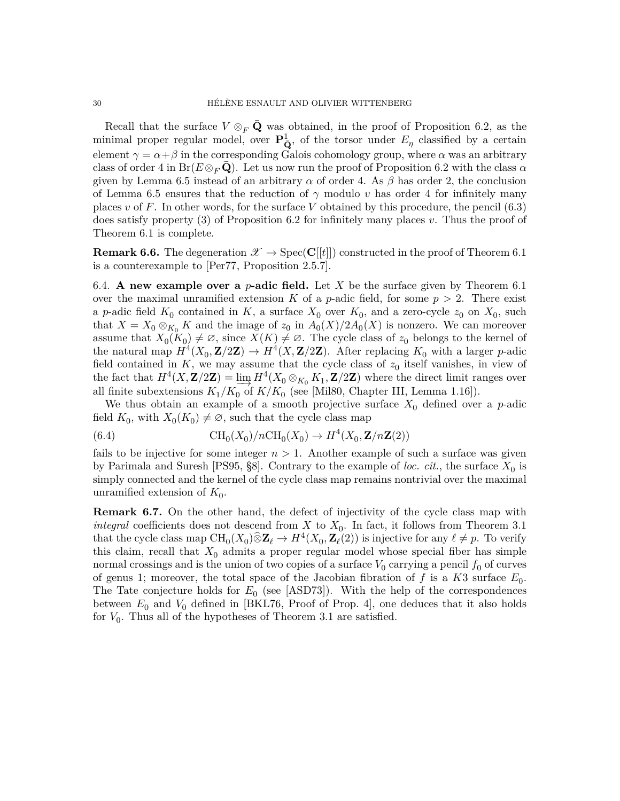Recall that the surface  $V \otimes_F \mathbf{Q}$  was obtained, in the proof of Proposition [6.2,](#page-25-2) as the minimal proper regular model, over  $\mathbf{P}_{\mathbf{Q}}^1$ , of the torsor under  $E_\eta$  classified by a certain element  $\gamma = \alpha + \beta$  in the corresponding Galois cohomology group, where  $\alpha$  was an arbitrary class of order 4 in  $Br(E \otimes_F \mathbf{Q})$ . Let us now run the proof of Proposition [6.2](#page-25-2) with the class  $\alpha$ given by Lemma [6.5](#page-28-0) instead of an arbitrary  $\alpha$  of order 4. As  $\beta$  has order 2, the conclusion of Lemma [6.5](#page-28-0) ensures that the reduction of  $\gamma$  modulo *v* has order 4 for infinitely many places *v* of F. In other words, for the surface V obtained by this procedure, the pencil  $(6.3)$ does satisfy property (3) of Proposition [6.2](#page-25-2) for infinitely many places *v*. Thus the proof of Theorem [6.1](#page-25-0) is complete.

**Remark 6.6.** The degeneration  $\mathscr{X} \to \text{Spec}(\mathbf{C}[[t]])$  constructed in the proof of Theorem [6.1](#page-25-0) is a counterexample to [\[Per77,](#page-35-16) Proposition 2.5.7].

6.4. **A new example over a** *p***-adic field.** Let  $X$  be the surface given by Theorem [6.1](#page-25-0) over the maximal unramified extension  $K$  of a *p*-adic field, for some  $p > 2$ . There exist a *p*-adic field  $K_0$  contained in  $K$ , a surface  $X_0$  over  $K_0$ , and a zero-cycle  $z_0$  on  $X_0$ , such that  $X = X_0 \otimes_{K_0} K$  and the image of  $z_0$  in  $A_0(X)/2A_0(X)$  is nonzero. We can moreover assume that  $X_0(K_0) \neq \emptyset$ , since  $X(K) \neq \emptyset$ . The cycle class of  $z_0$  belongs to the kernel of the natural map  $H^4(X_0, \mathbf{Z}/2\mathbf{Z}) \to H^4(X, \mathbf{Z}/2\mathbf{Z})$ . After replacing  $K_0$  with a larger *p*-adic field contained in  $K$ , we may assume that the cycle class of  $z_0$  itself vanishes, in view of the fact that  $H^4(X, \mathbf{Z}/2\mathbf{Z}) = \varinjlim_{K \to \infty} H^4(X_0 \otimes_{K_0} K_1, \mathbf{Z}/2\mathbf{Z})$  where the direct limit ranges over<br>all finite subextensions  $K, /K$ , of  $K/K$ , (see Mil80, Chapter III, Lemma 1.16l) all finite subextensions  $K_1/K_0$  of  $K/K_0$  (see [\[Mil80,](#page-35-7) Chapter III, Lemma 1.16]).

We thus obtain an example of a smooth projective surface *X*<sup>0</sup> defined over a *p*-adic field  $K_0$ , with  $X_0(K_0) \neq \emptyset$ , such that the cycle class map

(6.4) 
$$
\mathrm{CH}_0(X_0)/n\mathrm{CH}_0(X_0) \to H^4(X_0, \mathbf{Z}/n\mathbf{Z}(2))
$$

fails to be injective for some integer  $n > 1$ . Another example of such a surface was given by Parimala and Suresh [\[PS95,](#page-35-1)  $\S$ 8]. Contrary to the example of *loc. cit.*, the surface  $X_0$  is simply connected and the kernel of the cycle class map remains nontrivial over the maximal unramified extension of  $K_0$ .

<span id="page-29-0"></span>**Remark 6.7.** On the other hand, the defect of injectivity of the cycle class map with *integral* coefficients does not descend from *X* to  $X_0$ . In fact, it follows from Theorem [3.1](#page-10-0) that the cycle class map  $\text{CH}_0(X_0) \widehat{\otimes} \mathbb{Z}_{\ell} \to H^4(X_0, \mathbb{Z}_{\ell}(2))$  is injective for any  $\ell \neq p$ . To verify this claim, recall that  $X_0$  admits a proper regular model whose special fiber has simple normal crossings and is the union of two copies of a surface  $V_0$  carrying a pencil  $f_0$  of curves of genus 1; moreover, the total space of the Jacobian fibration of  $f$  is a  $K3$  surface  $E_0$ . The Tate conjecture holds for  $E_0$  (see [\[ASD73\]](#page-33-22)). With the help of the correspondences between  $E_0$  and  $V_0$  defined in [\[BKL76,](#page-33-23) Proof of Prop. 4], one deduces that it also holds for  $V_0$ . Thus all of the hypotheses of Theorem [3.1](#page-10-0) are satisfied.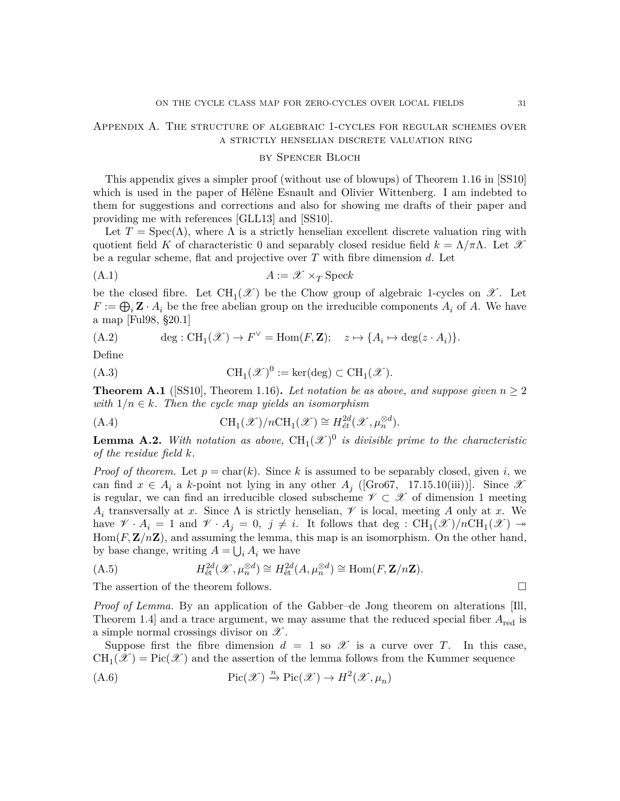## <span id="page-30-0"></span>Appendix A. The structure of algebraic 1-cycles for regular schemes over a strictly henselian discrete valuation ring

#### by Spencer Bloch

This appendix gives a simpler proof (without use of blowups) of Theorem 1.16 in [\[SS10\]](#page-36-0) which is used in the paper of Hélène Esnault and Olivier Wittenberg. I am indebted to them for suggestions and corrections and also for showing me drafts of their paper and providing me with references [\[GLL13\]](#page-34-14) and [\[SS10\]](#page-36-0).

Let  $T = \text{Spec}(\Lambda)$ , where  $\Lambda$  is a strictly henselian excellent discrete valuation ring with quotient field *K* of characteristic 0 and separably closed residue field  $k = \Lambda/\pi\Lambda$ . Let X be a regular scheme, flat and projective over *T* with fibre dimension *d*. Let

$$
(A.1) \t\t A := \mathscr{X} \times_T \text{Spec} k
$$

be the closed fibre. Let  $\text{CH}_1(\mathscr{X})$  be the Chow group of algebraic 1-cycles on  $\mathscr{X}$ . Let  $F := \bigoplus_i \mathbf{Z} \cdot A_i$  be the free abelian group on the irreducible components  $A_i$  of  $A$ . We have a map [\[Ful98,](#page-34-3) §20.1]

(A.2) 
$$
\deg: \operatorname{CH}_1(\mathscr{X}) \to F^{\vee} = \operatorname{Hom}(F, \mathbf{Z}); \quad z \mapsto \{A_i \mapsto \deg(z \cdot A_i)\}.
$$

Define

(A.3) 
$$
CH_1(\mathcal{X})^0 := \ker(\deg) \subset CH_1(\mathcal{X}).
$$

<span id="page-30-1"></span>**Theorem A.1** ([\[SS10\]](#page-36-0), Theorem 1.16). Let notation be as above, and suppose given  $n \geq 2$ *with*  $1/n \in k$ *. Then the cycle map yields an isomorphism* 

(A.4) 
$$
\mathrm{CH}_1(\mathscr{X})/n\mathrm{CH}_1(\mathscr{X}) \cong H^{2d}_{\acute{e}t}(\mathscr{X}, \mu_n^{\otimes d}).
$$

**Lemma A.2.** With notation as above,  $\text{CH}_1(\mathcal{X})^0$  is divisible prime to the characteristic *of the residue field k.*

*Proof of theorem.* Let  $p = \text{char}(k)$ . Since k is assumed to be separably closed, given *i*, we can find  $x \in A_i$  a *k*-point not lying in any other  $A_j$  ([\[Gro67,](#page-34-15) 17.15.10(iii))]. Since  $\mathcal{X}$ is regular, we can find an irreducible closed subscheme  $\mathscr{V} \subset \mathscr{X}$  of dimension 1 meeting  $A_i$  transversally at *x*. Since  $\Lambda$  is strictly henselian,  $\mathscr V$  is local, meeting *A* only at *x*. We have  $V \cdot A_i = 1$  and  $V \cdot A_j = 0$ ,  $j \neq i$ . It follows that deg :  $\text{CH}_1(\mathscr{X})/n\text{CH}_1(\mathscr{X}) \rightarrow$  $Hom(F, \mathbf{Z}/n\mathbf{Z})$ , and assuming the lemma, this map is an isomorphism. On the other hand, by base change, writing  $A = \bigcup_i A_i$  we have

<span id="page-30-2"></span>(A.5) 
$$
H_{\text{\'et}}^{2d}(\mathscr{X}, \mu_n^{\otimes d}) \cong H_{\text{\'et}}^{2d}(A, \mu_n^{\otimes d}) \cong \text{Hom}(F, \mathbf{Z}/n\mathbf{Z}).
$$
  
The assertion of the theorem follows.

*Proof of Lemma.* By an application of the Gabber–de Jong theorem on alterations [\[Ill,](#page-34-16) Theorem 1.4 and a trace argument, we may assume that the reduced special fiber  $A_{\text{red}}$  is a simple normal crossings divisor on  $\mathscr X$ .

Suppose first the fibre dimension  $d = 1$  so  $\mathscr X$  is a curve over *T*. In this case,  $\text{CH}_1(\mathscr{X})=\text{Pic}(\mathscr{X})$  and the assertion of the lemma follows from the Kummer sequence

(A.6) 
$$
\operatorname{Pic}(\mathscr{X}) \xrightarrow{n} \operatorname{Pic}(\mathscr{X}) \to H^2(\mathscr{X}, \mu_n)
$$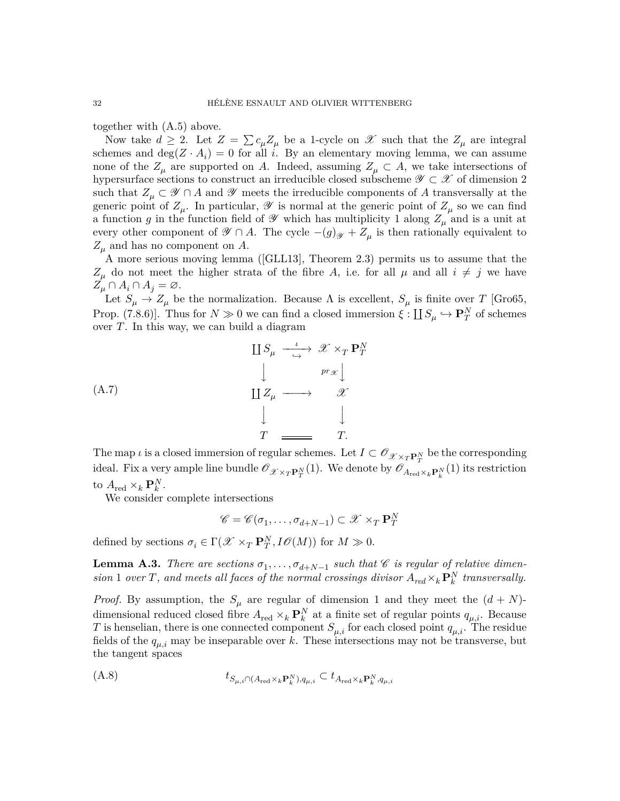together with [\(A.5\)](#page-30-2) above.

Now take  $d \geq 2$ . Let  $Z = \sum c_{\mu} Z_{\mu}$  be a 1-cycle on  $\mathscr X$  such that the  $Z_{\mu}$  are integral schemes and  $\deg(Z \cdot A_i) = 0$  for all *i*. By an elementary moving lemma, we can assume none of the  $Z_\mu$  are supported on *A*. Indeed, assuming  $Z_\mu \subset A$ , we take intersections of hypersurface sections to construct an irreducible closed subscheme  $\mathscr{Y} \subset \mathscr{X}$  of dimension 2 such that  $Z_\mu \subset \mathscr{Y} \cap A$  and  $\mathscr{Y}$  meets the irreducible components of A transversally at the generic point of  $Z_\mu$ . In particular,  $\mathscr Y$  is normal at the generic point of  $Z_\mu$  so we can find a function *g* in the function field of  $\mathscr Y$  which has multiplicity 1 along  $Z_\mu$  and is a unit at every other component of  $\mathscr{Y} \cap A$ . The cycle  $-(g)_{\mathscr{Y}} + Z_{\mu}$  is then rationally equivalent to  $Z_{\mu}$  and has no component on *A*.

A more serious moving lemma([\[GLL13\]](#page-34-14), Theorem 2.3) permits us to assume that the  $Z_{\mu}$  do not meet the higher strata of the fibre *A*, i.e. for all  $\mu$  and all  $i \neq j$  we have  $Z_{\mu} \cap A_i \cap A_j = \varnothing.$ 

Let  $S_{\mu} \to Z_{\mu}$  be the normalization. Because  $\Lambda$  is excellent,  $S_{\mu}$  is finite over *T* [\[Gro65,](#page-34-17) Prop. (7.8.6)]. Thus for  $N \gg 0$  we can find a closed immersion  $\xi : \coprod S_{\mu} \hookrightarrow \mathbf{P}_T^N$  of schemes over *T*. In this way, we can build a diagram

$$
\begin{array}{ccc}\n\coprod S_{\mu} & \xrightarrow{\iota} & \mathscr{X} \times_{T} \mathbf{P}_{T}^{N} \\
\downarrow & & \downarrow \qquad & \downarrow \qquad \text{pr}_{\mathscr{X}} \downarrow \\
\coprod Z_{\mu} & \longrightarrow & \mathscr{X} \\
\downarrow & & \downarrow \qquad \qquad \downarrow \\
T & \longrightarrow & T\n\end{array}
$$

The map *ι* is a closed immersion of regular schemes. Let  $I \subset \mathscr{O}_{\mathscr{X} \times_T \mathbf{P}_T^N}$  be the corresponding ideal. Fix a very ample line bundle  $\mathscr{O}_{\mathscr{X}\times_T\mathbf{P}_T^N}(1)$ . We denote by  $\mathscr{O}_{A_{\text{red}}\times_k\mathbf{P}_k^N}(1)$  its restriction to  $A_{\text{red}} \times_k \mathbf{P}_k^N$ .

We consider complete intersections

$$
\mathscr{C} = \mathscr{C}(\sigma_1, \dots, \sigma_{d+N-1}) \subset \mathscr{X} \times_T \mathbf{P}_T^N
$$

defined by sections  $\sigma_i \in \Gamma(\mathcal{X} \times_T \mathbf{P}_T^N, I\mathcal{O}(M))$  for  $M \gg 0$ .

<span id="page-31-0"></span>**Lemma A.3.** *There are sections*  $\sigma_1, \ldots, \sigma_{d+N-1}$  *such that*  $\mathscr C$  *is regular of relative dimension* 1 *over T*, and meets all faces of the normal crossings divisor  $A_{red} \times_k \mathbf{P}_k^N$  transversally.

*Proof.* By assumption, the  $S_\mu$  are regular of dimension 1 and they meet the  $(d+N)$ dimensional reduced closed fibre  $A_{\text{red}} \times_k \mathbf{P}_k^N$  at a finite set of regular points  $q_{\mu,i}$ . Because *T* is henselian, there is one connected component  $S_{\mu,i}$  for each closed point  $q_{\mu,i}$ . The residue fields of the  $q_{\mu,i}$  may be inseparable over *k*. These intersections may not be transverse, but the tangent spaces

<span id="page-31-1"></span>
$$
(A.8) \t t_{S_{\mu,i} \cap (A_{\mathrm{red}} \times_k \mathbf{P}_k^N), q_{\mu,i}} \subset t_{A_{\mathrm{red}} \times_k \mathbf{P}_k^N, q_{\mu,i}}
$$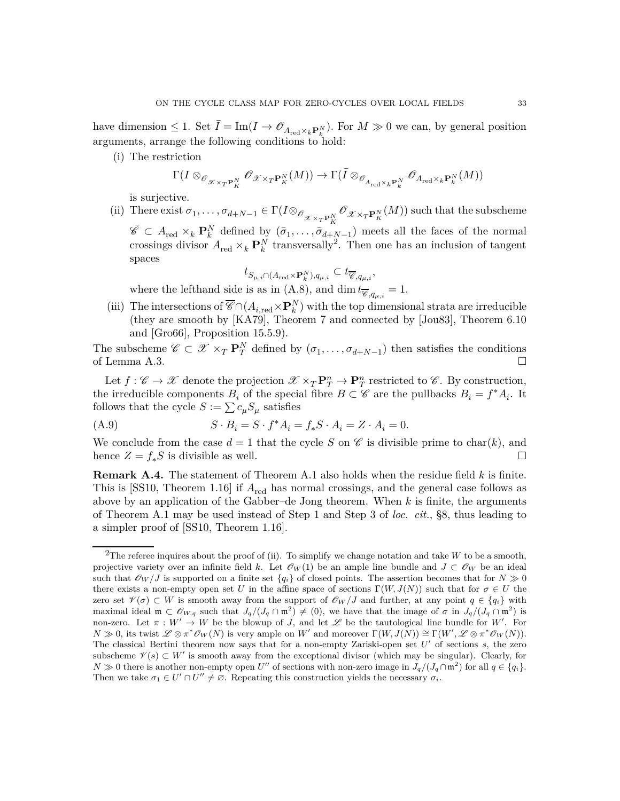have dimension  $\leq 1$ . Set  $\overline{I} = \text{Im}(I \to \mathscr{O}_{A_{\text{red}}\times_k\mathbf{P}_k^N})$ . For  $M \gg 0$  we can, by general position arguments, arrange the following conditions to hold:

(i) The restriction

$$
\Gamma(I\otimes_{\mathscr{O}_{\mathscr{X}\times_T\mathbf{P}_K^N}} \mathscr{O}_{\mathscr{X}\times_T\mathbf{P}_K^N}(M))\to \Gamma(\bar{I}\otimes_{\mathscr{O}_{A_{\mathrm{red}}\times_k\mathbf{P}_k^N}} \mathscr{O}_{A_{\mathrm{red}}\times_k\mathbf{P}_k^N}(M))
$$

is surjective.

(ii) There exist  $\sigma_1, \ldots, \sigma_{d+N-1} \in \Gamma(I \otimes_{\mathcal{O}_{\mathscr{X} \times_T \mathbf{P}_K^N}} \mathcal{O}_{\mathscr{X} \times_T \mathbf{P}_K^N}(M))$  such that the subscheme  $\overline{\mathscr{C}} \subset A_{\text{red}} \times_k \mathbf{P}_k^N$  defined by  $(\overline{\sigma}_1, \ldots, \overline{\sigma}_{d+N-1})$  meets all the faces of the normal crossings divisor  $A_{\text{red}} \times_k \mathbf{P}_k^N$  transversally<sup>[2](#page-32-1)</sup>. Then one has an inclusion of tangent spaces

$$
t_{S_{\mu,i}\cap (A_{\mathrm{red}}\times \mathbf{P}_k^N),q_{\mu,i}}\subset t_{\overline{\mathscr{C}},q_{\mu,i}},
$$

where the lefthand side is as in [\(A.8\)](#page-31-1), and dim  $t_{\overline{\mathscr{C}}, q_{\mu,i}} = 1$ .

(iii) The intersections of  $\overline{\mathscr{C}} \cap (A_{i,\text{red}} \times \mathbf{P}_k^N)$  with the top dimensional strata are irreducible (they are smooth by [\[KA79\]](#page-34-18), Theorem 7 and connected by [\[Jou83\]](#page-34-19), Theorem 6.10 and [\[Gro66\]](#page-34-20), Proposition 15.5.9).

The subscheme  $\mathscr{C} \subset \mathscr{X} \times_T \mathbf{P}_T^N$  defined by  $(\sigma_1, \ldots, \sigma_{d+N-1})$  then satisfies the conditions of Lemma [A.3.](#page-31-0)  $\Box$ 

Let  $f: \mathscr{C} \to \mathscr{X}$  denote the projection  $\mathscr{X} \times_T \mathbf{P}_T^n \to \mathbf{P}_T^n$  restricted to  $\mathscr{C}$ . By construction, the irreducible components  $B_i$  of the special fibre  $B \subset \mathscr{C}$  are the pullbacks  $B_i = f^* A_i$ . It follows that the cycle  $S := \sum c_{\mu} S_{\mu}$  satisfies

(A.9) 
$$
S \cdot B_i = S \cdot f^* A_i = f_* S \cdot A_i = Z \cdot A_i = 0.
$$

We conclude from the case  $d = 1$  that the cycle S on  $\mathscr C$  is divisible prime to char(k), and hence  $Z = f_*S$  is divisible as well.

<span id="page-32-0"></span>**Remark A.4.** The statement of Theorem [A.1](#page-30-1) also holds when the residue field *k* is finite. This is [\[SS10,](#page-36-0) Theorem 1.16] if *A*red has normal crossings, and the general case follows as above by an application of the Gabber–de Jong theorem. When *k* is finite, the arguments of Theorem [A.1](#page-30-1) may be used instead of Step 1 and Step 3 of *loc. cit.*, §8, thus leading to a simpler proof of [\[SS10,](#page-36-0) Theorem 1.16].

<span id="page-32-1"></span><sup>&</sup>lt;sup>2</sup>The referee inquires about the proof of (ii). To simplify we change notation and take  $W$  to be a smooth, projective variety over an infinite field k. Let  $\mathcal{O}_W(1)$  be an ample line bundle and  $J \subset \mathcal{O}_W$  be an ideal such that  $\mathscr{O}_W/J$  is supported on a finite set  $\{q_i\}$  of closed points. The assertion becomes that for  $N \gg 0$ there exists a non-empty open set *U* in the affine space of sections  $\Gamma(W, J(N))$  such that for  $\sigma \in U$  the zero set  $\mathscr{V}(\sigma) \subset W$  is smooth away from the support of  $\mathscr{O}_W/J$  and further, at any point  $q \in \{q_i\}$  with maximal ideal  $\mathfrak{m} \subset \mathcal{O}_{W,q}$  such that  $J_q/(J_q \cap \mathfrak{m}^2) \neq (0)$ , we have that the image of  $\sigma$  in  $J_q/(J_q \cap \mathfrak{m}^2)$  is non-zero. Let  $\pi : W' \to W$  be the blowup of *J*, and let  $\mathscr L$  be the tautological line bundle for *W'*. For  $N \gg 0$ , its twist  $\mathscr{L} \otimes \pi^* \mathscr{O}_W(N)$  is very ample on *W'* and moreover  $\Gamma(W, J(N)) \cong \Gamma(W', \mathscr{L} \otimes \pi^* \mathscr{O}_W(N))$ . The classical Bertini theorem now says that for a non-empty Zariski-open set *U'* of sections *s*, the zero subscheme  $\mathscr{V}(s) \subset W'$  is smooth away from the exceptional divisor (which may be singular). Clearly, for *N* ≫ 0 there is another non-empty open *U*<sup>*''*</sup> of sections with non-zero image in  $J_q/(J_q \cap m^2)$  for all  $q \in \{q_i\}$ . Then we take  $\sigma_1 \in U' \cap U'' \neq \emptyset$ . Repeating this construction yields the necessary  $\sigma_i$ .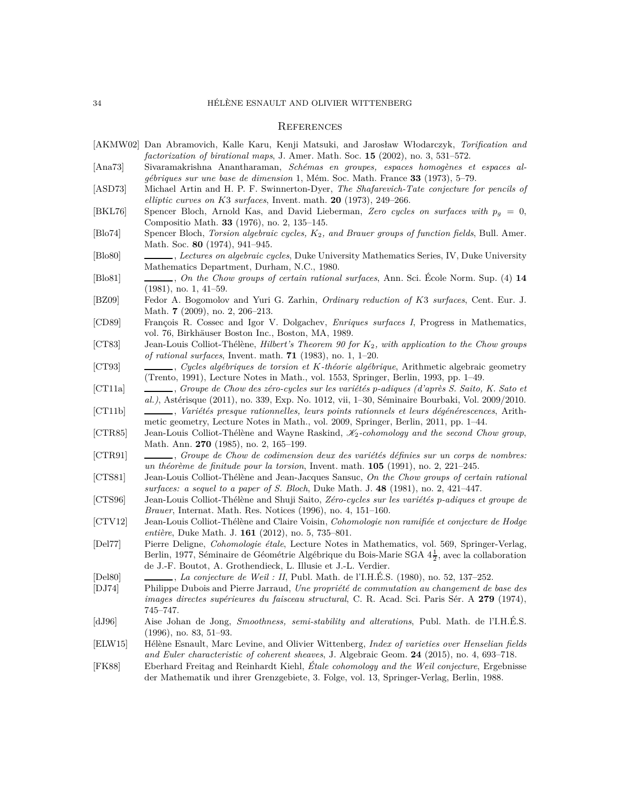#### **REFERENCES**

- <span id="page-33-18"></span>[AKMW02] Dan Abramovich, Kalle Karu, Kenji Matsuki, and Jarosław Włodarczyk, *Torification and factorization of birational maps*, J. Amer. Math. Soc. **15** (2002), no. 3, 531–572.
- <span id="page-33-20"></span>[Ana73] Sivaramakrishna Anantharaman, *Schémas en groupes, espaces homogènes et espaces algébriques sur une base de dimension* 1, Mém. Soc. Math. France **33** (1973), 5–79.
- <span id="page-33-22"></span>[ASD73] Michael Artin and H. P. F. Swinnerton-Dyer, *The Shafarevich-Tate conjecture for pencils of elliptic curves on K*3 *surfaces*, Invent. math. **20** (1973), 249–266.
- <span id="page-33-23"></span>[BKL76] Spencer Bloch, Arnold Kas, and David Lieberman, *Zero cycles on surfaces with p<sup>g</sup>* = 0, Compositio Math. **33** (1976), no. 2, 135–145.
- <span id="page-33-1"></span>[Blo74] Spencer Bloch, *Torsion algebraic cycles, K*2*, and Brauer groups of function fields*, Bull. Amer. Math. Soc. **80** (1974), 941–945.
- <span id="page-33-3"></span>[Blo80] , *Lectures on algebraic cycles*, Duke University Mathematics Series, IV, Duke University Mathematics Department, Durham, N.C., 1980.
- <span id="page-33-4"></span>[Blo81] , *On the Chow groups of certain rational surfaces*, Ann. Sci. École Norm. Sup. (4) **14** (1981), no. 1, 41–59.
- <span id="page-33-21"></span>[BZ09] Fedor A. Bogomolov and Yuri G. Zarhin, *Ordinary reduction of K*3 *surfaces*, Cent. Eur. J. Math. **7** (2009), no. 2, 206–213.
- <span id="page-33-19"></span>[CD89] François R. Cossec and Igor V. Dolgachev, *Enriques surfaces I*, Progress in Mathematics, vol. 76, Birkhäuser Boston Inc., Boston, MA, 1989.
- <span id="page-33-6"></span>[CT83] Jean-Louis Colliot-Thélène, *Hilbert's Theorem 90 for K*2*, with application to the Chow groups of rational surfaces*, Invent. math. **71** (1983), no. 1, 1–20.
- <span id="page-33-2"></span>[CT93] , *Cycles algébriques de torsion et K-théorie algébrique*, Arithmetic algebraic geometry (Trento, 1991), Lecture Notes in Math., vol. 1553, Springer, Berlin, 1993, pp. 1–49.
- <span id="page-33-0"></span>[CT11a] , *Groupe de Chow des zéro-cycles sur les variétés p-adiques (d'après S. Saito, K. Sato et al.)*, Astérisque (2011), no. 339, Exp. No. 1012, vii, 1–30, Séminaire Bourbaki, Vol. 2009/2010.
- <span id="page-33-11"></span>[CT11b] , *Variétés presque rationnelles, leurs points rationnels et leurs dégénérescences*, Arithmetic geometry, Lecture Notes in Math., vol. 2009, Springer, Berlin, 2011, pp. 1–44.
- <span id="page-33-8"></span>[CTR85] Jean-Louis Colliot-Thélène and Wayne Raskind, K2*-cohomology and the second Chow group*, Math. Ann. **270** (1985), no. 2, 165–199.
- <span id="page-33-7"></span>[CTR91] , *Groupe de Chow de codimension deux des variétés définies sur un corps de nombres: un théorème de finitude pour la torsion*, Invent. math. **105** (1991), no. 2, 221–245.
- <span id="page-33-5"></span>[CTS81] Jean-Louis Colliot-Thélène and Jean-Jacques Sansuc, *On the Chow groups of certain rational surfaces: a sequel to a paper of S. Bloch*, Duke Math. J. **48** (1981), no. 2, 421–447.
- <span id="page-33-12"></span>[CTS96] Jean-Louis Colliot-Thélène and Shuji Saito, *Zéro-cycles sur les variétés p-adiques et groupe de Brauer*, Internat. Math. Res. Notices (1996), no. 4, 151–160.
- <span id="page-33-16"></span>[CTV12] Jean-Louis Colliot-Thélène and Claire Voisin, *Cohomologie non ramifiée et conjecture de Hodge entière*, Duke Math. J. **161** (2012), no. 5, 735–801.
- <span id="page-33-14"></span>[Del77] Pierre Deligne, *Cohomologie étale*, Lecture Notes in Mathematics, vol. 569, Springer-Verlag, Berlin, 1977, Séminaire de Géométrie Algébrique du Bois-Marie SGA  $4\frac{1}{2}$ , avec la collaboration de J.-F. Boutot, A. Grothendieck, L. Illusie et J.-L. Verdier.
- <span id="page-33-13"></span>[Del80] , *La conjecture de Weil : II*, Publ. Math. de l'I.H.É.S. (1980), no. 52, 137–252.
- <span id="page-33-17"></span>[DJ74] Philippe Dubois and Pierre Jarraud, *Une propriété de commutation au changement de base des images directes supérieures du faisceau structural*, C. R. Acad. Sci. Paris Sér. A **279** (1974), 745–747.
- <span id="page-33-15"></span>[dJ96] Aise Johan de Jong, *Smoothness, semi-stability and alterations*, Publ. Math. de l'I.H.É.S. (1996), no. 83, 51–93.
- <span id="page-33-10"></span>[ELW15] Hélène Esnault, Marc Levine, and Olivier Wittenberg, *Index of varieties over Henselian fields and Euler characteristic of coherent sheaves*, J. Algebraic Geom. **24** (2015), no. 4, 693–718.
- <span id="page-33-9"></span>[FK88] Eberhard Freitag and Reinhardt Kiehl, *Étale cohomology and the Weil conjecture*, Ergebnisse der Mathematik und ihrer Grenzgebiete, 3. Folge, vol. 13, Springer-Verlag, Berlin, 1988.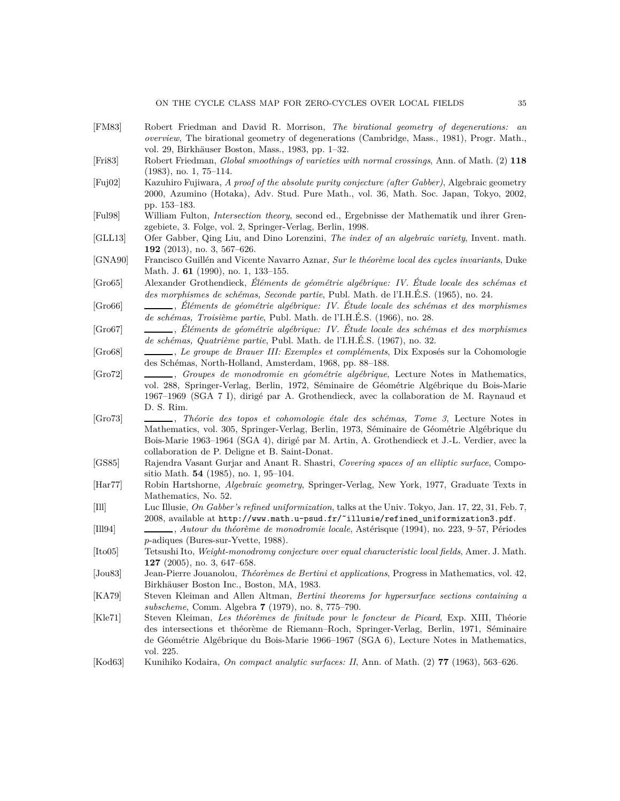- <span id="page-34-10"></span>[FM83] Robert Friedman and David R. Morrison, *The birational geometry of degenerations: an overview*, The birational geometry of degenerations (Cambridge, Mass., 1981), Progr. Math., vol. 29, Birkhäuser Boston, Mass., 1983, pp. 1–32.
- <span id="page-34-12"></span>[Fri83] Robert Friedman, *Global smoothings of varieties with normal crossings*, Ann. of Math. (2) **118** (1983), no. 1, 75–114.
- <span id="page-34-0"></span>[Fuj02] Kazuhiro Fujiwara, *A proof of the absolute purity conjecture (after Gabber)*, Algebraic geometry 2000, Azumino (Hotaka), Adv. Stud. Pure Math., vol. 36, Math. Soc. Japan, Tokyo, 2002, pp. 153–183.
- <span id="page-34-3"></span>[Ful98] William Fulton, *Intersection theory*, second ed., Ergebnisse der Mathematik und ihrer Grenzgebiete, 3. Folge, vol. 2, Springer-Verlag, Berlin, 1998.
- <span id="page-34-14"></span>[GLL13] Ofer Gabber, Qing Liu, and Dino Lorenzini, *The index of an algebraic variety*, Invent. math. **192** (2013), no. 3, 567–626.
- <span id="page-34-5"></span>[GNA90] Francisco Guillén and Vicente Navarro Aznar, *Sur le théorème local des cycles invariants*, Duke Math. J. **61** (1990), no. 1, 133–155.
- <span id="page-34-17"></span>[Gro65] Alexander Grothendieck, *Éléments de géométrie algébrique: IV. Étude locale des schémas et des morphismes de schémas, Seconde partie*, Publ. Math. de l'I.H.É.S. (1965), no. 24.
- <span id="page-34-20"></span>[Gro66] , *Éléments de géométrie algébrique: IV. Étude locale des schémas et des morphismes de schémas, Troisième partie*, Publ. Math. de l'I.H.É.S. (1966), no. 28.
- <span id="page-34-15"></span>[Gro67] , *Éléments de géométrie algébrique: IV. Étude locale des schémas et des morphismes de schémas, Quatrième partie*, Publ. Math. de l'I.H.É.S. (1967), no. 32.
- <span id="page-34-2"></span>[Gro68] , *Le groupe de Brauer III: Exemples et compléments*, Dix Exposés sur la Cohomologie des Schémas, North-Holland, Amsterdam, 1968, pp. 88–188.
- <span id="page-34-8"></span>[Gro72] , *Groupes de monodromie en géométrie algébrique*, Lecture Notes in Mathematics, vol. 288, Springer-Verlag, Berlin, 1972, Séminaire de Géométrie Algébrique du Bois-Marie 1967–1969 (SGA 7 I), dirigé par A. Grothendieck, avec la collaboration de M. Raynaud et D. S. Rim.
- <span id="page-34-1"></span>[Gro73] , *Théorie des topos et cohomologie étale des schémas, Tome 3*, Lecture Notes in Mathematics, vol. 305, Springer-Verlag, Berlin, 1973, Séminaire de Géométrie Algébrique du Bois-Marie 1963–1964 (SGA 4), dirigé par M. Artin, A. Grothendieck et J.-L. Verdier, avec la collaboration de P. Deligne et B. Saint-Donat.
- <span id="page-34-13"></span>[GS85] Rajendra Vasant Gurjar and Anant R. Shastri, *Covering spaces of an elliptic surface*, Compositio Math. **54** (1985), no. 1, 95–104.
- <span id="page-34-11"></span>[Har77] Robin Hartshorne, *Algebraic geometry*, Springer-Verlag, New York, 1977, Graduate Texts in Mathematics, No. 52.
- <span id="page-34-16"></span>[Ill] Luc Illusie, *On Gabber's refined uniformization*, talks at the Univ. Tokyo, Jan. 17, 22, 31, Feb. 7, 2008, available at http://www.math.u-psud.fr/˜illusie/refined\_uniformization3.pdf.
- <span id="page-34-7"></span>[Ill94] , *Autour du théorème de monodromie locale*, Astérisque (1994), no. 223, 9–57, Périodes *p*-adiques (Bures-sur-Yvette, 1988).
- <span id="page-34-6"></span>[Ito05] Tetsushi Ito, *Weight-monodromy conjecture over equal characteristic local fields*, Amer. J. Math. **127** (2005), no. 3, 647–658.
- <span id="page-34-19"></span>[Jou83] Jean-Pierre Jouanolou, *Théorèmes de Bertini et applications*, Progress in Mathematics, vol. 42, Birkhäuser Boston Inc., Boston, MA, 1983.
- <span id="page-34-18"></span>[KA79] Steven Kleiman and Allen Altman, *Bertini theorems for hypersurface sections containing a subscheme*, Comm. Algebra **7** (1979), no. 8, 775–790.
- <span id="page-34-9"></span>[Kle71] Steven Kleiman, *Les théorèmes de finitude pour le foncteur de Picard*, Exp. XIII, Théorie des intersections et théorème de Riemann–Roch, Springer-Verlag, Berlin, 1971, Séminaire de Géométrie Algébrique du Bois-Marie 1966–1967 (SGA 6), Lecture Notes in Mathematics, vol. 225.
- <span id="page-34-4"></span>[Kod63] Kunihiko Kodaira, *On compact analytic surfaces: II*, Ann. of Math. (2) **77** (1963), 563–626.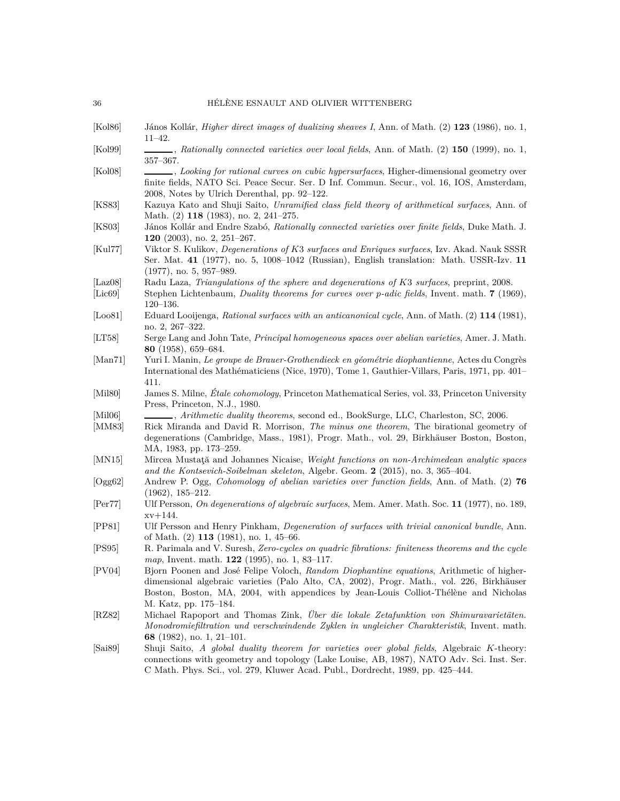- <span id="page-35-15"></span>[Kol86] János Kollár, *Higher direct images of dualizing sheaves I*, Ann. of Math. (2) **123** (1986), no. 1, 11–42.
- <span id="page-35-6"></span>[Kol99] , *Rationally connected varieties over local fields*, Ann. of Math. (2) **150** (1999), no. 1, 357–367.
- <span id="page-35-11"></span>[Kol08] , *Looking for rational curves on cubic hypersurfaces*, Higher-dimensional geometry over finite fields, NATO Sci. Peace Secur. Ser. D Inf. Commun. Secur., vol. 16, IOS, Amsterdam, 2008, Notes by Ulrich Derenthal, pp. 92–122.
- <span id="page-35-0"></span>[KS83] Kazuya Kato and Shuji Saito, *Unramified class field theory of arithmetical surfaces*, Ann. of Math. (2) **118** (1983), no. 2, 241–275.
- <span id="page-35-10"></span>[KS03] János Kollár and Endre Szabó, *Rationally connected varieties over finite fields*, Duke Math. J. **120** (2003), no. 2, 251–267.
- <span id="page-35-3"></span>[Kul77] Viktor S. Kulikov, *Degenerations of K*3 *surfaces and Enriques surfaces*, Izv. Akad. Nauk SSSR Ser. Mat. **41** (1977), no. 5, 1008–1042 (Russian), English translation: Math. USSR-Izv. **11** (1977), no. 5, 957–989.
- <span id="page-35-17"></span>[Laz08] Radu Laza, *Triangulations of the sphere and degenerations of K*3 *surfaces*, preprint, 2008.
- <span id="page-35-2"></span>[Lic69] Stephen Lichtenbaum, *Duality theorems for curves over p-adic fields*, Invent. math. **7** (1969), 120–136.
- <span id="page-35-19"></span>[Loo81] Eduard Looijenga, *Rational surfaces with an anticanonical cycle*, Ann. of Math. (2) **114** (1981), no. 2, 267–322.
- <span id="page-35-20"></span>[LT58] Serge Lang and John Tate, *Principal homogeneous spaces over abelian varieties*, Amer. J. Math. **80** (1958), 659–684.
- <span id="page-35-13"></span>[Man71] Yuri I. Manin, *Le groupe de Brauer-Grothendieck en géométrie diophantienne*, Actes du Congrès International des Mathématiciens (Nice, 1970), Tome 1, Gauthier-Villars, Paris, 1971, pp. 401– 411.
- <span id="page-35-7"></span>[Mil80] James S. Milne, *Étale cohomology*, Princeton Mathematical Series, vol. 33, Princeton University Press, Princeton, N.J., 1980.
- <span id="page-35-9"></span>[Mil06] , *Arithmetic duality theorems*, second ed., BookSurge, LLC, Charleston, SC, 2006.
- <span id="page-35-5"></span>[MM83] Rick Miranda and David R. Morrison, *The minus one theorem*, The birational geometry of degenerations (Cambridge, Mass., 1981), Progr. Math., vol. 29, Birkhäuser Boston, Boston, MA, 1983, pp. 173–259.
- <span id="page-35-18"></span>[MN15] Mircea Mustaţă and Johannes Nicaise, *Weight functions on non-Archimedean analytic spaces and the Kontsevich-Soibelman skeleton*, Algebr. Geom. **2** (2015), no. 3, 365–404.
- <span id="page-35-21"></span>[Ogg62] Andrew P. Ogg, *Cohomology of abelian varieties over function fields*, Ann. of Math. (2) **76** (1962), 185–212.
- <span id="page-35-16"></span>[Per77] Ulf Persson, *On degenerations of algebraic surfaces*, Mem. Amer. Math. Soc. **11** (1977), no. 189,  $xv + 144$ .
- <span id="page-35-4"></span>[PP81] Ulf Persson and Henry Pinkham, *Degeneration of surfaces with trivial canonical bundle*, Ann. of Math. (2) **113** (1981), no. 1, 45–66.
- <span id="page-35-1"></span>[PS95] R. Parimala and V. Suresh, *Zero-cycles on quadric fibrations: finiteness theorems and the cycle map*, Invent. math. **122** (1995), no. 1, 83–117.
- <span id="page-35-12"></span>[PV04] Bjorn Poonen and José Felipe Voloch, *Random Diophantine equations*, Arithmetic of higherdimensional algebraic varieties (Palo Alto, CA, 2002), Progr. Math., vol. 226, Birkhäuser Boston, Boston, MA, 2004, with appendices by Jean-Louis Colliot-Thélène and Nicholas M. Katz, pp. 175–184.
- <span id="page-35-14"></span>[RZ82] Michael Rapoport and Thomas Zink, *Über die lokale Zetafunktion von Shimuravarietäten. Monodromiefiltration und verschwindende Zyklen in ungleicher Charakteristik*, Invent. math. **68** (1982), no. 1, 21–101.
- <span id="page-35-8"></span>[Sai89] Shuji Saito, *A global duality theorem for varieties over global fields*, Algebraic *K*-theory: connections with geometry and topology (Lake Louise, AB, 1987), NATO Adv. Sci. Inst. Ser. C Math. Phys. Sci., vol. 279, Kluwer Acad. Publ., Dordrecht, 1989, pp. 425–444.